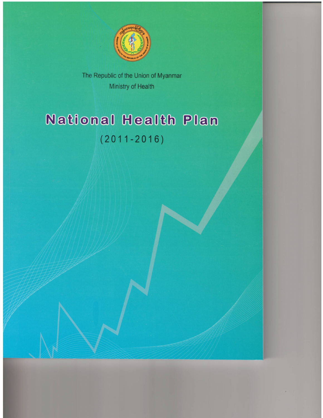

The Republic of the Union of Myanmar Ministry of Health

# **National Health Plan**  $(2011 - 2016)$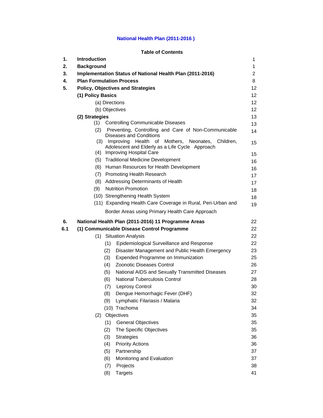# **National Health Plan (2011-2016 )**

# **Table of Contents**

| 1.  | <b>Introduction</b> |                                                                                                                                                       | 1               |
|-----|---------------------|-------------------------------------------------------------------------------------------------------------------------------------------------------|-----------------|
| 2.  | <b>Background</b>   |                                                                                                                                                       | 1               |
| 3.  |                     | Implementation Status of National Health Plan (2011-2016)                                                                                             | $\overline{2}$  |
| 4.  |                     | <b>Plan Formulation Process</b>                                                                                                                       | 8               |
| 5.  |                     | <b>Policy, Objectives and Strategies</b>                                                                                                              | 12              |
|     | (1) Policy Basics   |                                                                                                                                                       | 12 <sup>2</sup> |
|     |                     | (a) Directions                                                                                                                                        | 12 <sub>2</sub> |
|     |                     | (b) Objectives                                                                                                                                        | 12              |
|     | (2) Strategies      |                                                                                                                                                       | 13              |
|     | (1)                 | <b>Controlling Communicable Diseases</b>                                                                                                              | 13              |
|     | (2)                 | Preventing, Controlling and Care of Non-Communicable<br><b>Diseases and Conditions</b>                                                                | 14              |
|     |                     | Health<br>Neonates,<br>(3) Improving<br>of<br>Mothers,<br>Children,<br>Adolescent and Elderly as a Life Cycle Approach<br>(4) Improving Hospital Care | 15              |
|     |                     | (5) Traditional Medicine Development                                                                                                                  | 15 <sub>1</sub> |
|     |                     | (6) Human Resources for Health Development                                                                                                            | 16              |
|     |                     | (7) Promoting Health Research                                                                                                                         | 16              |
|     |                     | (8) Addressing Determinants of Health                                                                                                                 | 17              |
|     | (9)                 | <b>Nutrition Promotion</b>                                                                                                                            | 17              |
|     |                     | (10) Strengthening Health System                                                                                                                      | 18<br>18        |
|     |                     | (11) Expanding Health Care Coverage in Rural, Peri-Urban and                                                                                          | 19              |
|     |                     | Border Areas using Primary Health Care Approach                                                                                                       |                 |
| 6.  |                     | National Health Plan (2011-2016) 11 Programme Areas                                                                                                   | 22              |
| 6.1 |                     | (1) Communicable Disease Control Programme                                                                                                            | 22              |
|     | (1)                 | <b>Situation Analysis</b>                                                                                                                             | 22              |
|     |                     | Epidemiological Surveillance and Response<br>(1)                                                                                                      | 22              |
|     |                     | Disaster Management and Public Health Emergency<br>(2)                                                                                                | 23              |
|     |                     | (3)<br>Expended Programme on Immunization                                                                                                             | 25              |
|     |                     | <b>Zoonotic Diseases Control</b><br>(4)                                                                                                               | 26              |
|     |                     | (5)<br>National AIDS and Sexually Transmitted Diseases                                                                                                | 27              |
|     |                     | (6)<br><b>National Tuberculosis Control</b>                                                                                                           | 28              |
|     |                     | (7)<br><b>Leprosy Control</b>                                                                                                                         | 30              |
|     |                     | (8)<br>Dengue Hemorrhagic Fever (DHF)                                                                                                                 | 32              |
|     |                     | Lymphatic Filariasis / Malaria<br>(9)                                                                                                                 | 32              |
|     |                     | (10) Trachoma                                                                                                                                         | 34              |
|     | (2)                 | Objectives                                                                                                                                            | 35              |
|     |                     | (1)<br><b>General Objectives</b>                                                                                                                      | 35              |
|     |                     | The Specific Objectives<br>(2)                                                                                                                        | 35              |
|     |                     | (3)<br>Strategies                                                                                                                                     | 36              |
|     |                     | (4)<br><b>Priority Actions</b>                                                                                                                        | 36              |
|     |                     | (5)<br>Partnership                                                                                                                                    | 37              |
|     |                     | (6)<br>Monitoring and Evaluation                                                                                                                      | 37              |
|     |                     | (7)<br>Projects                                                                                                                                       | 38              |
|     |                     | (8)<br><b>Targets</b>                                                                                                                                 | 41              |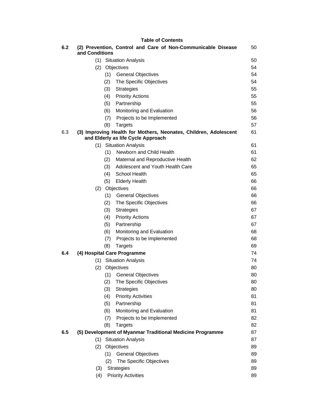|     |                |            | <b>Table of Contents</b>                                                           |          |
|-----|----------------|------------|------------------------------------------------------------------------------------|----------|
| 6.2 | and Conditions |            | (2) Prevention, Control and Care of Non-Communicable Disease                       | 50       |
|     |                |            | (1) Situation Analysis                                                             | 50       |
|     | (2)            |            | Objectives                                                                         | 54       |
|     |                | (1)        | <b>General Objectives</b>                                                          | 54       |
|     |                | (2)        | The Specific Objectives                                                            | 54       |
|     |                | (3)        | <b>Strategies</b>                                                                  | 55       |
|     |                | (4)        | <b>Priority Actions</b>                                                            | 55       |
|     |                | (5)        | Partnership                                                                        | 55       |
|     |                | (6)        | Monitoring and Evaluation                                                          | 56       |
|     |                | (7)        | Projects to be Implemented                                                         | 56       |
| 6.3 |                | (8)        | <b>Targets</b><br>(3) Improving Health for Mothers, Neonates, Children, Adolescent | 57<br>61 |
|     |                |            | and Elderly as life Cycle Approach                                                 |          |
|     |                |            | (1) Situation Analysis                                                             | 61       |
|     |                | (1)        | Newborn and Child Health                                                           | 61       |
|     |                | (2)        | Maternal and Reproductive Health                                                   | 62       |
|     |                | (3)        | Adolescent and Youth Health Care                                                   | 65       |
|     |                | (4)        | School Health                                                                      | 65       |
|     |                | (5)        | <b>Elderly Health</b>                                                              | 66       |
|     | (2)            |            | Objectives                                                                         | 66       |
|     |                | (1)        | <b>General Objectives</b>                                                          | 66       |
|     |                | (2)        | The Specific Objectives                                                            | 66       |
|     |                | (3)        | <b>Strategies</b>                                                                  | 67       |
|     |                | (4)        | <b>Priority Actions</b>                                                            | 67       |
|     |                | (5)<br>(6) | Partnership                                                                        | 67<br>68 |
|     |                |            | Monitoring and Evaluation                                                          | 68       |
|     |                | (7)<br>(8) | Projects to be Implemented                                                         | 69       |
| 6.4 |                |            | <b>Targets</b><br>(4) Hospital Care Programme                                      | 74       |
|     | (1)            |            | <b>Situation Analysis</b>                                                          | 74       |
|     | (2)            |            | Objectives                                                                         | 80       |
|     |                |            | (1) General Objectives                                                             | 80       |
|     |                | (2)        | The Specific Objectives                                                            | 80       |
|     |                | (3)        | <b>Strategies</b>                                                                  | 80       |
|     |                | (4)        | <b>Priority Activities</b>                                                         | 81       |
|     |                | (5)        | Partnership                                                                        | 81       |
|     |                | (6)        | Monitoring and Evaluation                                                          | 81       |
|     |                | (7)        | Projects to be Implemented                                                         | 82       |
|     |                | (8)        | <b>Targets</b>                                                                     | 82       |
| 6.5 |                |            | (5) Development of Myanmar Traditional Medicine Programme                          | 87       |
|     | (1)            |            | <b>Situation Analysis</b>                                                          | 87       |
|     | (2)            |            | Objectives                                                                         | 89       |
|     |                | (1)        | <b>General Objectives</b>                                                          | 89       |
|     |                | (2)        | The Specific Objectives                                                            | 89       |
|     | (3)            |            | <b>Strategies</b>                                                                  | 89       |
| (4) |                |            | <b>Priority Activities</b>                                                         | 89       |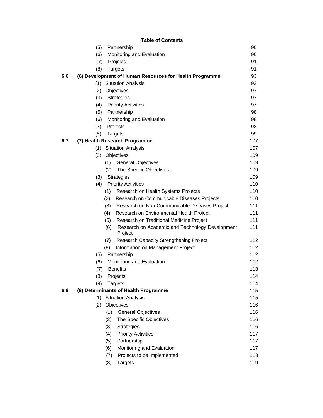| (5) | Partnership                                      |     |  |  |  |
|-----|--------------------------------------------------|-----|--|--|--|
| (6) | Monitoring and Evaluation                        |     |  |  |  |
| (7) | Projects                                         | 91  |  |  |  |
| (8) | Targets                                          | 91  |  |  |  |
|     | elopment of Human Resources for Health Programme | 93  |  |  |  |
| (1) | <b>Situation Analysis</b>                        | 93  |  |  |  |
| (2) | Objectives                                       | 97  |  |  |  |
| (3) | <b>Strategies</b>                                | 97  |  |  |  |
| (4) | <b>Priority Activities</b>                       | 97  |  |  |  |
| (5) | Partnership                                      |     |  |  |  |
| (6) | Monitoring and Evaluation                        |     |  |  |  |
| (7) | Projects                                         | 98  |  |  |  |
| (8) | 99<br>Targets                                    |     |  |  |  |
|     | th Research Programme                            | 107 |  |  |  |
| (1) | <b>Situation Analysis</b>                        | 107 |  |  |  |
| (2) | Objectives                                       | 109 |  |  |  |
|     | (1)<br><b>General Objectives</b>                 | 109 |  |  |  |
|     | (2)<br>The Specific Objectives                   | 109 |  |  |  |
| (3) | 1∩0<br>Strategies                                |     |  |  |  |

# **Table of Contents**

|     | (6) |     | Monitoring and Evaluation                                  | 90  |
|-----|-----|-----|------------------------------------------------------------|-----|
|     | (7) |     | Projects                                                   | 91  |
|     | (8) |     | <b>Targets</b>                                             | 91  |
| 6.6 |     |     | (6) Development of Human Resources for Health Programme    | 93  |
|     | (1) |     | <b>Situation Analysis</b>                                  | 93  |
|     | (2) |     | Objectives                                                 | 97  |
|     | (3) |     | <b>Strategies</b>                                          | 97  |
|     | (4) |     | <b>Priority Activities</b>                                 | 97  |
|     | (5) |     | Partnership                                                | 98  |
|     | (6) |     | Monitoring and Evaluation                                  | 98  |
|     | (7) |     | Projects                                                   | 98  |
|     | (8) |     | <b>Targets</b>                                             | 99  |
| 6.7 |     |     | (7) Health Research Programme                              | 107 |
|     | (1) |     | <b>Situation Analysis</b>                                  | 107 |
|     | (2) |     | Objectives                                                 | 109 |
|     |     | (1) | <b>General Objectives</b>                                  | 109 |
|     |     | (2) | The Specific Objectives                                    | 109 |
|     | (3) |     | <b>Strategies</b>                                          | 109 |
|     | (4) |     | <b>Priority Activities</b>                                 | 110 |
|     |     | (1) | Research on Health Systems Projects                        | 110 |
|     |     | (2) | Research on Communicable Diseases Projects                 | 110 |
|     |     | (3) | Research on Non-Communicable Diseases Project              | 111 |
|     |     | (4) | Research on Environmental Health Project                   | 111 |
|     |     | (5) | Research on Traditional Medicine Project                   | 111 |
|     |     | (6) | Research on Academic and Technology Development<br>Project | 111 |
|     |     | (7) | <b>Research Capacity Strengthening Project</b>             | 112 |
|     |     | (8) | Information on Management Project                          | 112 |
|     | (5) |     | Partnership                                                | 112 |
|     | (6) |     | Monitoring and Evaluation                                  | 112 |
|     | (7) |     | <b>Benefits</b>                                            | 113 |
|     | (8) |     | Projects                                                   | 114 |
|     | (9) |     | <b>Targets</b>                                             | 114 |
| ნ.შ |     |     | (8) Determinants of Health Programme                       | 115 |
|     | (1) |     | <b>Situation Analysis</b>                                  | 115 |
|     | (2) |     | Objectives                                                 | 116 |
|     |     | (1) | <b>General Objectives</b>                                  | 116 |
|     |     | (2) | The Specific Objectives                                    | 116 |
|     |     | (3) | <b>Strategies</b>                                          | 116 |
|     |     | (4) | <b>Priority Activities</b>                                 | 117 |
|     |     | (5) | Partnership                                                | 117 |
|     |     | (6) | Monitoring and Evaluation                                  | 117 |
|     |     | (7) | Projects to be Implemented                                 | 118 |
|     |     | (8) | <b>Targets</b>                                             | 119 |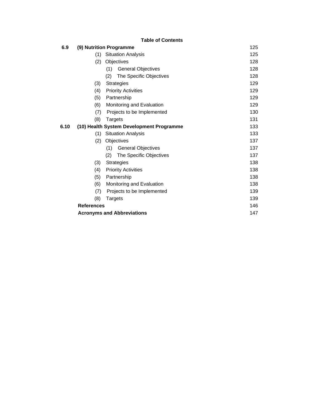|      |                         | <b>Table of Contents</b>                 |     |
|------|-------------------------|------------------------------------------|-----|
| 6.9  | (9) Nutrition Programme |                                          |     |
|      | (1)                     | <b>Situation Analysis</b>                | 125 |
|      | (2)                     | Objectives                               | 128 |
|      |                         | (1)<br><b>General Objectives</b>         | 128 |
|      |                         | The Specific Objectives<br>(2)           | 128 |
|      | (3)                     | <b>Strategies</b>                        | 129 |
|      | (4)                     | <b>Priority Activities</b>               | 129 |
|      | (5)                     | Partnership                              | 129 |
|      | (6)                     | Monitoring and Evaluation                | 129 |
|      | (7)                     | Projects to be Implemented               | 130 |
|      | (8)                     | Targets                                  | 131 |
| 6.10 |                         | (10) Health System Development Programme | 133 |
|      | (1)                     | <b>Situation Analysis</b>                | 133 |
|      | (2)                     | Objectives                               | 137 |
|      |                         | (1)<br><b>General Objectives</b>         | 137 |
|      |                         | The Specific Objectives<br>(2)           | 137 |
|      | (3)                     | <b>Strategies</b>                        | 138 |
|      | (4)                     | <b>Priority Activities</b>               | 138 |
|      | (5)                     | Partnership                              | 138 |
|      | (6)                     | Monitoring and Evaluation                | 138 |
|      | (7)                     | Projects to be Implemented               | 139 |
|      | (8)                     | <b>Targets</b>                           | 139 |
|      | <b>References</b>       |                                          | 146 |
|      |                         | <b>Acronyms and Abbreviations</b>        | 147 |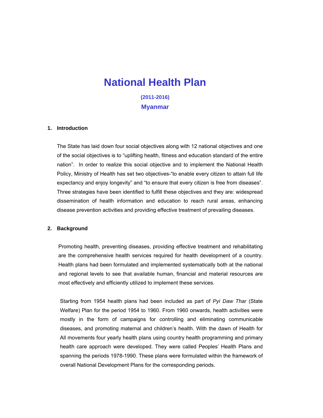# **National Health Plan**

**(2011-2016) Myanmar** 

# **1. Introduction**

The State has laid down four social objectives along with 12 national objectives and one of the social objectives is to "uplifting health, fitness and education standard of the entire nation". In order to realize this social objective and to implement the National Health Policy, Ministry of Health has set two objectives-"to enable every citizen to attain full life expectancy and enjoy longevity" and "to ensure that every citizen is free from diseases". Three strategies have been identified to fulfill these objectives and they are: widespread dissemination of health information and education to reach rural areas, enhancing disease prevention activities and providing effective treatment of prevailing diseases.

#### **2. Background**

Promoting health, preventing diseases, providing effective treatment and rehabilitating are the comprehensive health services required for health development of a country. Health plans had been formulated and implemented systematically both at the national and regional levels to see that available human, financial and material resources are most effectively and efficiently utilized to implement these services.

Starting from 1954 health plans had been included as part of *Pyi Daw Thar* (State Welfare) Plan for the period 1954 to 1960. From 1960 onwards, health activities were mostly in the form of campaigns for controlling and eliminating communicable diseases, and promoting maternal and children's health. With the dawn of Health for All movements four yearly health plans using country health programming and primary health care approach were developed. They were called Peoples' Health Plans and spanning the periods 1978-1990. These plans were formulated within the framework of overall National Development Plans for the corresponding periods.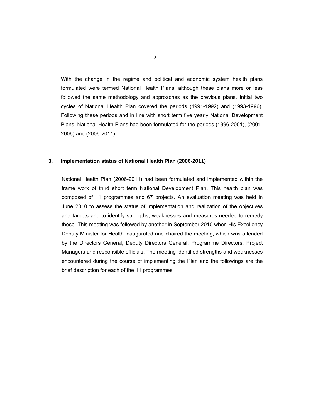With the change in the regime and political and economic system health plans formulated were termed National Health Plans, although these plans more or less followed the same methodology and approaches as the previous plans. Initial two cycles of National Health Plan covered the periods (1991-1992) and (1993-1996). Following these periods and in line with short term five yearly National Development Plans, National Health Plans had been formulated for the periods (1996-2001), (2001- 2006) and (2006-2011).

# **3. Implementation status of National Health Plan (2006-2011)**

National Health Plan (2006-2011) had been formulated and implemented within the frame work of third short term National Development Plan. This health plan was composed of 11 programmes and 67 projects. An evaluation meeting was held in June 2010 to assess the status of implementation and realization of the objectives and targets and to identify strengths, weaknesses and measures needed to remedy these. This meeting was followed by another in September 2010 when His Excellency Deputy Minister for Health inaugurated and chaired the meeting, which was attended by the Directors General, Deputy Directors General, Programme Directors, Project Managers and responsible officials. The meeting identified strengths and weaknesses encountered during the course of implementing the Plan and the followings are the brief description for each of the 11 programmes: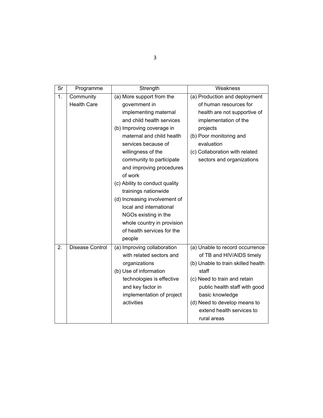| Sr           | Programme          | Strength                       | Weakness                           |
|--------------|--------------------|--------------------------------|------------------------------------|
| $\mathbf{1}$ | Community          | (a) More support from the      | (a) Production and deployment      |
|              | <b>Health Care</b> | government in                  | of human resources for             |
|              |                    | implementing maternal          | health are not supportive of       |
|              |                    | and child health services      | implementation of the              |
|              |                    | (b) Improving coverage in      | projects                           |
|              |                    | maternal and child health      | (b) Poor monitoring and            |
|              |                    | services because of            | evaluation                         |
|              |                    | willingness of the             | (c) Collaboration with related     |
|              |                    | community to participate       | sectors and organizations          |
|              |                    | and improving procedures       |                                    |
|              |                    | of work                        |                                    |
|              |                    | (c) Ability to conduct quality |                                    |
|              |                    | trainings nationwide           |                                    |
|              |                    | (d) Increasing involvement of  |                                    |
|              |                    | local and international        |                                    |
|              |                    | NGOs existing in the           |                                    |
|              |                    | whole country in provision     |                                    |
|              |                    | of health services for the     |                                    |
|              |                    | people                         |                                    |
| 2.           | Disease Control    | (a) Improving collaboration    | (a) Unable to record occurrence    |
|              |                    | with related sectors and       | of TB and HIV/AIDS timely          |
|              |                    | organizations                  | (b) Unable to train skilled health |
|              |                    | (b) Use of information         | staff                              |
|              |                    | technologies is effective      | (c) Need to train and retain       |
|              |                    | and key factor in              | public health staff with good      |
|              |                    | implementation of project      | basic knowledge                    |
|              |                    | activities                     | (d) Need to develop means to       |
|              |                    |                                | extend health services to          |
|              |                    |                                | rural areas                        |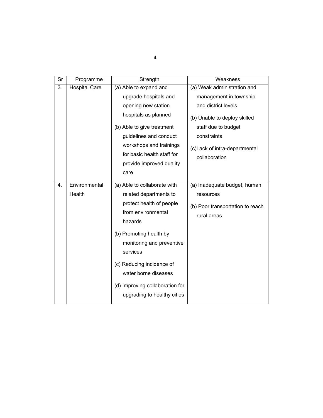| Sr | Programme            | Strength                                                                          | Weakness                                        |
|----|----------------------|-----------------------------------------------------------------------------------|-------------------------------------------------|
| 3. | <b>Hospital Care</b> | (a) Able to expand and                                                            | (a) Weak administration and                     |
|    |                      | upgrade hospitals and                                                             | management in township                          |
|    |                      | opening new station                                                               | and district levels                             |
|    |                      | hospitals as planned                                                              | (b) Unable to deploy skilled                    |
|    |                      | (b) Able to give treatment                                                        | staff due to budget                             |
|    |                      | guidelines and conduct                                                            | constraints                                     |
|    |                      | workshops and trainings<br>for basic health staff for<br>provide improved quality | (c) Lack of intra-departmental<br>collaboration |
|    |                      | care                                                                              |                                                 |
| 4. | Environmental        | (a) Able to collaborate with                                                      | (a) Inadequate budget, human                    |
|    | Health               | related departments to                                                            | resources                                       |
|    |                      | protect health of people<br>from environmental<br>hazards                         | (b) Poor transportation to reach<br>rural areas |
|    |                      | (b) Promoting health by<br>monitoring and preventive<br>services                  |                                                 |
|    |                      | (c) Reducing incidence of<br>water borne diseases                                 |                                                 |
|    |                      | (d) Improving collaboration for<br>upgrading to healthy cities                    |                                                 |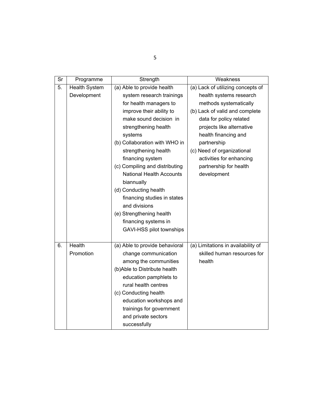| Sr | Programme            | Strength                                                                                                                                                                                                                                                                                                                                                                                                                                                                                                                                                                                                                                                                                                                                                       | Weakness                           |  |
|----|----------------------|----------------------------------------------------------------------------------------------------------------------------------------------------------------------------------------------------------------------------------------------------------------------------------------------------------------------------------------------------------------------------------------------------------------------------------------------------------------------------------------------------------------------------------------------------------------------------------------------------------------------------------------------------------------------------------------------------------------------------------------------------------------|------------------------------------|--|
| 5. | <b>Health System</b> | (a) Able to provide health                                                                                                                                                                                                                                                                                                                                                                                                                                                                                                                                                                                                                                                                                                                                     | (a) Lack of utilizing concepts of  |  |
|    | Development          | system research trainings<br>health systems research<br>for health managers to<br>methods systematically<br>(b) Lack of valid and complete<br>improve their ability to<br>make sound decision in<br>data for policy related<br>projects like alternative<br>strengthening health<br>systems<br>health financing and<br>(b) Collaboration with WHO in<br>partnership<br>(c) Need of organizational<br>strengthening health<br>financing system<br>activities for enhancing<br>(c) Compiling and distributing<br>partnership for health<br><b>National Health Accounts</b><br>development<br>biannually<br>(d) Conducting health<br>financing studies in states<br>and divisions<br>(e) Strengthening health<br>financing systems in<br>GAVI-HSS pilot townships |                                    |  |
| 6. | Health               | (a) Able to provide behavioral                                                                                                                                                                                                                                                                                                                                                                                                                                                                                                                                                                                                                                                                                                                                 | (a) Limitations in availability of |  |
|    | Promotion            | change communication                                                                                                                                                                                                                                                                                                                                                                                                                                                                                                                                                                                                                                                                                                                                           | skilled human resources for        |  |
|    |                      | among the communities                                                                                                                                                                                                                                                                                                                                                                                                                                                                                                                                                                                                                                                                                                                                          | health                             |  |
|    |                      | (b)Able to Distribute health                                                                                                                                                                                                                                                                                                                                                                                                                                                                                                                                                                                                                                                                                                                                   |                                    |  |
|    |                      | education pamphlets to<br>rural health centres                                                                                                                                                                                                                                                                                                                                                                                                                                                                                                                                                                                                                                                                                                                 |                                    |  |
|    |                      | (c) Conducting health                                                                                                                                                                                                                                                                                                                                                                                                                                                                                                                                                                                                                                                                                                                                          |                                    |  |
|    |                      | education workshops and                                                                                                                                                                                                                                                                                                                                                                                                                                                                                                                                                                                                                                                                                                                                        |                                    |  |
|    |                      | trainings for government                                                                                                                                                                                                                                                                                                                                                                                                                                                                                                                                                                                                                                                                                                                                       |                                    |  |
|    |                      | and private sectors                                                                                                                                                                                                                                                                                                                                                                                                                                                                                                                                                                                                                                                                                                                                            |                                    |  |
|    |                      | successfully                                                                                                                                                                                                                                                                                                                                                                                                                                                                                                                                                                                                                                                                                                                                                   |                                    |  |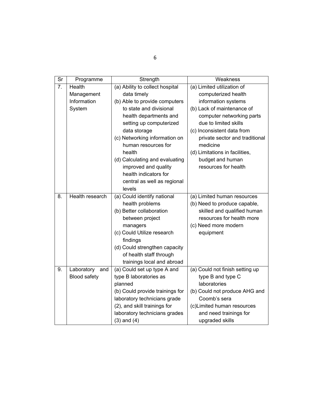| $\overline{\text{Sr}}$ | Programme              | Strength                                                        | Weakness                                      |  |
|------------------------|------------------------|-----------------------------------------------------------------|-----------------------------------------------|--|
| 7.                     | Health                 | (a) Ability to collect hospital                                 | (a) Limited utilization of                    |  |
|                        | Management             | data timely                                                     | computerized health                           |  |
|                        | Information            | (b) Able to provide computers                                   | information systems                           |  |
|                        | System                 | to state and divisional                                         | (b) Lack of maintenance of                    |  |
|                        |                        | health departments and                                          | computer networking parts                     |  |
|                        |                        | setting up computerized                                         | due to limited skills                         |  |
|                        |                        | data storage                                                    | (c) Inconsistent data from                    |  |
|                        |                        | (c) Networking information on<br>human resources for            | private sector and traditional<br>medicine    |  |
|                        |                        | health                                                          | (d) Limitations in facilities,                |  |
|                        |                        | (d) Calculating and evaluating                                  | budget and human                              |  |
|                        |                        | improved and quality                                            | resources for health                          |  |
|                        |                        | health indicators for                                           |                                               |  |
|                        |                        | central as well as regional                                     |                                               |  |
|                        |                        | levels                                                          |                                               |  |
| 8.                     | <b>Health research</b> | (a) Could identify national                                     | (a) Limited human resources                   |  |
|                        |                        | health problems                                                 | (b) Need to produce capable,                  |  |
|                        |                        | (b) Better collaboration                                        | skilled and qualified human                   |  |
|                        |                        | between project                                                 | resources for health more                     |  |
|                        |                        | managers                                                        | (c) Need more modern                          |  |
|                        |                        | (c) Could Utilize research                                      | equipment                                     |  |
|                        |                        | findings                                                        |                                               |  |
|                        |                        | (d) Could strengthen capacity                                   |                                               |  |
|                        |                        | of health staff through                                         |                                               |  |
|                        |                        | trainings local and abroad                                      |                                               |  |
| 9.                     | Laboratory<br>and      | (a) Could set up type A and                                     | (a) Could not finish setting up               |  |
|                        | <b>Blood safety</b>    | type B laboratories as<br>planned                               | type B and type C<br>laboratories             |  |
|                        |                        |                                                                 |                                               |  |
|                        |                        | (b) Could provide trainings for<br>laboratory technicians grade | (b) Could not produce AHG and<br>Coomb's sera |  |
|                        |                        | (2), and skill trainings for                                    | (c)Limited human resources                    |  |
|                        |                        | laboratory technicians grades                                   | and need trainings for                        |  |
|                        |                        | $(3)$ and $(4)$                                                 | upgraded skills                               |  |
|                        |                        |                                                                 |                                               |  |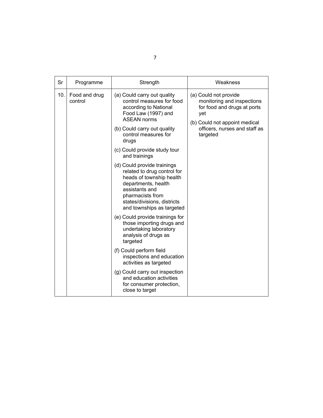| Sr  | Programme                | Strength                                                                                                                                                                                                                                                                                                                                                                                                                                                                                                                                                                                                                                                                                                                                                                                        | Weakness                                                                                                                                                                |
|-----|--------------------------|-------------------------------------------------------------------------------------------------------------------------------------------------------------------------------------------------------------------------------------------------------------------------------------------------------------------------------------------------------------------------------------------------------------------------------------------------------------------------------------------------------------------------------------------------------------------------------------------------------------------------------------------------------------------------------------------------------------------------------------------------------------------------------------------------|-------------------------------------------------------------------------------------------------------------------------------------------------------------------------|
| 10. | Food and drug<br>control | (a) Could carry out quality<br>control measures for food<br>according to National<br>Food Law (1997) and<br><b>ASEAN norms</b><br>(b) Could carry out quality<br>control measures for<br>drugs<br>(c) Could provide study tour<br>and trainings<br>(d) Could provide trainings<br>related to drug control for<br>heads of township health<br>departments, health<br>assistants and<br>pharmacists from<br>states/divisions, districts<br>and townships as targeted<br>(e) Could provide trainings for<br>those importing drugs and<br>undertaking laboratory<br>analysis of drugs as<br>targeted<br>(f) Could perform field<br>inspections and education<br>activities as targeted<br>(g) Could carry out inspection<br>and education activities<br>for consumer protection,<br>close to target | (a) Could not provide<br>monitoring and inspections<br>for food and drugs at ports<br>yet<br>(b) Could not appoint medical<br>officers, nurses and staff as<br>targeted |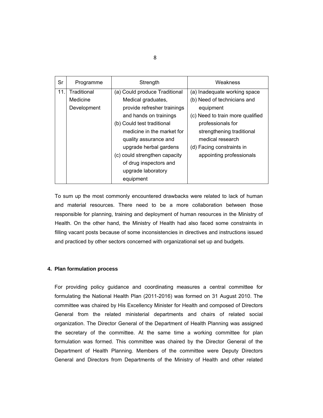| Sr  | Programme   | Strength                      | Weakness                         |
|-----|-------------|-------------------------------|----------------------------------|
| 11. | Traditional | (a) Could produce Traditional | (a) Inadequate working space     |
|     | Medicine    | Medical graduates,            | (b) Need of technicians and      |
|     | Development | provide refresher trainings   | equipment                        |
|     |             | and hands on trainings        | (c) Need to train more qualified |
|     |             | (b) Could test traditional    | professionals for                |
|     |             | medicine in the market for    | strengthening traditional        |
|     |             | quality assurance and         | medical research                 |
|     |             | upgrade herbal gardens        | (d) Facing constraints in        |
|     |             | (c) could strengthen capacity | appointing professionals         |
|     |             | of drug inspectors and        |                                  |
|     |             | upgrade laboratory            |                                  |
|     |             | equipment                     |                                  |

To sum up the most commonly encountered drawbacks were related to lack of human and material resources. There need to be a more collaboration between those responsible for planning, training and deployment of human resources in the Ministry of Health. On the other hand, the Ministry of Health had also faced some constraints in filling vacant posts because of some inconsistencies in directives and instructions issued and practiced by other sectors concerned with organizational set up and budgets.

# **4. Plan formulation process**

For providing policy guidance and coordinating measures a central committee for formulating the National Health Plan (2011-2016) was formed on 31 August 2010. The committee was chaired by His Excellency Minister for Health and composed of Directors General from the related ministerial departments and chairs of related social organization. The Director General of the Department of Health Planning was assigned the secretary of the committee. At the same time a working committee for plan formulation was formed. This committee was chaired by the Director General of the Department of Health Planning. Members of the committee were Deputy Directors General and Directors from Departments of the Ministry of Health and other related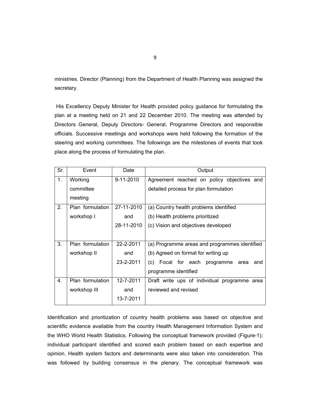ministries. Director (Planning) from the Department of Health Planning was assigned the secretary.

 His Excellency Deputy Minister for Health provided policy guidance for formulating the plan at a meeting held on 21 and 22 December 2010. The meeting was attended by Directors General, Deputy Directors- General, Programme Directors and responsible officials. Successive meetings and workshops were held following the formation of the steering and working committees. The followings are the milestones of events that took place along the process of formulating the plan.

| Sr. | Event            | Date       | Output                                        |
|-----|------------------|------------|-----------------------------------------------|
| 1.  | Working          | 9-11-2010  | Agreement reached on policy objectives and    |
|     | committee        |            | detailed process for plan formulation         |
|     | meeting          |            |                                               |
| 2.  | Plan formulation | 27-11-2010 | (a) Country health problems identified        |
|     | workshop I       | and        | (b) Health problems prioritized               |
|     |                  | 28-11-2010 | (c) Vision and objectives developed           |
|     |                  |            |                                               |
| 3.  | Plan formulation | 22-2-2011  | (a) Programme areas and programmes identified |
|     | workshop II      | and        | (b) Agreed on format for writing up           |
|     |                  | 23-2-2011  | (c) Focal for each<br>programme area<br>and   |
|     |                  |            | programme identified                          |
| 4.  | Plan formulation | 12-7-2011  | Draft write ups of individual programme area  |
|     | workshop III     | and        | reviewed and revised                          |
|     |                  | 13-7-2011  |                                               |

Identification and prioritization of country health problems was based on objective and scientific evidence available from the country Health Management Information System and the WHO World Health Statistics. Following the conceptual framework provided (Figure-1); individual participant identified and scored each problem based on each expertise and opinion. Health system factors and determinants were also taken into consideration. This was followed by building consensus in the plenary. The conceptual framework was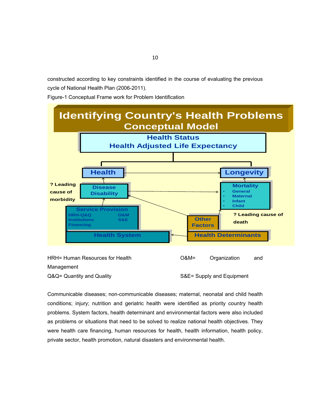constructed according to key constraints identified in the course of evaluating the previous cycle of National Health Plan (2006-2011).

Figure-1 Conceptual Frame work for Problem Identification



| HRH= Human Resources for Health | $O&M=$                    | Organization | and |
|---------------------------------|---------------------------|--------------|-----|
| Management                      |                           |              |     |
| Q&Q= Quantity and Quality       | S&E= Supply and Equipment |              |     |

Communicable diseases; non-communicable diseases; maternal, neonatal and child health conditions; injury; nutrition and geriatric health were identified as priority country health problems. System factors, health determinant and environmental factors were also included as problems or situations that need to be solved to realize national health objectives. They were health care financing, human resources for health, health information, health policy, private sector, health promotion, natural disasters and environmental health.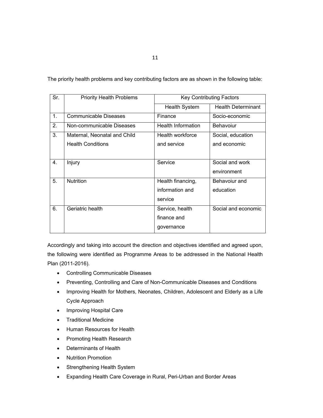The priority health problems and key contributing factors are as shown in the following table:

| Sr. | <b>Priority Health Problems</b> |                           | <b>Key Contributing Factors</b> |
|-----|---------------------------------|---------------------------|---------------------------------|
|     |                                 | <b>Health System</b>      | <b>Health Determinant</b>       |
| 1.  | Communicable Diseases           | Finance                   | Socio-economic                  |
| 2.  | Non-communicable Diseases       | <b>Health Information</b> | Behavoiur                       |
| 3.  | Maternal, Neonatal and Child    | Health workforce          | Social, education               |
|     | <b>Health Conditions</b>        | and service               | and economic                    |
|     |                                 |                           |                                 |
| 4.  | Injury                          | Service                   | Social and work                 |
|     |                                 |                           | environment                     |
| 5.  | <b>Nutrition</b>                | Health financing,         | Behavoiur and                   |
|     |                                 | information and           | education                       |
|     |                                 | service                   |                                 |
| 6.  | Geriatric health                | Service, health           | Social and economic             |
|     |                                 | finance and               |                                 |
|     |                                 | governance                |                                 |
|     |                                 |                           |                                 |

Accordingly and taking into account the direction and objectives identified and agreed upon, the following were identified as Programme Areas to be addressed in the National Health Plan (2011-2016).

- Controlling Communicable Diseases
- Preventing, Controlling and Care of Non-Communicable Diseases and Conditions
- Improving Health for Mothers, Neonates, Children, Adolescent and Elderly as a Life Cycle Approach
- Improving Hospital Care
- **•** Traditional Medicine
- Human Resources for Health
- Promoting Health Research
- Determinants of Health
- Nutrition Promotion
- Strengthening Health System
- Expanding Health Care Coverage in Rural, Peri-Urban and Border Areas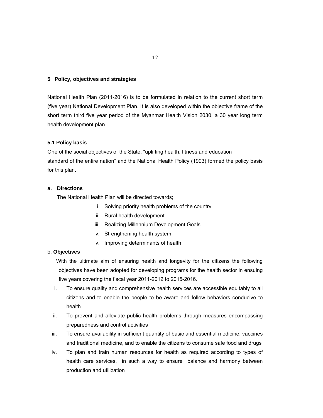# **5 Policy, objectives and strategies**

National Health Plan (2011-2016) is to be formulated in relation to the current short term (five year) National Development Plan. It is also developed within the objective frame of the short term third five year period of the Myanmar Health Vision 2030, a 30 year long term health development plan.

# **5.1 Policy basis**

One of the social objectives of the State, "uplifting health, fitness and education standard of the entire nation" and the National Health Policy (1993) formed the policy basis for this plan.

# **a. Directions**

The National Health Plan will be directed towards;

- i. Solving priority health problems of the country
- ii. Rural health development
- iii. Realizing Millennium Development Goals
- iv. Strengthening health system
- v. Improving determinants of health

# b. **Objectives**

 With the ultimate aim of ensuring health and longevity for the citizens the following objectives have been adopted for developing programs for the health sector in ensuing five years covering the fiscal year 2011-2012 to 2015-2016.

- i. To ensure quality and comprehensive health services are accessible equitably to all citizens and to enable the people to be aware and follow behaviors conducive to health
- ii. To prevent and alleviate public health problems through measures encompassing preparedness and control activities
- iii. To ensure availability in sufficient quantity of basic and essential medicine, vaccines and traditional medicine, and to enable the citizens to consume safe food and drugs
- iv. To plan and train human resources for health as required according to types of health care services, in such a way to ensure balance and harmony between production and utilization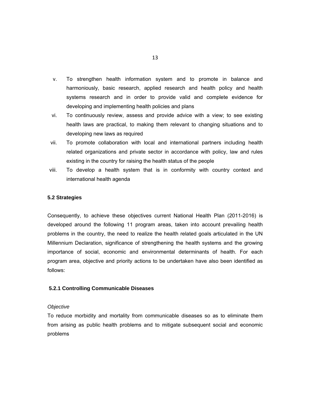- v. To strengthen health information system and to promote in balance and harmoniously, basic research, applied research and health policy and health systems research and in order to provide valid and complete evidence for developing and implementing health policies and plans
- vi. To continuously review, assess and provide advice with a view; to see existing health laws are practical, to making them relevant to changing situations and to developing new laws as required
- vii. To promote collaboration with local and international partners including health related organizations and private sector in accordance with policy, law and rules existing in the country for raising the health status of the people
- viii. To develop a health system that is in conformity with country context and international health agenda

# **5.2 Strategies**

Consequently, to achieve these objectives current National Health Plan (2011-2016) is developed around the following 11 program areas, taken into account prevailing health problems in the country, the need to realize the health related goals articulated in the UN Millennium Declaration, significance of strengthening the health systems and the growing importance of social, economic and environmental determinants of health. For each program area, objective and priority actions to be undertaken have also been identified as follows:

# **5.2.1 Controlling Communicable Diseases**

#### *Objective*

To reduce morbidity and mortality from communicable diseases so as to eliminate them from arising as public health problems and to mitigate subsequent social and economic problems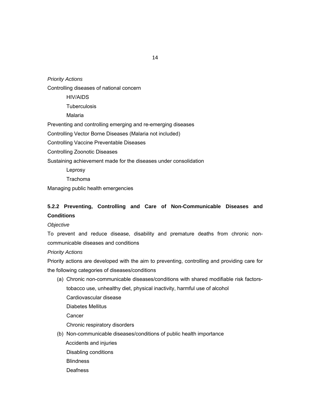# *Priority Actions*

Controlling diseases of national concern

HIV/AIDS

**Tuberculosis** 

Malaria

Preventing and controlling emerging and re-emerging diseases

Controlling Vector Borne Diseases (Malaria not included)

Controlling Vaccine Preventable Diseases

Controlling Zoonotic Diseases

Sustaining achievement made for the diseases under consolidation

Leprosy

Trachoma

Managing public health emergencies

# **5.2.2 Preventing, Controlling and Care of Non-Communicable Diseases and Conditions**

# *Objective*

To prevent and reduce disease, disability and premature deaths from chronic noncommunicable diseases and conditions

# *Priority Actions*

Priority actions are developed with the aim to preventing, controlling and providing care for the following categories of diseases/conditions

- (a) Chronic non-communicable diseases/conditions with shared modifiable risk factorstobacco use, unhealthy diet, physical inactivity, harmful use of alcohol Cardiovascular disease Diabetes Mellitus **Cancer** Chronic respiratory disorders (b) Non-communicable diseases/conditions of public health importance
	- Accidents and injuries
	- Disabling conditions
	- **Blindness**
	- Deafness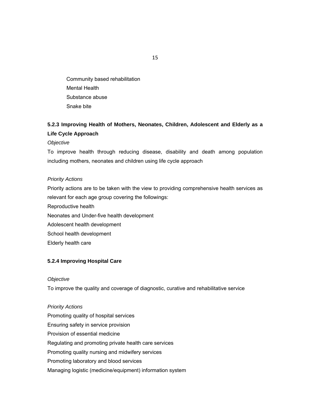Community based rehabilitation Mental Health Substance abuse Snake bite

# **5.2.3 Improving Health of Mothers, Neonates, Children, Adolescent and Elderly as a Life Cycle Approach**

*Objective* 

To improve health through reducing disease, disability and death among population including mothers, neonates and children using life cycle approach

# *Priority Actions*

Priority actions are to be taken with the view to providing comprehensive health services as relevant for each age group covering the followings: Reproductive health Neonates and Under-five health development Adolescent health development School health development Elderly health care

# **5.2.4 Improving Hospital Care**

# *Objective*

To improve the quality and coverage of diagnostic, curative and rehabilitative service

*Priority Actions*  Promoting quality of hospital services Ensuring safety in service provision Provision of essential medicine Regulating and promoting private health care services Promoting quality nursing and midwifery services Promoting laboratory and blood services Managing logistic (medicine/equipment) information system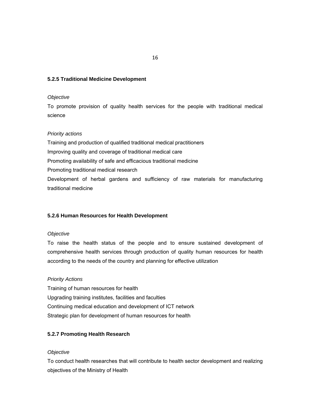# **5.2.5 Traditional Medicine Development**

# *Objective*

To promote provision of quality health services for the people with traditional medical science

# *Priority actions*

Training and production of qualified traditional medical practitioners Improving quality and coverage of traditional medical care Promoting availability of safe and efficacious traditional medicine Promoting traditional medical research Development of herbal gardens and sufficiency of raw materials for manufacturing traditional medicine

# **5.2.6 Human Resources for Health Development**

# *Objective*

To raise the health status of the people and to ensure sustained development of comprehensive health services through production of quality human resources for health according to the needs of the country and planning for effective utilization

# *Priority Actions*

Training of human resources for health Upgrading training institutes, facilities and faculties Continuing medical education and development of ICT network Strategic plan for development of human resources for health

# **5.2.7 Promoting Health Research**

# *Objective*

To conduct health researches that will contribute to health sector development and realizing objectives of the Ministry of Health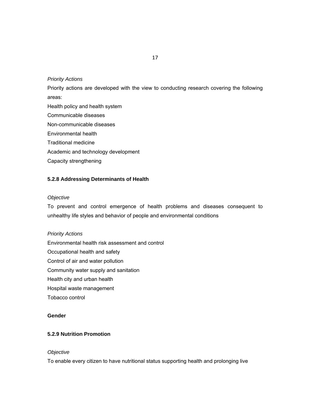# *Priority Actions*

Priority actions are developed with the view to conducting research covering the following areas:

Health policy and health system Communicable diseases Non-communicable diseases Environmental health Traditional medicine Academic and technology development Capacity strengthening

# **5.2.8 Addressing Determinants of Health**

# *Objective*

To prevent and control emergence of health problems and diseases consequent to unhealthy life styles and behavior of people and environmental conditions

*Priority Actions*  Environmental health risk assessment and control Occupational health and safety Control of air and water pollution Community water supply and sanitation Health city and urban health Hospital waste management Tobacco control

# **Gender**

# **5.2.9 Nutrition Promotion**

# *Objective*

To enable every citizen to have nutritional status supporting health and prolonging live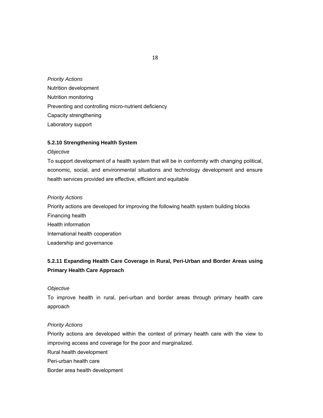# *Priority Actions*  Nutrition development Nutrition monitoring Preventing and controlling micro-nutrient deficiency Capacity strengthening Laboratory support

# **5.2.10 Strengthening Health System**

# *Objective*

To support development of a health system that will be in conformity with changing political, economic, social, and environmental situations and technology development and ensure health services provided are effective, efficient and equitable

# *Priority Actions*

Priority actions are developed for improving the following health system building blocks Financing health Health information International health cooperation Leadership and governance

# **5.2.11 Expanding Health Care Coverage in Rural, Peri-Urban and Border Areas using Primary Health Care Approach**

# *Objective*

To improve health in rural, peri-urban and border areas through primary health care approach

# *Priority Actions*

Priority actions are developed within the context of primary health care with the view to improving access and coverage for the poor and marginalized.

Rural health development

- Peri-urban health care
- Border area health development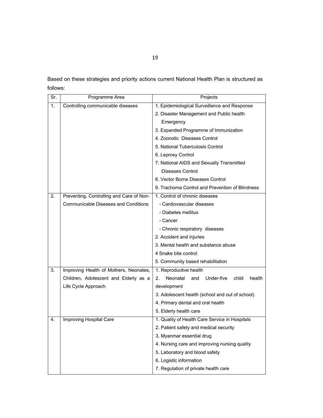Based on these strategies and priority actions current National Health Plan is structured as follows:

| Sr. | Programme Area                              | Projects                                               |  |
|-----|---------------------------------------------|--------------------------------------------------------|--|
| 1.  | Controlling communicable diseases           | 1. Epidemiological Surveillance and Response           |  |
|     |                                             | 2. Disaster Management and Public health               |  |
|     |                                             | Emergency                                              |  |
|     |                                             | 3. Expanded Programme of Immunization                  |  |
|     |                                             | 4. Zoonotic Diseases Control                           |  |
|     |                                             | 5. National Tuberculosis Control                       |  |
|     |                                             | 6. Leprosy Control                                     |  |
|     |                                             | 7. National AIDS and Sexually Transmitted              |  |
|     |                                             | <b>Diseases Control</b>                                |  |
|     |                                             | 8. Vector Borne Diseases Control                       |  |
|     |                                             | 9. Trachoma Control and Prevention of Blindness        |  |
| 2.  | Preventing, Controlling and Care of Non-    | 1. Control of chronic diseases                         |  |
|     | <b>Communicable Diseases and Conditions</b> | - Cardiovascular diseases                              |  |
|     |                                             | - Diabetes mellitus                                    |  |
|     |                                             | - Cancer                                               |  |
|     |                                             | - Chronic respiratory diseases                         |  |
|     |                                             | 2. Accident and injuries                               |  |
|     |                                             | 3. Mental health and substance abuse                   |  |
|     |                                             | 4 Snake bite control                                   |  |
|     |                                             | 5. Community based rehabilitation                      |  |
| 3.  | Improving Health of Mothers, Neonates,      | 1. Reproductive health                                 |  |
|     | Children, Adolescent and Elderly as a       | 2.<br>Neonatal<br>and<br>Under-five<br>child<br>health |  |
|     | Life Cycle Approach                         | development                                            |  |
|     |                                             | 3. Adolescent health (school and out of school)        |  |
|     |                                             | 4. Primary dental and oral health                      |  |
|     |                                             | 5. Elderly health care                                 |  |
| 4.  | Improving Hospital Care                     | 1. Quality of Health Care Service in Hospitals         |  |
|     |                                             | 2. Patient safety and medical security                 |  |
|     |                                             | 3. Myanmar essential drug                              |  |
|     |                                             | 4. Nursing care and improving nursing quality          |  |
|     |                                             | 5. Laboratory and blood safety                         |  |
|     |                                             | 6. Logistic information                                |  |
|     |                                             | 7. Regulation of private health care                   |  |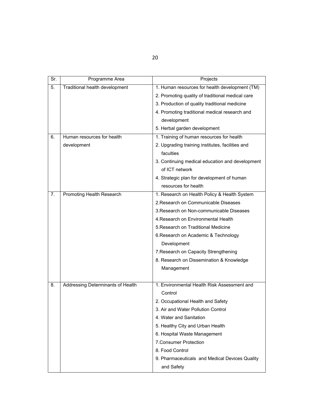| ۰. | I             |
|----|---------------|
|    | ۰.<br>×<br>۰. |

| Sr. | Programme Area                    | Projects                                         |
|-----|-----------------------------------|--------------------------------------------------|
| 5.  | Traditional health development    | 1. Human resources for health development (TM)   |
|     |                                   | 2. Promoting quality of traditional medical care |
|     |                                   | 3. Production of quality traditional medicine    |
|     |                                   | 4. Promoting traditional medical research and    |
|     |                                   | development                                      |
|     |                                   | 5. Herbal garden development                     |
| 6.  | Human resources for health        | 1. Training of human resources for health        |
|     | development                       | 2. Upgrading training institutes, facilities and |
|     |                                   | faculties                                        |
|     |                                   | 3. Continuing medical education and development  |
|     |                                   | of ICT network                                   |
|     |                                   | 4. Strategic plan for development of human       |
|     |                                   | resources for health                             |
| 7.  | Promoting Health Research         | 1. Research on Health Policy & Health System     |
|     |                                   | 2. Research on Communicable Diseases             |
|     |                                   | 3. Research on Non-communicable Diseases         |
|     |                                   | 4. Research on Environmental Health              |
|     |                                   | 5. Research on Traditional Medicine              |
|     |                                   | 6. Research on Academic & Technology             |
|     |                                   | Development                                      |
|     |                                   | 7. Research on Capacity Strengthening            |
|     |                                   | 8. Research on Dissemination & Knowledge         |
|     |                                   | Management                                       |
|     |                                   |                                                  |
| 8.  | Addressing Determinants of Health | 1. Environmental Health Risk Assessment and      |
|     |                                   | Control                                          |
|     |                                   | 2. Occupational Health and Safety                |
|     |                                   | 3. Air and Water Pollution Control               |
|     |                                   | 4. Water and Sanitation                          |
|     |                                   | 5. Healthy City and Urban Health                 |
|     |                                   | 6. Hospital Waste Management                     |
|     |                                   | 7. Consumer Protection                           |
|     |                                   | 8. Food Control                                  |
|     |                                   | 9. Pharmaceuticals and Medical Devices Quality   |
|     |                                   | and Safety                                       |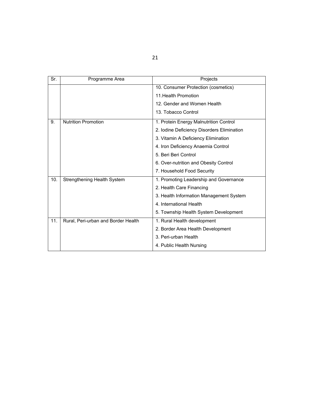| Sr. | Programme Area                      | Projects                                   |
|-----|-------------------------------------|--------------------------------------------|
|     |                                     | 10. Consumer Protection (cosmetics)        |
|     |                                     | 11. Health Promotion                       |
|     |                                     | 12. Gender and Women Health                |
|     |                                     | 13. Tobacco Control                        |
| 9.  | <b>Nutrition Promotion</b>          | 1. Protein Energy Malnutrition Control     |
|     |                                     | 2. Iodine Deficiency Disorders Elimination |
|     |                                     | 3. Vitamin A Deficiency Elimination        |
|     |                                     | 4. Iron Deficiency Anaemia Control         |
|     |                                     | 5. Beri Beri Control                       |
|     |                                     | 6. Over-nutrition and Obesity Control      |
|     |                                     | 7. Household Food Security                 |
| 10. | Strengthening Health System         | 1. Promoting Leadership and Governance     |
|     |                                     | 2. Health Care Financing                   |
|     |                                     | 3. Health Information Management System    |
|     |                                     | 4. International Health                    |
|     |                                     | 5. Township Health System Development      |
| 11. | Rural, Peri-urban and Border Health | 1. Rural Health development                |
|     |                                     | 2. Border Area Health Development          |
|     |                                     | 3. Peri-urban Health                       |
|     |                                     | 4. Public Health Nursing                   |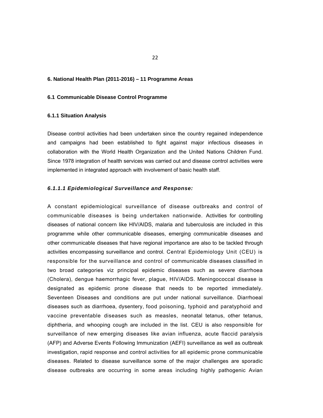# **6. National Health Plan (2011-2016) – 11 Programme Areas**

# **6.1 Communicable Disease Control Programme**

# **6.1.1 Situation Analysis**

Disease control activities had been undertaken since the country regained independence and campaigns had been established to fight against major infectious diseases in collaboration with the World Health Organization and the United Nations Children Fund. Since 1978 integration of health services was carried out and disease control activities were implemented in integrated approach with involvement of basic health staff.

# *6.1.1.1 Epidemiological Surveillance and Response:*

A constant epidemiological surveillance of disease outbreaks and control of communicable diseases is being undertaken nationwide. Activities for controlling diseases of national concern like HIV/AIDS, malaria and tuberculosis are included in this programme while other communicable diseases, emerging communicable diseases and other communicable diseases that have regional importance are also to be tackled through activities encompassing surveillance and control. Central Epidemiology Unit (CEU) is responsible for the surveillance and control of communicable diseases classified in two broad categories viz principal epidemic diseases such as severe diarrhoea (Cholera), dengue haemorrhagic fever, plague, HIV/AIDS. Meningococcal disease is designated as epidemic prone disease that needs to be reported immediately. Seventeen Diseases and conditions are put under national surveillance. Diarrhoeal diseases such as diarrhoea, dysentery, food poisoning, typhoid and paratyphoid and vaccine preventable diseases such as measles, neonatal tetanus, other tetanus, diphtheria, and whooping cough are included in the list. CEU is also responsible for surveillance of new emerging diseases like avian influenza, acute flaccid paralysis (AFP) and Adverse Events Following Immunization (AEFI) surveillance as well as outbreak investigation, rapid response and control activities for all epidemic prone communicable diseases. Related to disease surveillance some of the major challenges are sporadic disease outbreaks are occurring in some areas including highly pathogenic Avian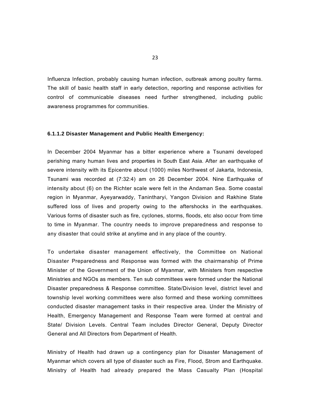Influenza Infection, probably causing human infection, outbreak among poultry farms. The skill of basic health staff in early detection, reporting and response activities for control of communicable diseases need further strengthened, including public awareness programmes for communities.

# **6.1.1.2 Disaster Management and Public Health Emergency:**

In December 2004 Myanmar has a bitter experience where a Tsunami developed perishing many human lives and properties in South East Asia. After an earthquake of severe intensity with its Epicentre about (1000) miles Northwest of Jakarta, Indonesia, Tsunami was recorded at (7:32:4) am on 26 December 2004. Nine Earthquake of intensity about (6) on the Richter scale were felt in the Andaman Sea. Some coastal region in Myanmar, Ayeyarwaddy, Tanintharyi, Yangon Division and Rakhine State suffered loss of lives and property owing to the aftershocks in the earthquakes. Various forms of disaster such as fire, cyclones, storms, floods, etc also occur from time to time in Myanmar. The country needs to improve preparedness and response to any disaster that could strike at anytime and in any place of the country.

To undertake disaster management effectively, the Committee on National Disaster Preparedness and Response was formed with the chairmanship of Prime Minister of the Government of the Union of Myanmar, with Ministers from respective Ministries and NGOs as members. Ten sub committees were formed under the National Disaster preparedness & Response committee. State/Division level, district level and township level working committees were also formed and these working committees conducted disaster management tasks in their respective area. Under the Ministry of Health, Emergency Management and Response Team were formed at central and State/ Division Levels. Central Team includes Director General, Deputy Director General and All Directors from Department of Health.

Ministry of Health had drawn up a contingency plan for Disaster Management of Myanmar which covers all type of disaster such as Fire, Flood, Strom and Earthquake. Ministry of Health had already prepared the Mass Casualty Plan (Hospital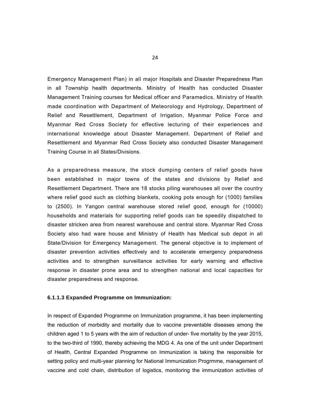Emergency Management Plan) in all major Hospitals and Disaster Preparedness Plan in all Township health departments. Ministry of Health has conducted Disaster Management Training courses for Medical officer and Paramedics. Ministry of Health made coordination with Department of Meteorology and Hydrology, Department of Relief and Resettlement, Department of Irrigation, Myanmar Police Force and Myanmar Red Cross Society for effective lecturing of their experiences and international knowledge about Disaster Management. Department of Relief and Resettlement and Myanmar Red Cross Society also conducted Disaster Management Training Course in all States/Divisions.

As a preparedness measure, the stock dumping centers of relief goods have been established in major towns of the states and divisions by Relief and Resettlement Department. There are 18 stocks piling warehouses all over the country where relief good such as clothing blankets, cooking pots enough for (1000) families to (2500). In Yangon central warehouse stored relief good, enough for (10000) households and materials for supporting relief goods can be speedily dispatched to disaster stricken area from nearest warehouse and central store. Myanmar Red Cross Society also had ware house and Ministry of Health has Medical sub depot in all State/Division for Emergency Management. The general objective is to implement of disaster prevention activities effectively and to accelerate emergency preparedness activities and to strengthen surveillance activities for early warning and effective response in disaster prone area and to strengthen national and local capacities for disaster preparedness and response.

# **6.1.1.3 Expanded Programme on Immunization:**

In respect of Expanded Programme on Immunization programme, it has been implementing the reduction of morbidity and mortality due to vaccine preventable diseases among the children aged 1 to 5 years with the aim of reduction of under- five mortality by the year 2015, to the two-third of 1990, thereby achieving the MDG 4. As one of the unit under Department of Health, Central Expanded Programme on Immunization is taking the responsible for setting policy and multi-year planning for National Immunization Progrmme, management of vaccine and cold chain, distribution of logistics, monitoring the immunization activities of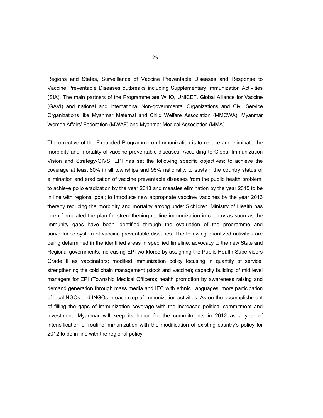Regions and States, Surveillance of Vaccine Preventable Diseases and Response to Vaccine Preventable Diseases outbreaks including Supplementary Immunization Activities (SIA). The main partners of the Programme are WHO, UNICEF, Global Alliance for Vaccine (GAVI) and national and international Non-governmental Organizations and Civil Service Organizations like Myanmar Maternal and Child Welfare Association (MMCWA), Myanmar Women Affairs' Federation (MWAF) and Myanmar Medical Association (MMA).

The objective of the Expanded Programme on Immunization is to reduce and eliminate the morbidity and mortality of vaccine preventable diseases. According to Global Immunization Vision and Strategy-GIVS, EPI has set the following specific objectives: to achieve the coverage at least 80% in all townships and 95% nationally; to sustain the country status of elimination and eradication of vaccine preventable diseases from the public health problem; to achieve polio eradication by the year 2013 and measles elimination by the year 2015 to be in line with regional goal; to introduce new appropriate vaccine/ vaccines by the year 2013 thereby reducing the morbidity and mortality among under 5 children. Ministry of Health has been formulated the plan for strengthening routine immunization in country as soon as the immunity gaps have been identified through the evaluation of the programme and surveillance system of vaccine preventable diseases. The following prioritized activities are being determined in the identified areas in specified timeline: advocacy to the new State and Regional governments; increasing EPI workforce by assigning the Public Health Supervisors Grade II as vaccinators; modified immunization policy focusing in quantity of service; strengthening the cold chain management (stock and vaccine); capacity building of mid level managers for EPI (Township Medical Officers); health promotion by awareness raising and demand generation through mass media and IEC with ethnic Languages; more participation of local NGOs and INGOs in each step of immunization activities. As on the accomplishment of filling the gaps of immunization coverage with the increased political commitment and investment, Myanmar will keep its honor for the commitments in 2012 as a year of intensification of routine immunization with the modification of existing country's policy for 2012 to be in line with the regional policy.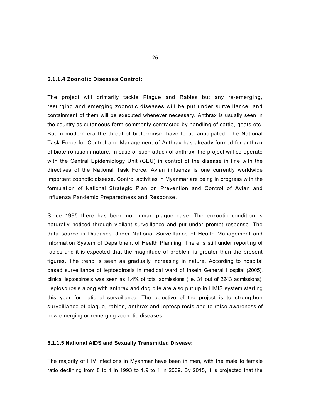# **6.1.1.4 Zoonotic Diseases Control:**

The project will primarily tackle Plague and Rabies but any re-emerging, resurging and emerging zoonotic diseases will be put under surveil**l**ance, and containment of them will be executed whenever necessary. Anthrax is usually seen in the country as cutaneous form commonly contracted by handling of cattle, goats etc. But in modern era the threat of bioterrorism have to be anticipated. The National Task Force for Control and Management of Anthrax has already formed for anthrax of bioterroristic in nature. In case of such attack of anthrax, the project will co-operate with the Central Epidemiology Unit (CEU) in control of the disease in line with the directives of the National Task Force. Avian influenza is one currently worldwide important zoonotic disease. Control activities in Myanmar are being in progress with the formulation of National Strategic Plan on Prevention and Control of Avian and Influenza Pandemic Preparedness and Response.

Since 1995 there has been no human plague case. The enzootic condition is naturally noticed through vigilant surveillance and put under prompt response. The data source is Diseases Under National Surveillance of Health Management and Information System of Department of Health Planning. There is still under reporting of rabies and it is expected that the magnitude of problem is greater than the present figures. The trend is seen as gradually increasing in nature. According to hospital based surveillance of leptospirosis in medical ward of Insein General Hospital (2005), clinical leptospirosis was seen as 1.4% of total admissions (i.e. 31 out of 2243 admissions). Leptospirosis along with anthrax and dog bite are also put up in HMIS system starting this year for national surveillance. The objective of the project is to strengthen surveillance of plague, rabies, anthrax and leptospirosis and to raise awareness of new emerging or remerging zoonotic diseases.

# **6.1.1.5 National AIDS and Sexually Transmitted Disease:**

The majority of HIV infections in Myanmar have been in men, with the male to female ratio declining from 8 to 1 in 1993 to 1.9 to 1 in 2009. By 2015, it is projected that the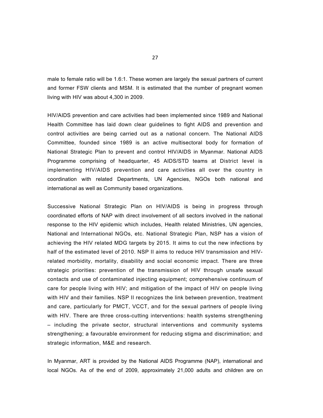male to female ratio will be 1.6:1. These women are largely the sexual partners of current and former FSW clients and MSM. It is estimated that the number of pregnant women living with HIV was about 4,300 in 2009.

HIV/AIDS prevention and care activities had been implemented since 1989 and National Health Committee has laid down clear guidelines to fight AIDS and prevention and control activities are being carried out as a national concern. The National AIDS Committee, founded since 1989 is an active multisectoral body for formation of National Strategic Plan to prevent and control HIV/AIDS in Myanmar. National AIDS Programme comprising of headquarter, 45 AIDS/STD teams at District level is implementing HIV/AIDS prevention and care activities all over the country in coordination with related Departments, UN Agencies, NGOs both national and international as well as Community based organizations.

Successive National Strategic Plan on HIV/AIDS is being in progress through coordinated efforts of NAP with direct involvement of all sectors involved in the national response to the HIV epidemic which includes, Health related Ministries, UN agencies, National and International NGOs, etc. National Strategic Plan, NSP has a vision of achieving the HIV related MDG targets by 2015. It aims to cut the new infections by half of the estimated level of 2010. NSP II aims to reduce HIV transmission and HIVrelated morbidity, mortality, disability and social economic impact. There are three strategic priorities: prevention of the transmission of HIV through unsafe sexual contacts and use of contaminated injecting equipment; comprehensive continuum of care for people living with HIV; and mitigation of the impact of HIV on people living with HIV and their families. NSP II recognizes the link between prevention, treatment and care, particularly for PMCT, VCCT, and for the sexual partners of people living with HIV. There are three cross-cutting interventions: health systems strengthening – including the private sector, structural interventions and community systems strengthening; a favourable environment for reducing stigma and discrimination; and strategic information, M&E and research.

In Myanmar, ART is provided by the National AIDS Programme (NAP), international and local NGOs. As of the end of 2009, approximately 21,000 adults and children are on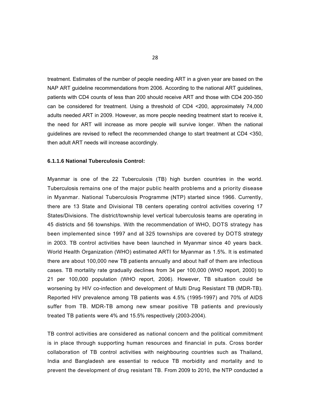treatment. Estimates of the number of people needing ART in a given year are based on the NAP ART guideline recommendations from 2006. According to the national ART guidelines, patients with CD4 counts of less than 200 should receive ART and those with CD4 200-350 can be considered for treatment. Using a threshold of CD4 <200, approximately 74,000 adults needed ART in 2009. However, as more people needing treatment start to receive it, the need for ART will increase as more people will survive longer. When the national guidelines are revised to reflect the recommended change to start treatment at CD4 <350, then adult ART needs will increase accordingly.

# **6.1.1.6 National Tuberculosis Control:**

Myanmar is one of the 22 Tuberculosis (TB) high burden countries in the world. Tuberculosis remains one of the major public health problems and a priority disease in Myanmar. National Tuberculosis Programme (NTP) started since 1966. Currently, there are 13 State and Divisional TB centers operating control activities covering 17 States/Divisions. The district/township level vertical tuberculosis teams are operating in 45 districts and 56 townships. With the recommendation of WHO, DOTS strategy has been implemented since 1997 and a**l** 325 townships are covered by DOTS strategy in 2003. TB control activities have been launched in Myanmar since 40 years back. World Health Organization (WHO) estimated ARTI for Myanmar as 1.5%. It is estimated there are about 100,000 new TB patients annually and about half of them are infectious cases. TB mortality rate gradually declines from 34 per 100,000 (WHO report, 2000) to 21 per 100,000 population (WHO report, 2006). However, TB situation could be worsening by HIV co-infection and development of Multi Drug Resistant TB (MDR-TB). Reported HIV prevalence among TB patients was 4.5% (1995-1997) and 70% of AIDS suffer from TB. MDR-TB among new smear positive TB patients and previously treated TB patients were 4% and 15.5% respectively (2003-2004).

TB control activities are considered as national concern and the political commitment is in place through supporting human resources and financial in puts. Cross border collaboration of TB control activities with neighbouring countries such as Thailand, India and Bangladesh are essential to reduce TB morbidity and mortality and to prevent the development of drug resistant TB. From 2009 to 2010, the NTP conducted a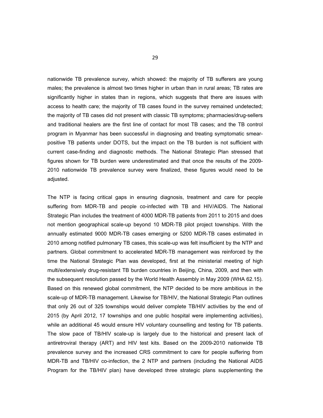nationwide TB prevalence survey, which showed: the majority of TB sufferers are young males; the prevalence is almost two times higher in urban than in rural areas; TB rates are significantly higher in states than in regions, which suggests that there are issues with access to health care; the majority of TB cases found in the survey remained undetected; the majority of TB cases did not present with classic TB symptoms; pharmacies/drug-sellers and traditional healers are the first line of contact for most TB cases; and the TB control program in Myanmar has been successful in diagnosing and treating symptomatic smearpositive TB patients under DOTS, but the impact on the TB burden is not sufficient with current case-finding and diagnostic methods. The National Strategic Plan stressed that figures shown for TB burden were underestimated and that once the results of the 2009- 2010 nationwide TB prevalence survey were finalized, these figures would need to be adjusted.

The NTP is facing critical gaps in ensuring diagnosis, treatment and care for people suffering from MDR-TB and people co-infected with TB and HIV/AIDS. The National Strategic Plan includes the treatment of 4000 MDR-TB patients from 2011 to 2015 and does not mention geographical scale-up beyond 10 MDR-TB pilot project townships. With the annually estimated 9000 MDR-TB cases emerging or 5200 MDR-TB cases estimated in 2010 among notified pulmonary TB cases, this scale-up was felt insufficient by the NTP and partners. Global commitment to accelerated MDR-TB management was reinforced by the time the National Strategic Plan was developed, first at the ministerial meeting of high multi/extensively drug-resistant TB burden countries in Beijing, China, 2009, and then with the subsequent resolution passed by the World Health Assembly in May 2009 (WHA 62.15). Based on this renewed global commitment, the NTP decided to be more ambitious in the scale-up of MDR-TB management. Likewise for TB/HIV, the National Strategic Plan outlines that only 26 out of 325 townships would deliver complete TB/HIV activities by the end of 2015 (by April 2012, 17 townships and one public hospital were implementing activities), while an additional 45 would ensure HIV voluntary counselling and testing for TB patients. The slow pace of TB/HIV scale-up is largely due to the historical and present lack of antiretroviral therapy (ART) and HIV test kits. Based on the 2009-2010 nationwide TB prevalence survey and the increased CRS commitment to care for people suffering from MDR-TB and TB/HIV co-infection, the 2 NTP and partners (including the National AIDS Program for the TB/HIV plan) have developed three strategic plans supplementing the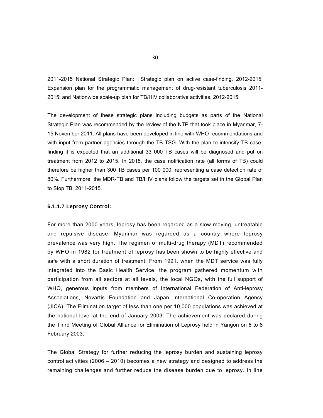2011-2015 National Strategic Plan: Strategic plan on active case-finding, 2012-2015; Expansion plan for the programmatic management of drug-resistant tuberculosis 2011- 2015; and Nationwide scale-up plan for TB/HIV collaborative activities, 2012-2015.

The development of these strategic plans including budgets as parts of the National Strategic Plan was recommended by the review of the NTP that took place in Myanmar, 7- 15 November 2011. All plans have been developed in line with WHO recommendations and with input from partner agencies through the TB TSG. With the plan to intensify TB casefinding it is expected that an additional 33 000 TB cases will be diagnosed and put on treatment from 2012 to 2015. In 2015, the case notification rate (all forms of TB) could therefore be higher than 300 TB cases per 100 000, representing a case detection rate of 80%. Furthermore, the MDR-TB and TB/HIV plans follow the targets set in the Global Plan to Stop TB, 2011-2015.

# **6.1.1.7 Leprosy Control:**

For more than 2000 years, leprosy has been regarded as a slow moving, untreatable and repulsive disease. Myanmar was regarded as a country where leprosy prevalence was very high. The regimen of multi-drug therapy (MDT) recommended by WHO in 1982 for treatment of leprosy has been shown to be highly effective and safe with a short duration of treatment. From 1991, when the MDT service was fully integrated into the Basic Health Service, the program gathered momentum with participation from all sectors at all levels, the local NGOs, with the full support of WHO, generous inputs from members of International Federation of Anti-leprosy Associations, Novartis Foundation and Japan International Co-operation Agency (JICA). The Elimination target of less than one per 10,000 populations was achieved at the national level at the end of January 2003. The achievement was declared during the Third Meeting of Global Alliance for Elimination of Leprosy held in Yangon on 6 to 8 February 2003.

The Global Strategy for further reducing the leprosy burden and sustaining leprosy control activities (2006 – 2010) becomes a new strategy and designed to address the remaining challenges and further reduce the disease burden due to leprosy. In line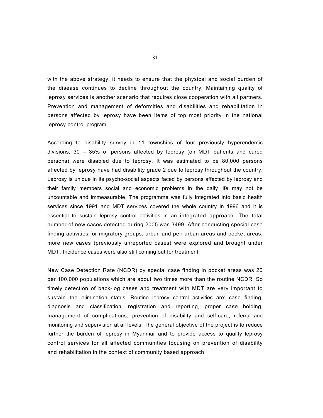with the above strategy, it needs to ensure that the physical and social burden of the disease continues to decline throughout the country. Maintaining quality of leprosy services is another scenario that requires close cooperation with all partners. Prevention and management of deformities and disabilities and rehabilitation in persons affected by leprosy have been items of top most priority in the national leprosy control program.

According to disability survey in 11 townships of four previously hyperendemic divisions, 30 – 35% of persons affected by leprosy (on MDT patients and cured persons) were disabled due to leprosy. It was estimated to be 80,000 persons affected by leprosy have had disability grade 2 due to leprosy throughout the country. Leprosy is unique in its psycho-social aspects faced by persons affected by leprosy and their family members social and economic problems in the daily life may not be uncountable and immeasurable. The programme was fully integrated into basic health services since 1991 and MDT services covered the whole country in 1996 and it is essential to sustain leprosy control activities in an integrated approach. The total number of new cases detected during 2005 was 3499. After conducting special case finding activities for migratory groups, urban and peri-urban areas and pocket areas, more new cases (previously unreported cases) were explored and brought under MDT. Incidence cases were also still coming out for treatment.

New Case Detection Rate (NCDR) by special case finding in pocket areas was 20 per 100,000 populations which are about two times more than the routine NCDR. So timely detection of back-log cases and treatment with MDT are very important to sustain the elimination status. Routine leprosy control activities are: case finding, diagnosis and classification, registration and reporting, proper case holding, management of complications, prevention of disability and self-care, referral and monitoring and supervision at all levels. The general objective of the project is to reduce further the burden of leprosy in Myanmar and to provide access to quality leprosy control services for all affected communities focusing on prevention of disability and rehabilitation in the context of community based approach.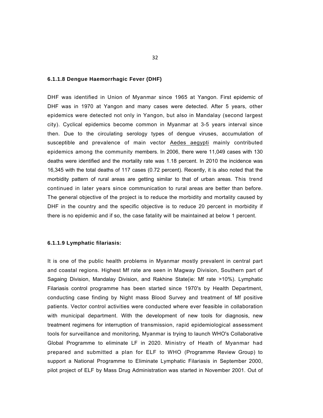#### **6.1.1.8 Dengue Haemorrhagic Fever (DHF)**

DHF was identified in Union of Myanmar since 1965 at Yangon. First epidemic of DHF was in 1970 at Yangon and many cases were detected. After 5 years, other epidemics were detected not only in Yangon, but also in Mandalay (second largest city). Cyclical epidemics become common in Myanmar at 3-5 years interval since then. Due to the circulating serology types of dengue viruses, accumulation of susceptible and prevalence of main vector Aedes aegypti mainly contributed epidemics among the community members. In 2006, there were 11,049 cases with 130 deaths were identified and the mortality rate was 1.18 percent. In 2010 the incidence was 16,345 with the total deaths of 117 cases (0.72 percent). Recently, it is also noted that the morbidity pattern of rural areas are getting similar to that of urban areas. This trend continued in later years since communication to rural areas are better than before. The general objective of the project is to reduce the morbidity and mortality caused by DHF in the country and the specific objective is to reduce 20 percent in morbidity if there is no epidemic and if so, the case fatality will be maintained at below 1 percent.

### **6.1.1.9 Lymphatic filariasis:**

It is one of the public health problems in Myanmar mostly prevalent in central part and coastal regions. Highest Mf rate are seen in Magway Division, Southern part of Sagaing Division, Mandalay Division, and Rakhine State(ie: Mf rate >10%). Lymphatic Filariasis control programme has been started since 1970's by Health Department, conducting case finding by Night mass Blood Survey and treatment of Mf positive patients. Vector control activities were conducted where ever feasible in collaboration with municipal department. With the development of new tools for diagnosis, new treatment regimens for interruption of transmission, rapid epidemiological assessment tools for surveillance and monitoring, Myanmar is trying to launch WHO's Collaborative Global Programme to eliminate LF in 2020. Ministry of Heath of Myanmar had prepared and submitted a plan for ELF to WHO (Programme Review Group) to support a National Programme to Eliminate Lymphatic Filariasis in September 2000, pilot project of ELF by Mass Drug Administration was started in November 2001. Out of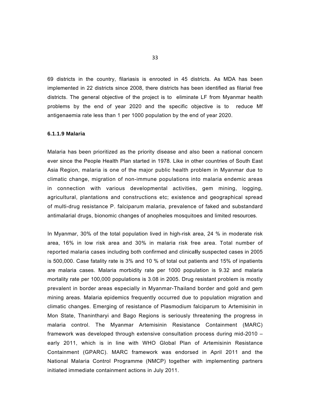69 districts in the country, filariasis is enrooted in 45 districts. As MDA has been implemented in 22 districts since 2008, there districts has been identified as filarial free districts. The general objective of the project is to eliminate LF from Myanmar health problems by the end of year 2020 and the specific objective is to reduce Mf antigenaemia rate less than 1 per 1000 population by the end of year 2020.

#### **6.1.1.9 Malaria**

Malaria has been prioritized as the priority disease and also been a national concern ever since the People Health Plan started in 1978. Like in other countries of South East Asia Region, malaria is one of the major public health problem in Myanmar due to climatic change, migration of non-immune populations into malaria endemic areas in connection with various developmental activities, gem mining, logging, agricultural, plantations and constructions etc; existence and geographical spread of multi-drug resistance P. falciparum malaria, prevalence of faked and substandard antimalarial drugs, bionomic changes of anopheles mosquitoes and limited resources.

In Myanmar, 30% of the total population lived in high-risk area, 24 % in moderate risk area, 16% in low risk area and 30% in malaria risk free area. Total number of reported malaria cases including both confirmed and clinica**ll**y suspected cases in 2005 is 500,000. Case fatality rate is 3% and 10 % of total out patients and 15% of inpatients are malaria cases. Malaria morbidity rate per 1000 population is 9.32 and malaria mortality rate per 100,000 populations is 3.08 in 2005. Drug resistant problem is mostly prevalent in border areas especially in Myanmar-Thailand border and gold and gem mining areas. Malaria epidemics frequently occurred due to population migration and climatic changes. Emerging of resistance of Plasmodium falciparum to Artemisinin in Mon State, Thanintharyi and Bago Regions is seriously threatening the progress in malaria control. The Myanmar Artemisinin Resistance Containment (MARC) framework was developed through extensive consultation process during mid-2010 – early 2011, which is in line with WHO Global Plan of Artemisinin Resistance Containment (GPARC). MARC framework was endorsed in April 2011 and the National Malaria Control Programme (NMCP) together with implementing partners initiated immediate containment actions in July 2011.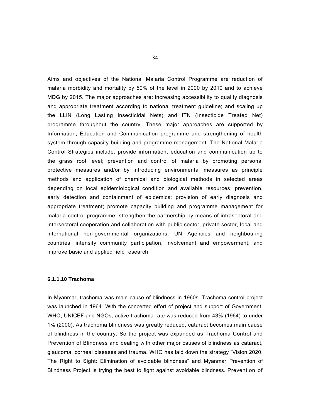Aims and objectives of the National Malaria Control Programme are reduction of malaria morbidity and mortality by 50% of the level in 2000 by 2010 and to achieve MDG by 2015. The major approaches are: increasing accessibility to quality diagnosis and appropriate treatment according to national treatment guideline; and scaling up the LLIN (Long Lasting Insecticidal Nets) and ITN (Insecticide Treated Net) programme throughout the country. These major approaches are supported by Information, Education and Communication programme and strengthening of health system through capacity building and programme management. The National Malaria Control Strategies include: provide information, education and communication up to the grass root level; prevention and control of malaria by promoting personal protective measures and/or by introducing environmental measures as principle methods and application of chemical and biological methods in selected areas depending on local epidemiological condition and available resources; prevention, early detection and containment of epidemics; provision of early diagnosis and appropriate treatment; promote capacity building and programme management for malaria control programme; strengthen the partnership by means of intrasectoral and intersectoral cooperation and collaboration with public sector, private sector, local and international non-governmental organizations, UN Agencies and neighbouring countries; intensify community participation, involvement and empowerment; and improve basic and applied field research.

### **6.1.1.10 Trachoma**

In Myanmar, trachoma was main cause of blindness in 1960s. Trachoma control project was launched in 1964. With the concerted effort of project and support of Government, WHO, UNICEF and NGOs, active trachoma rate was reduced from 43% (1964) to under 1% (2000). As trachoma blindness was greatly reduced, cataract becomes main cause of blindness in the country. So the project was expanded as Trachoma Control and Prevention of Blindness and dealing with other major causes of blindness as cataract, glaucoma, corneal diseases and trauma. WHO has laid down the strategy "Vision 2020, The Right to Sight: Elimination of avoidable blindness" and Myanmar Prevention of Blindness Project is trying the best to fight against avoidable blindness. Prevention of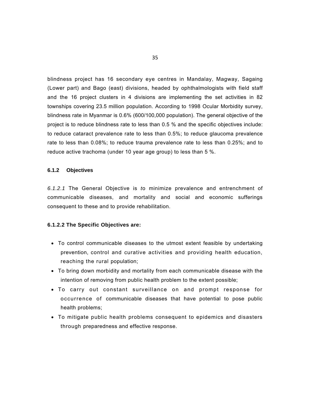blindness project has 16 secondary eye centres in Mandalay, Magway, Sagaing (Lower part) and Bago (east) divisions, headed by ophthalmologists with field staff and the 16 project clusters in 4 divisions are implementing the set activities in 82 townships covering 23.5 million population. According to 1998 Ocular Morbidity survey, blindness rate in Myanmar is 0.6% (600/100,000 population). The general objective of the project is to reduce blindness rate to less than 0.5 % and the specific objectives include: to reduce cataract prevalence rate to less than 0.5%; to reduce glaucoma prevalence rate to less than 0.08%; to reduce trauma prevalence rate to less than 0.25%; and to reduce active trachoma (under 10 year age group) to less than 5 %.

### **6.1.2 Objectives**

*6.1.2.1* The General Objective is *t*o minimize prevalence and entrenchment of communicable diseases, and mortality and social and economic sufferings consequent to these and to provide rehabilitation.

### **6.1.2.2 The Specific Objectives are:**

- To control communicable diseases to the utmost extent feasible by undertaking prevention, control and curative activities and providing health education, reaching the rural population;
- To bring down morbidity and mortality from each communicable disease with the intention of removing from public health problem to the extent possible;
- To carry out constant surveillance on and prompt response for occurrence of communicable diseases that have potential to pose public health problems;
- To mitigate public health problems consequent to epidemics and disasters through preparedness and effective response.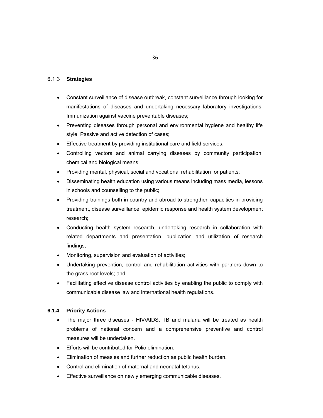## 6.1.3 **Strategies**

- Constant surveillance of disease outbreak, constant surveillance through looking for manifestations of diseases and undertaking necessary laboratory investigations; Immunization against vaccine preventable diseases;
- Preventing diseases through personal and environmental hygiene and healthy life style; Passive and active detection of cases;
- Effective treatment by providing institutional care and field services;
- Controlling vectors and animal carrying diseases by community participation, chemical and biological means;
- Providing mental, physical, social and vocational rehabilitation for patients;
- Disseminating health education using various means including mass media, lessons in schools and counselling to the public;
- Providing trainings both in country and abroad to strengthen capacities in providing treatment, disease surveillance, epidemic response and health system development research;
- Conducting health system research, undertaking research in collaboration with related departments and presentation, publication and utilization of research findings;
- Monitoring, supervision and evaluation of activities;
- Undertaking prevention, control and rehabilitation activities with partners down to the grass root levels; and
- Facilitating effective disease control activities by enabling the public to comply with communicable disease law and international health regulations.

# **6.1.4 Priority Actions**

- The major three diseases HIV/AIDS, TB and malaria will be treated as health problems of national concern and a comprehensive preventive and control measures will be undertaken.
- Efforts will be contributed for Polio elimination.
- Elimination of measles and further reduction as public health burden.
- Control and elimination of maternal and neonatal tetanus.
- Effective surveillance on newly emerging communicable diseases.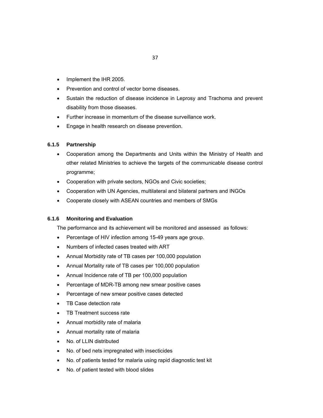- Implement the IHR 2005.
- Prevention and control of vector borne diseases.
- Sustain the reduction of disease incidence in Leprosy and Trachoma and prevent disability from those diseases.
- Further increase in momentum of the disease surveillance work.
- **Engage in health research on disease prevention.**

# **6.1.5 Partnership**

- Cooperation among the Departments and Units within the Ministry of Health and other related Ministries to achieve the targets of the communicable disease control programme;
- Cooperation with private sectors, NGOs and Civic societies;
- Cooperation with UN Agencies, multilateral and bilateral partners and INGOs
- Cooperate closely with ASEAN countries and members of SMGs

### **6.1.6 Monitoring and Evaluation**

The performance and its achievement will be monitored and assessed as follows:

- Percentage of HIV infection among 15-49 years age group.
- Numbers of infected cases treated with ART
- Annual Morbidity rate of TB cases per 100,000 population
- Annual Mortality rate of TB cases per 100,000 population
- Annual Incidence rate of TB per 100,000 population
- Percentage of MDR-TB among new smear positive cases
- Percentage of new smear positive cases detected
- TB Case detection rate
- TB Treatment success rate
- Annual morbidity rate of malaria
- Annual mortality rate of malaria
- No. of LLIN distributed
- No. of bed nets impregnated with insecticides
- No. of patients tested for malaria using rapid diagnostic test kit
- No. of patient tested with blood slides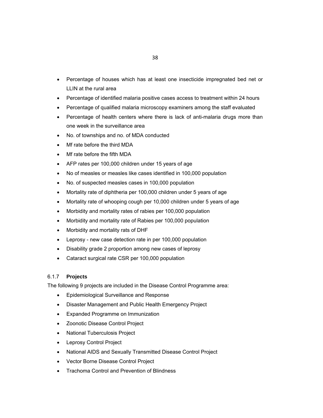- Percentage of houses which has at least one insecticide impregnated bed net or LLIN at the rural area
- Percentage of identified malaria positive cases access to treatment within 24 hours
- Percentage of qualified malaria microscopy examiners among the staff evaluated
- Percentage of health centers where there is lack of anti-malaria drugs more than one week in the surveillance area
- No. of townships and no. of MDA conducted
- Mf rate before the third MDA
- Mf rate before the fifth MDA
- AFP rates per 100,000 children under 15 years of age
- No of measles or measles like cases identified in 100,000 population
- No. of suspected measles cases in 100,000 population
- Mortality rate of diphtheria per 100,000 children under 5 years of age
- Mortality rate of whooping cough per 10,000 children under 5 years of age
- Morbidity and mortality rates of rabies per 100,000 population
- Morbidity and mortality rate of Rabies per 100,000 population
- Morbidity and mortality rats of DHF
- Leprosy new case detection rate in per 100,000 population
- Disability grade 2 proportion among new cases of leprosy
- Cataract surgical rate CSR per 100,000 population

### 6.1.7 **Projects**

The following 9 projects are included in the Disease Control Programme area:

- Epidemiological Surveillance and Response
- Disaster Management and Public Health Emergency Project
- Expanded Programme on Immunization
- Zoonotic Disease Control Project
- National Tuberculosis Project
- Leprosy Control Project
- National AIDS and Sexually Transmitted Disease Control Project
- Vector Borne Disease Control Project
- Trachoma Control and Prevention of Blindness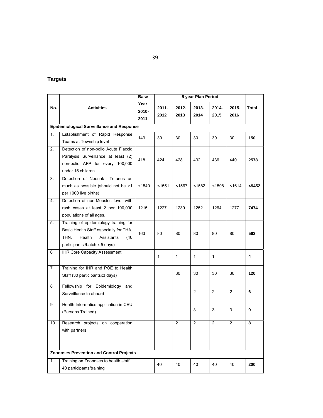# **Targets**

|                  |                                                                                                                                                          | <b>Base</b>           |                  |                  |                |                |                |       |
|------------------|----------------------------------------------------------------------------------------------------------------------------------------------------------|-----------------------|------------------|------------------|----------------|----------------|----------------|-------|
| No.              | <b>Activities</b>                                                                                                                                        | Year<br>2010-<br>2011 | $2011 -$<br>2012 | $2012 -$<br>2013 | 2013-<br>2014  | 2014-<br>2015  | 2015-<br>2016  | Total |
|                  | <b>Epidemiological Surveillance and Response</b>                                                                                                         |                       |                  |                  |                |                |                |       |
| 1.               | Establishment of Rapid Response<br>Teams at Township level                                                                                               | 149                   | 30               | 30               | 30             | 30             | 30             | 150   |
| 2.               | Detection of non-polio Acute Flaccid<br>Paralysis Surveillance at least (2)<br>non-polio AFP for every 100,000<br>under 15 children                      | 418                   | 424              | 428              | 432            | 436            | 440            | 2578  |
| 3.               | Detection of Neonatal Tetanus as<br>much as possible (should not be $\geq 1$<br>per 1000 live births)                                                    | < 1540                | $1551$           | < 1567           | <1582          | $1598$         | < 1614         | <9452 |
| 4.               | Detection of non-Measles fever with<br>rash cases at least 2 per 100,000<br>populations of all ages.                                                     | 1215                  | 1227             | 1239             | 1252           | 1264           | 1277           | 7474  |
| 5.               | Training of epidemiology training for<br>Basic Health Staff especially for THA,<br>THN,<br>Health<br>Assistants<br>(40)<br>participants /batch x 5 days) | 163                   | 80               | 80               | 80             | 80             | 80             | 563   |
| 6                | <b>IHR Core Capacity Assessment</b>                                                                                                                      |                       | 1                | $\mathbf{1}$     | 1              | $\mathbf{1}$   |                | 4     |
| 7                | Training for IHR and POE to Health<br>Staff (30 participantsx3 days)                                                                                     |                       |                  | 30               | 30             | 30             | 30             | 120   |
| 8                | Fellowship for Epidemiology<br>and<br>Surveillance to aboard                                                                                             |                       |                  |                  | $\overline{2}$ | $\overline{2}$ | $\overline{2}$ | 6     |
| 9                | Health Informatics application in CEU<br>(Persons Trained)                                                                                               |                       |                  |                  | 3              | 3              | 3              | 9     |
| 10               | Research projects on cooperation<br>with partners                                                                                                        |                       |                  | 2                | $\overline{2}$ | 2              | $\overline{2}$ | 8     |
|                  | <b>Zoonoses Prevention and Control Projects</b>                                                                                                          |                       |                  |                  |                |                |                |       |
| $\overline{1}$ . | Training on Zoonoses to health staff<br>40 participants/training                                                                                         |                       | 40               | 40               | 40             | 40             | 40             | 200   |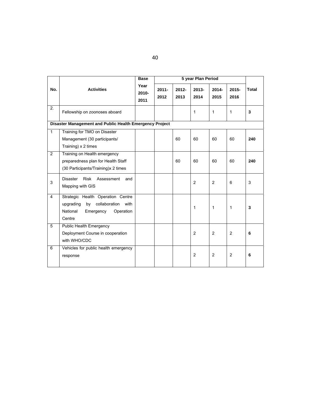|                |                                                         | <b>Base</b>              |                  |                  | 5 year Plan Period |                  |                  |              |
|----------------|---------------------------------------------------------|--------------------------|------------------|------------------|--------------------|------------------|------------------|--------------|
| No.            | <b>Activities</b>                                       | Year<br>$2010 -$<br>2011 | $2011 -$<br>2012 | $2012 -$<br>2013 | $2013 -$<br>2014   | $2014 -$<br>2015 | $2015 -$<br>2016 | <b>Total</b> |
| 2.             | Fellowship on zoonoses aboard                           |                          |                  |                  | 1                  | 1                | 1                | 3            |
|                | Disaster Management and Public Health Emergency Project |                          |                  |                  |                    |                  |                  |              |
| $\mathbf{1}$   | Training for TMO on Disaster                            |                          |                  |                  |                    |                  |                  |              |
|                | Management (30 participants/                            |                          |                  | 60               | 60                 | 60               | 60               | 240          |
|                | Training) x 2 times                                     |                          |                  |                  |                    |                  |                  |              |
| $\overline{2}$ | Training on Health emergency                            |                          |                  |                  |                    |                  |                  |              |
|                | preparedness plan for Health Staff                      |                          |                  | 60               | 60                 | 60               | 60               | 240          |
|                | (30 Participants/Training)x 2 times                     |                          |                  |                  |                    |                  |                  |              |
| 3              | <b>Disaster</b><br>Risk<br>Assessment<br>and            |                          |                  |                  | $\overline{2}$     | 2                | 6                | 3            |
|                | Mapping with GIS                                        |                          |                  |                  |                    |                  |                  |              |
| $\overline{4}$ | Strategic Health Operation Centre                       |                          |                  |                  |                    |                  |                  |              |
|                | collaboration<br>upgrading<br>by<br>with                |                          |                  |                  | 1                  | 1                | 1                | 3            |
|                | National<br>Emergency<br>Operation                      |                          |                  |                  |                    |                  |                  |              |
|                | Centre                                                  |                          |                  |                  |                    |                  |                  |              |
| 5              | Public Health Emergency                                 |                          |                  |                  |                    |                  |                  |              |
|                | Deployment Course in cooperation                        |                          |                  |                  | $\overline{2}$     | 2                | $\overline{2}$   | 6            |
|                | with WHO/CDC                                            |                          |                  |                  |                    |                  |                  |              |
| 6              | Vehicles for public health emergency                    |                          |                  |                  | $\overline{2}$     | 2                | $\overline{2}$   | 6            |
|                | response                                                |                          |                  |                  |                    |                  |                  |              |
|                |                                                         |                          |                  |                  |                    |                  |                  |              |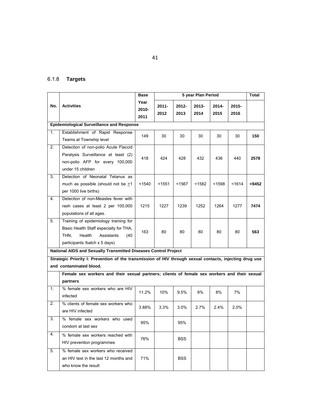# 6.1.8 **Targets**

|     |                                                                                                                                                         | <b>Base</b>           |                  |               | 5 year Plan Period |               |               | <b>Total</b> |
|-----|---------------------------------------------------------------------------------------------------------------------------------------------------------|-----------------------|------------------|---------------|--------------------|---------------|---------------|--------------|
| No. | <b>Activities</b>                                                                                                                                       | Year<br>2010-<br>2011 | $2011 -$<br>2012 | 2012-<br>2013 | 2013-<br>2014      | 2014-<br>2015 | 2015-<br>2016 |              |
|     | <b>Epidemiological Surveillance and Response</b>                                                                                                        |                       |                  |               |                    |               |               |              |
| 1.  | Establishment of Rapid Response<br>Teams at Township level                                                                                              | 149                   | 30               | 30            | 30                 | 30            | 30            | 150          |
| 2.  | Detection of non-polio Acute Flaccid<br>Paralysis Surveillance at least (2)<br>non-polio AFP for every 100,000<br>under 15 children                     | 418                   | 424              | 428           | 432                | 436           | 440           | 2578         |
| 3.  | Detection of Neonatal Tetanus as<br>much as possible (should not be >1<br>per 1000 live births)                                                         | $1540$                | $1551$           | $1567$        | $1582$             | $1598$        | < 1614        | $9452$       |
| 4.  | Detection of non-Measles fever with<br>rash cases at least 2 per 100,000<br>populations of all ages.                                                    | 1215                  | 1227             | 1239          | 1252               | 1264          | 1277          | 7474         |
| 5.  | Training of epidemiology training for<br>Basic Health Staff especially for THA,<br>THN.<br>Health<br>Assistants<br>(40<br>participants /batch x 5 days) | 163                   | 80               | 80            | 80                 | 80            | 80            | 563          |
|     | National AIDS and Sexually Transmitted Diseases Control Project                                                                                         |                       |                  |               |                    |               |               |              |
|     | Strategic Priority I: Prevention of the transmission of HIV through sexual contacts, injecting drug use                                                 |                       |                  |               |                    |               |               |              |
|     | and contaminated blood.                                                                                                                                 |                       |                  |               |                    |               |               |              |
|     | Female sex workers and their sexual partners; clients of female sex workers and their sexual<br>partners                                                |                       |                  |               |                    |               |               |              |
| 1.  | % female sex workers who are HIV<br>infected                                                                                                            | 11.2%                 | 10%              | 9.5%          | 9%                 | 8%            | 7%            |              |
| 2.  | % clients of female sex workers who<br>are HIV infected                                                                                                 | 3.88%                 | 3.3%             | $3.0\%$       | $2.7\%$            | 2.4%          | 2.0%          |              |
| 3.  | % female sex workers who used<br>condom at last sex                                                                                                     | 95%                   |                  | 95%           |                    |               |               |              |
| 4.  | % female sex workers reached with<br>HIV prevention programmes                                                                                          | 76%                   |                  | <b>BSS</b>    |                    |               |               |              |
| 5.  | % female sex workers who received<br>an HIV test in the last 12 months and<br>who know the result                                                       | 71%                   |                  | <b>BSS</b>    |                    |               |               |              |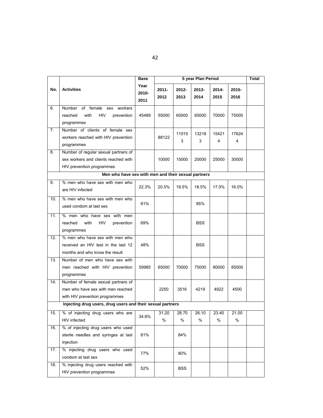|     |                                                                                                            | Base                  |                  | 5 year Plan Period |               |               |                  |  |  |
|-----|------------------------------------------------------------------------------------------------------------|-----------------------|------------------|--------------------|---------------|---------------|------------------|--|--|
| No. | <b>Activities</b>                                                                                          | Year<br>2010-<br>2011 | $2011 -$<br>2012 | $2012 -$<br>2013   | 2013-<br>2014 | 2014-<br>2015 | $2015 -$<br>2016 |  |  |
| 6.  | of female sex<br>Number<br>workers<br><b>HIV</b><br>with<br>prevention<br>reached<br>programmes            | 45489                 | 55000            | 60000              | 65000         | 70000         | 75000            |  |  |
| 7.  | Number of clients of female sex<br>workers reached with HIV prevention<br>programmes                       |                       | 88122            | 11015<br>3         | 13218<br>3    | 15421<br>4    | 17624<br>4       |  |  |
| 8.  | Number of regular sexual partners of<br>sex workers and clients reached with<br>HIV prevention programmes  |                       | 10000            | 15000              | 20000         | 25000         | 30000            |  |  |
|     | Men who have sex with men and their sexual partners                                                        |                       |                  |                    |               |               |                  |  |  |
| 9.  | % men who have sex with men who<br>are HIV infected                                                        | 22.3%                 | 20.5%            | 19.5%              | 18.5%         | 17.0%         | 16.0%            |  |  |
| 10. | % men who have sex with men who<br>used condom at last sex                                                 | 81%                   |                  |                    | 85%           |               |                  |  |  |
| 11. | men who have sex with men<br>℅<br>reached<br>with<br>HIV<br>prevention<br>programmes                       | 69%                   |                  |                    | <b>BSS</b>    |               |                  |  |  |
| 12. | % men who have sex with men who<br>received an HIV test in the last 12<br>months and who know the result   | 48%                   |                  |                    | <b>BSS</b>    |               |                  |  |  |
| 13. | Number of men who have sex with<br>men reached with HIV prevention<br>programmes                           | 59985                 | 65000            | 70000              | 75000         | 80000         | 85000            |  |  |
| 14. | Number of female sexual partners of<br>men who have sex with men reached<br>with HIV prevention programmes |                       | 2250             | 3516               | 4219          | 4922          | 4500             |  |  |
|     | Injecting drug users, drug users and their sexual partners                                                 |                       |                  |                    |               |               |                  |  |  |
| 15. | % of injecting drug users who are<br>HIV infected                                                          | 34.6%                 | 31.20<br>%       | 28.70<br>$\%$      | 26.10<br>$\%$ | 23.40<br>%    | 21.00<br>%       |  |  |
| 16. | % of injecting drug users who used<br>sterile needles and syringes at last<br>injection                    | 81%                   |                  | 84%                |               |               |                  |  |  |
| 17. | % injecting drug users who used<br>condom at last sex                                                      | 77%                   |                  | 80%                |               |               |                  |  |  |
| 18. | % injecting drug users reached with<br>HIV prevention programmes                                           | 52%                   |                  | <b>BSS</b>         |               |               |                  |  |  |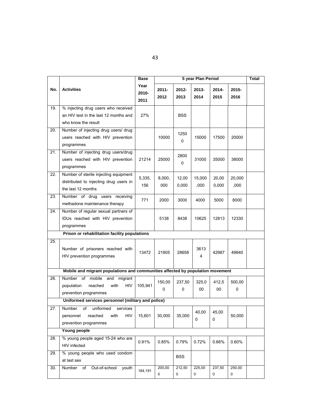|     |                                                                                                              | <b>Base</b>           | 5 year Plan Period |                  |               |                  |                  | Total |
|-----|--------------------------------------------------------------------------------------------------------------|-----------------------|--------------------|------------------|---------------|------------------|------------------|-------|
| No. | <b>Activities</b>                                                                                            | Year<br>2010-<br>2011 | $2011 -$<br>2012   | $2012 -$<br>2013 | 2013-<br>2014 | $2014 -$<br>2015 | $2015 -$<br>2016 |       |
| 19. | % injecting drug users who received                                                                          |                       |                    |                  |               |                  |                  |       |
|     | an HIV test in the last 12 months and                                                                        | 27%                   |                    | <b>BSS</b>       |               |                  |                  |       |
|     | who know the result                                                                                          |                       |                    |                  |               |                  |                  |       |
| 20. | Number of injecting drug users/ drug                                                                         |                       |                    | 1250             |               |                  |                  |       |
|     | users reached with HIV prevention                                                                            |                       | 10000              | 0                | 15000         | 17500            | 20000            |       |
|     | programmes                                                                                                   |                       |                    |                  |               |                  |                  |       |
| 21. | Number of injecting drug users/drug                                                                          |                       |                    | 2800             |               |                  |                  |       |
|     | users reached with HIV prevention                                                                            | 21214                 | 25000              | 0                | 31000         | 35000            | 38000            |       |
|     | programmes                                                                                                   |                       |                    |                  |               |                  |                  |       |
| 22. | Number of sterile injecting equipment                                                                        | 5,335,                | 8,000,             | 12,00            | 15,000        | 20,00            | 20,000           |       |
|     | distributed to injecting drug users in                                                                       | 156                   | 000                | 0,000            | ,000          | 0,000            | ,000             |       |
|     | the last 12 months                                                                                           |                       |                    |                  |               |                  |                  |       |
| 23. | Number of drug<br>users receiving                                                                            | 771                   | 2000               | 3000             | 4000          | 5000             | 8000             |       |
|     | methadone maintenance therapy                                                                                |                       |                    |                  |               |                  |                  |       |
| 24. | Number of regular sexual partners of                                                                         |                       |                    |                  |               |                  |                  |       |
|     | IDUs reached with HIV prevention                                                                             |                       | 5138               | 8438             | 10625         | 12813            | 12330            |       |
|     | programmes                                                                                                   |                       |                    |                  |               |                  |                  |       |
|     | Prison or rehabilitation facility populations                                                                |                       |                    |                  |               |                  |                  |       |
| 25. | Number of prisoners reached with<br>HIV prevention programmes                                                | 13472                 | 21805              | 28658            | 3613<br>4     | 42987            | 49840            |       |
|     | Mobile and migrant populations and communities affected by population movement                               |                       |                    |                  |               |                  |                  |       |
| 26. | mobile and<br>Number of<br>migrant                                                                           |                       | 150,00             | 237,50           | 325,0         | 412,5            | 500,00           |       |
|     | <b>HIV</b><br>population<br>reached<br>with                                                                  | 105,941               | 0                  | 0                | 00            | 00               | 0                |       |
|     | prevention programmes                                                                                        |                       |                    |                  |               |                  |                  |       |
|     | Uniformed services personnel (military and police)                                                           |                       |                    |                  |               |                  |                  |       |
| 27. | uniformed<br>of<br>services<br>Number<br><b>HIV</b><br>personnel<br>reached<br>with<br>prevention programmes | 15,601                | 30,000             | 35,000           | 40,00<br>0    | 45,00<br>0       | 50,000           |       |
|     | Young people                                                                                                 |                       |                    |                  |               |                  |                  |       |
| 28. | % young people aged 15-24 who are                                                                            | 0.91%                 | 0.85%              | 0.79%            | 0.72%         | 0.66%            | 0.60%            |       |
|     | HIV infected                                                                                                 |                       |                    |                  |               |                  |                  |       |
| 29. | % young people who used condom<br>at last sex                                                                |                       |                    | <b>BSS</b>       |               |                  |                  |       |
| 30. | Number<br>Out-of-school<br>of<br>youth                                                                       | 184,191               | 200,00<br>0        | 212,50<br>0      | 225,00<br>0   | 237,50<br>0      | 250,00<br>0      |       |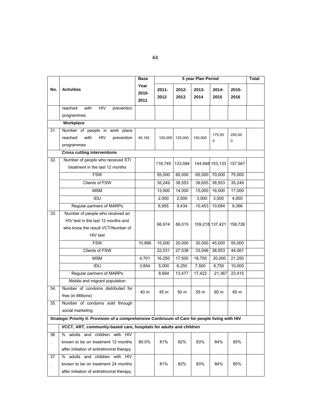|               |                                                                                                  | <b>Base</b>           |                  |               | 5 year Plan Period |                 |                  | Total |
|---------------|--------------------------------------------------------------------------------------------------|-----------------------|------------------|---------------|--------------------|-----------------|------------------|-------|
| No.           | <b>Activities</b>                                                                                | Year<br>2010-<br>2011 | $2011 -$<br>2012 | 2012-<br>2013 | 2013-<br>2014      | 2014-<br>2015   | $2015 -$<br>2016 |       |
|               | <b>HIV</b><br>reached<br>with<br>prevention                                                      |                       |                  |               |                    |                 |                  |       |
|               | programmes                                                                                       |                       |                  |               |                    |                 |                  |       |
|               | Workplace                                                                                        |                       |                  |               |                    |                 |                  |       |
| 31.           | Number of people in work place                                                                   |                       |                  |               |                    | 175,00          | 200,00           |       |
|               | <b>HIV</b><br>with<br>prevention<br>reached                                                      | 49,192                | 100,000          | 125,000       | 150,000            | 0               | 0                |       |
|               | programmes                                                                                       |                       |                  |               |                    |                 |                  |       |
|               | <b>Cross cutting interventions</b>                                                               |                       |                  |               |                    |                 |                  |       |
| 32.           | Number of people who received STI                                                                |                       | 118,745          | 133,584       |                    | 144,948 153,133 | 157,567          |       |
|               | treatment in the last 12 months                                                                  |                       |                  |               |                    |                 |                  |       |
|               | <b>FSW</b>                                                                                       |                       | 55,000           | 60,000        | 65,000             | 70,000          | 75,000           |       |
|               | Clients of FSW                                                                                   |                       | 35,249           | 38,553        | 39,655             | 38,553          | 35,249           |       |
|               | <b>MSM</b>                                                                                       |                       | 13,000           | 14,000        | 15,000             | 16,000          | 17,000           |       |
|               | <b>IDU</b>                                                                                       |                       | 2,000            | 2,500         | 3,000              | 3,500           | 4,000            |       |
|               | Regular partners of MARPs                                                                        |                       | 6,955            | 9,434         | 10,453             | 10,684          | 9,366            |       |
| 33.           | Number of people who received an                                                                 |                       |                  |               |                    |                 |                  |       |
|               | HIV test in the last 12 months and                                                               |                       | 66,974           | 86,015        |                    | 109,218 137,421 | 158,726          |       |
|               | who know the result VCT/Number of                                                                |                       |                  |               |                    |                 |                  |       |
|               | HIV test                                                                                         |                       |                  |               |                    |                 |                  |       |
|               | <b>FSW</b>                                                                                       | 10,896                | 15,000           | 20,000        | 30,000             | 45,000          | 55,000           |       |
|               | <b>Clients of FSW</b>                                                                            |                       | 22,031           | 27,538        | 33,046             | 38,553          | 44,061           |       |
|               | <b>MSM</b>                                                                                       | 4,701                 | 16,250           | 17,500        | 18,750             | 20,000          | 21,250           |       |
|               | <b>IDU</b>                                                                                       | 3,854                 | 5,000            | 6,250         | 7,500              | 8,750           | 10,000           |       |
|               | Regular partners of MARPs                                                                        |                       | 8,694            | 13,477        | 17,422             | 21,367          | 23,415           |       |
|               | Mobile and migrant population                                                                    |                       |                  |               |                    |                 |                  |       |
| 34.           | Number of condoms distributed for                                                                |                       |                  |               |                    |                 |                  |       |
|               | free (in Millions)                                                                               | 40 m                  | 45 m             | 50 m          | 55 m               | 60 m            | 65 m             |       |
| 35.           | Number of condoms sold through                                                                   |                       |                  |               |                    |                 |                  |       |
|               | social marketing                                                                                 |                       |                  |               |                    |                 |                  |       |
|               | Strategic Priority II: Provision of a comprehensive Continuum of Care for people living with HIV |                       |                  |               |                    |                 |                  |       |
|               | VCCT, ART, community-based care, hospitals for adults and children                               |                       |                  |               |                    |                 |                  |       |
| 36            | % adults and children with HIV                                                                   |                       |                  |               |                    |                 |                  |       |
| $\mathcal{L}$ | known to be on treatment 12 months                                                               | 80.0%                 | 81%              | 82%           | 83%                | 84%             | 85%              |       |
|               | after initiation of antiretroviral therapy                                                       |                       |                  |               |                    |                 |                  |       |
| 37            | % adults and children with HIV                                                                   |                       |                  |               |                    |                 |                  |       |
| ¥,            | known to be on treatment 24 months                                                               |                       | 81%              | 82%           | 83%                | 84%             | 85%              |       |
|               | after initiation of antiretroviral therapy                                                       |                       |                  |               |                    |                 |                  |       |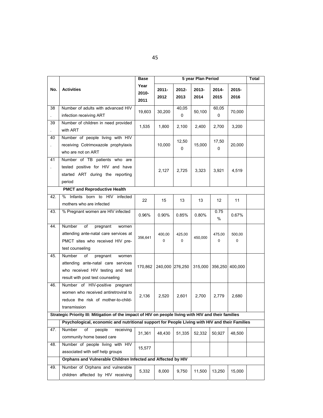|          |                                                                                                                                                  | Base                  |                  | 5 year Plan Period |               |               |                       |  |  |
|----------|--------------------------------------------------------------------------------------------------------------------------------------------------|-----------------------|------------------|--------------------|---------------|---------------|-----------------------|--|--|
| No.      | <b>Activities</b>                                                                                                                                | Year<br>2010-<br>2011 | $2011 -$<br>2012 | $2012 -$<br>2013   | 2013-<br>2014 | 2014-<br>2015 | $2015 -$<br>2016      |  |  |
| 38       | Number of adults with advanced HIV<br>infection receiving ART                                                                                    | 19,603                | 30,200           | 40,05<br>0         | 50,100        | 60.05<br>0    | 70,000                |  |  |
| 39       | Number of children in need provided<br>with ART                                                                                                  | 1,535                 | 1,800            | 2,100              | 2,400         | 2,700         | 3,200                 |  |  |
| 40<br>ä, | Number of people living with HIV<br>receiving Cotrimoxazole prophylaxis<br>who are not on ART                                                    |                       | 10,000           | 12,50<br>0         | 15,000        | 17,50<br>0    | 20,000                |  |  |
| 41<br>L. | Number of TB patients who are<br>tested positive for HIV and have<br>started ART during the reporting<br>period                                  |                       | 2,127            | 2,725              | 3,323         | 3,921         | 4,519                 |  |  |
|          | <b>PMCT and Reproductive Health</b>                                                                                                              |                       |                  |                    |               |               |                       |  |  |
| 42.      | Infants born to HIV<br>%<br>infected<br>mothers who are infected                                                                                 | 22                    | 15               | 13                 | 13            | 12            | 11                    |  |  |
| 43.      | % Pregnant women are HIV infected                                                                                                                | 0.96%                 | 0.90%            | 0.85%              | 0.80%         | 0.75<br>$\%$  | 0.67%                 |  |  |
| 44.      | <b>Number</b><br>of<br>pregnant<br>women<br>attending ante-natal care services at<br>PMCT sites who received HIV pre-<br>test counseling         | 356,641               | 400,00<br>0      | 425,00<br>$\Omega$ | 450,000       | 475,00<br>0   | 500,00<br>$\mathbf 0$ |  |  |
| 45.      | Number<br>of<br>pregnant<br>women<br>attending ante-natal care services<br>who received HIV testing and test<br>result with post test counseling | 170,862               | 240,000 276,250  |                    | 315,000       |               | 356,250 400,000       |  |  |
| 46.      | Number of HIV-positive pregnant<br>women who received antiretroviral to<br>reduce the risk of mother-to-child-<br>transmission                   | 2,136                 | 2,520            | 2,601              | 2,700         | 2,779         | 2,680                 |  |  |
|          | Strategic Priority III: Mitigation of the impact of HIV on people living with HIV and their families                                             |                       |                  |                    |               |               |                       |  |  |
|          | Psychological, economic and nutritional support for People Living with HIV and their Families                                                    |                       |                  |                    |               |               |                       |  |  |
| 47.      | of<br>people<br>receiving<br>Number<br>community home based care                                                                                 | 31,361                | 48,430           | 51,335             | 52,332        | 50,927        | 48,500                |  |  |
| 48.      | Number of people living with HIV<br>associated with self help groups                                                                             | 15,577                |                  |                    |               |               |                       |  |  |
|          | Orphans and Vulnerable Children Infected and Affected by HIV                                                                                     |                       |                  |                    |               |               |                       |  |  |
| 49.      | Number of Orphans and vulnerable<br>children affected by HIV receiving                                                                           | 5,332                 | 8,000            | 9,750              | 11,500        | 13,250        | 15,000                |  |  |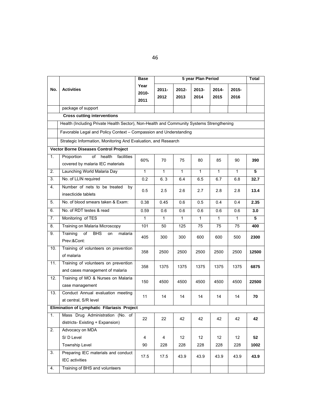|     |                                                                                          | <b>Base</b>           | 5 year Plan Period<br>Total |               |                  |               |                  |       |  |
|-----|------------------------------------------------------------------------------------------|-----------------------|-----------------------------|---------------|------------------|---------------|------------------|-------|--|
| No. | <b>Activities</b>                                                                        | Year<br>2010-<br>2011 | $2011 -$<br>2012            | 2012-<br>2013 | $2013 -$<br>2014 | 2014-<br>2015 | $2015 -$<br>2016 |       |  |
|     | package of support                                                                       |                       |                             |               |                  |               |                  |       |  |
|     | <b>Cross cutting interventions</b>                                                       |                       |                             |               |                  |               |                  |       |  |
|     | Health (Including Private Health Sector), Non-Health and Community Systems Strengthening |                       |                             |               |                  |               |                  |       |  |
|     | Favorable Legal and Policy Context - Compassion and Understanding                        |                       |                             |               |                  |               |                  |       |  |
|     | Strategic Information, Monitoring And Evaluation, and Research                           |                       |                             |               |                  |               |                  |       |  |
|     | <b>Vector Borne Diseases Control Project</b>                                             |                       |                             |               |                  |               |                  |       |  |
| 1.  | Proportion<br>of<br>health<br>facilities<br>covered by malaria IEC materials             | 60%                   | 70                          | 75            | 80               | 85            | 90               | 390   |  |
| 2.  | Launching World Malaria Day                                                              | $\mathbf{1}$          | $\mathbf{1}$                | $\mathbf{1}$  | $\mathbf{1}$     | $\mathbf{1}$  | $\mathbf{1}$     | 5     |  |
| 3.  | No. of LLIN required                                                                     | 0.2                   | 6.3                         | 6.4           | 6.5              | 6.7           | 6.8              | 32.7  |  |
| 4.  | Number of nets to be treated<br>by<br>insecticide tablets                                | 0.5                   | 2.5                         | 2.6           | 2.7              | 2.8           | 2.8              | 13.4  |  |
| 5.  | No. of blood smears taken & Exam:                                                        | 0.38                  | 0.45                        | 0.6           | 0.5              | 0.4           | 0.4              | 2.35  |  |
| 6.  | No. of RDT testes & read                                                                 | 0.59                  | 0.6                         | 0.6           | 0.6              | 0.6           | 0.6              | 3.0   |  |
| 7.  | Monitoring of TES                                                                        | $\mathbf{1}$          | $\mathbf{1}$                | $\mathbf{1}$  | 1                | $\mathbf{1}$  | $\mathbf{1}$     | 5     |  |
| 8.  | Training on Malaria Microscopy                                                           | 101                   | 50                          | 125           | 75               | 75            | 75               | 400   |  |
| 9.  | Training<br>of<br><b>BHS</b><br>on<br>malaria<br>Prev:&Cont:                             | 405                   | 300                         | 300           | 600              | 600           | 500              | 2300  |  |
| 10. | Training of volunteers on prevention<br>of malaria                                       | 358                   | 2500                        | 2500          | 2500             | 2500          | 2500             | 12500 |  |
| 11. | Training of volunteers on prevention<br>and cases management of malaria                  | 358                   | 1375                        | 1375          | 1375             | 1375          | 1375             | 6875  |  |
| 12. | Training of MO & Nurses on Malaria<br>case management                                    | 150                   | 4500                        | 4500          | 4500             | 4500          | 4500             | 22500 |  |
| 13. | Conduct Annual evaluation meeting<br>at central, S/R level                               | 11                    | 14                          | 14            | 14               | 14            | 14               | 70    |  |
|     | Elimination of Lymphatic Filariasis Project                                              |                       |                             |               |                  |               |                  |       |  |
| 1.  | Mass Drug Administration (No. of                                                         | 22                    | 22                          | 42            | 42               | 42            | 42               | 42    |  |
|     | districts- Existing + Expansion)                                                         |                       |                             |               |                  |               |                  |       |  |
| 2.  | Advocacy on MDA                                                                          |                       |                             |               |                  |               |                  |       |  |
|     | S/D Level                                                                                | 4                     | 4                           | 12            | 12               | 12            | 12               | 52    |  |
|     | Township Level                                                                           | 90                    | 228                         | 228           | 228              | 228           | 228              | 1002  |  |
| 3.  | Preparing IEC materials and conduct<br><b>IEC</b> activities                             | 17.5                  | 17.5                        | 43.9          | 43.9             | 43.9          | 43.9             | 43.9  |  |
| 4.  | Training of BHS and volunteers                                                           |                       |                             |               |                  |               |                  |       |  |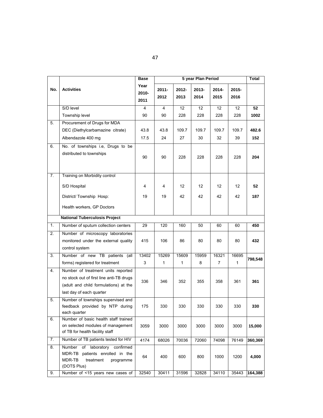|                |                                                                                                                                                     | <b>Base</b>           |                  |               | 5 year Plan Period |               |                  | Total   |
|----------------|-----------------------------------------------------------------------------------------------------------------------------------------------------|-----------------------|------------------|---------------|--------------------|---------------|------------------|---------|
| No.            | <b>Activities</b>                                                                                                                                   | Year<br>2010-<br>2011 | $2011 -$<br>2012 | 2012-<br>2013 | 2013-<br>2014      | 2014-<br>2015 | $2015 -$<br>2016 |         |
|                | S/D level                                                                                                                                           | 4                     | 4                | 12            | 12                 | 12            | 12               | 52      |
|                | Township level                                                                                                                                      | 90                    | 90               | 228           | 228                | 228           | 228              | 1002    |
| 5.             | Procurement of Drugs for MDA                                                                                                                        |                       |                  |               |                    |               |                  |         |
|                | DEC (Diethylcarbamazine citrate)                                                                                                                    | 43.8                  | 43.8             | 109.7         | 109.7              | 109.7         | 109.7            | 482.6   |
|                | Albendazole 400 mg                                                                                                                                  | 17.5                  | 24               | 27            | 30                 | 32            | 39               | 152     |
| 6.             | No. of townships i.e, Drugs to be<br>distributed to townships                                                                                       | 90                    | 90               | 228           | 228                | 228           | 228              | 204     |
| 7.             | Training on Morbidity control                                                                                                                       |                       |                  |               |                    |               |                  |         |
|                | S/D Hospital                                                                                                                                        | 4                     | 4                | 12            | $12 \overline{ }$  | 12            | 12               | 52      |
|                | District/ Township Hosp:                                                                                                                            | 19                    | 19               | 42            | 42                 | 42            | 42               | 187     |
|                | Health workers, GP Doctors                                                                                                                          |                       |                  |               |                    |               |                  |         |
|                | <b>National Tuberculosis Project</b>                                                                                                                |                       |                  |               |                    |               |                  |         |
| 1.             | Number of sputum collection centers                                                                                                                 | 29                    | 120              | 160           | 50                 | 60            | 60               | 450     |
| 2.             | Number of microscopy laboratories<br>monitored under the external quality<br>control system                                                         | 415                   | 106              | 86            | 80                 | 80            | 80               | 432     |
| 3.             | Number of new TB patients (all                                                                                                                      | 13402                 | 15269            | 15609         | 15959              | 16321         | 16695            |         |
|                | forms) registered for treatment                                                                                                                     | 3                     | 1                | 1             | 8                  | 7             | $\mathbf{1}$     | 798,548 |
| 4.             | Number of treatment units reported<br>no stock out of first line anti-TB drugs<br>(adult and child formulations) at the<br>last day of each quarter | 336                   | 346              | 352           | 355                | 358           | 361              | 361     |
| 5.             | Number of townships supervised and<br>feedback provided by NTP during<br>each quarter                                                               | 175                   | 330              | 330           | 330                | 330           | 330              | 330     |
| 6.             | Number of basic health staff trained<br>on selected modules of management<br>of TB for health facility staff                                        | 3059                  | 3000             | 3000          | 3000               | 3000          | 3000             | 15,000  |
| $\mathbf{7}$ . | Number of TB patients tested for HIV                                                                                                                | 4174                  | 68026            | 70036         | 72060              | 74098         | 76149            | 360,369 |
| 8.             | of laboratory confirmed<br>Number<br>patients enrolled in the<br>MDR-TB<br>MDR-TB<br>treatment<br>programme<br>(DOTS Plus)                          | 64                    | 400              | 600           | 800                | 1000          | 1200             | 4,000   |
| 9.             | Number of <15 years new cases of                                                                                                                    | 32540                 | 30411            | 31596         | 32828              | 34110         | 35443            | 164,388 |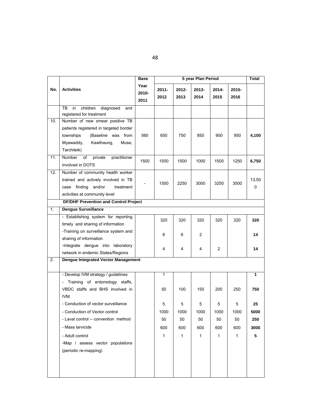|     |                                                                           | <b>Base</b>           | 5 year Plan Period |               |               |                |                  | <b>Total</b> |
|-----|---------------------------------------------------------------------------|-----------------------|--------------------|---------------|---------------|----------------|------------------|--------------|
| No. | <b>Activities</b>                                                         | Year<br>2010-<br>2011 | $2011 -$<br>2012   | 2012-<br>2013 | 2013-<br>2014 | 2014-<br>2015  | $2015 -$<br>2016 |              |
|     | TB<br>in<br>children<br>diagnosed<br>and                                  |                       |                    |               |               |                |                  |              |
|     | registered for treatment                                                  |                       |                    |               |               |                |                  |              |
| 10. | Number of new smear positive TB<br>patients registered in targeted border |                       |                    |               |               |                |                  |              |
|     | townships<br>(Baseline was from                                           | 560                   | 650                | 750           | 850           | 900            | 950              | 4,100        |
|     | Myawaddy,<br>Kawthaung,<br>Muse,                                          |                       |                    |               |               |                |                  |              |
|     | Tarchileik)                                                               |                       |                    |               |               |                |                  |              |
| 11. | <b>Number</b><br>practitioner<br>of<br>private                            |                       |                    |               |               |                |                  |              |
|     | involved in DOTS                                                          | 1500                  | 1500               | 1500          | 1000          | 1500           | 1250             | 6,750        |
| 12. | Number of community health worker                                         |                       |                    |               |               |                |                  |              |
|     | trained and actively involved in TB                                       |                       | 1500               | 2250          | 3000          | 3250           | 3500             | 13,50        |
|     | case finding and/or<br>treatment                                          |                       |                    |               |               |                |                  | 0            |
|     | activities at community level                                             |                       |                    |               |               |                |                  |              |
|     | DF/DHF Prevention and Control Project                                     |                       |                    |               |               |                |                  |              |
| 1.  | <b>Dengue Surveillance</b>                                                |                       |                    |               |               |                |                  |              |
|     | - Establishing system for reporting                                       |                       | 320                | 320           | 320           | 320            | 320              | 320          |
|     | timely and sharing of information                                         |                       |                    |               |               |                |                  |              |
|     | -Training on surveillance system and                                      |                       | 6                  | 6             | 2             |                |                  | 14           |
|     | sharing of information                                                    |                       |                    |               |               |                |                  |              |
|     | -Integrate dengue into laboratory                                         |                       | 4                  | 4             | 4             | $\overline{2}$ |                  | 14           |
|     | network in endemic States/Regions                                         |                       |                    |               |               |                |                  |              |
| 2.  | Dengue Integrated Vector Management                                       |                       |                    |               |               |                |                  |              |
|     | - Develop IVM strategy / guidelines                                       |                       | 1                  |               |               |                |                  | 1            |
|     | - Training of entomology staffs,                                          |                       |                    |               |               |                |                  |              |
|     | VBDC staffs and BHS involved in                                           |                       | 50                 | 100           | 150           | 200            | 250              | 750          |
|     | IVM.                                                                      |                       |                    |               |               |                |                  |              |
|     | - Conduction of vector surveillance                                       |                       | 5                  | 5             | 5             | 5              | 5                | 25           |
|     | - Conduction of Vector control                                            |                       | 1000               | 1000          | 1000          | 1000           | 1000             | 5000         |
|     | - Laval control -- convention method                                      |                       | 50                 | 50            | 50            | 50             | 50               | 250          |
|     | - Mass larvicide                                                          |                       | 600                | 600           | 600           | 600            | 600              | 3000         |
|     | - Adult control                                                           |                       | 1                  | $\mathbf{1}$  | $\mathbf{1}$  | 1              | $\mathbf{1}$     | 5            |
|     | -Map / assess vector populations                                          |                       |                    |               |               |                |                  |              |
|     | (periodic re-mapping)                                                     |                       |                    |               |               |                |                  |              |
|     |                                                                           |                       |                    |               |               |                |                  |              |
|     |                                                                           |                       |                    |               |               |                |                  |              |
|     |                                                                           |                       |                    |               |               |                |                  |              |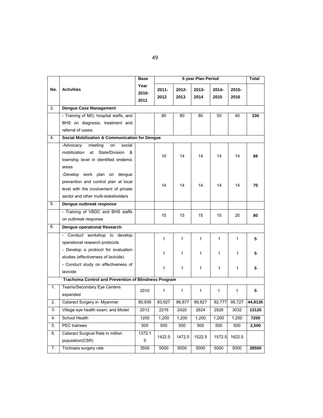|     |                                                                                                                                                      | <b>Base</b>              | 5 year Plan Period |               |               |               |               | Total   |  |  |
|-----|------------------------------------------------------------------------------------------------------------------------------------------------------|--------------------------|--------------------|---------------|---------------|---------------|---------------|---------|--|--|
| No. | <b>Activities</b>                                                                                                                                    | Year<br>$2010 -$<br>2011 | $2011 -$<br>2012   | 2012-<br>2013 | 2013-<br>2014 | 2014-<br>2015 | 2015-<br>2016 |         |  |  |
| 3.  | <b>Dengue Case Management</b>                                                                                                                        |                          |                    |               |               |               |               |         |  |  |
|     | - Training of MO, hospital staffs, and                                                                                                               |                          | 80                 | 80            | 80            | 50            | 40            | 330     |  |  |
|     | BHS on diagnosis, treatment and                                                                                                                      |                          |                    |               |               |               |               |         |  |  |
|     | referral of cases.                                                                                                                                   |                          |                    |               |               |               |               |         |  |  |
| 4.  | <b>Social Mobilization &amp; Communication for Dengue</b>                                                                                            |                          |                    |               |               |               |               |         |  |  |
|     | -Advocacy<br>meeting<br>social<br>on<br>mobilization<br>at<br>State/Division<br>&<br>township level in identified endemic<br>areas                   |                          | 10                 | 14            | 14            | 14            | 14            | 66      |  |  |
|     | -Develop work plan on dengue<br>prevention and control plan at local<br>level with the involvement of private<br>sector and other multi-stakeholders |                          | 14                 | 14            | 14            | 14            | 14            | 70      |  |  |
| 5.  | Dengue outbreak response                                                                                                                             |                          |                    |               |               |               |               |         |  |  |
|     | - Training of VBDC and BHS staffs                                                                                                                    |                          | 15                 | 15            | 15            | 15            | 20            | 80      |  |  |
|     | on outbreak response                                                                                                                                 |                          |                    |               |               |               |               |         |  |  |
| 6.  | Dengue operational Research                                                                                                                          |                          |                    |               |               |               |               |         |  |  |
|     | Conduct workshop to develop<br>$\overline{\phantom{a}}$                                                                                              |                          | 1                  | 1             | 1             | 1             | $\mathbf{1}$  | 5       |  |  |
|     | operational research protocols                                                                                                                       |                          |                    |               |               |               |               |         |  |  |
|     | - Develop a protocol for evaluation<br>studies (effectiveness of lavicide)                                                                           |                          | 1                  | 1             | 1             | 1             | 1             | 5       |  |  |
|     | - Conduct study on effectiveness of<br>lavicide                                                                                                      |                          | 1                  | 1             | 1             | 1             | 1             | 5       |  |  |
|     | <b>Trachoma Control and Prevention of Blindness Program</b>                                                                                          |                          |                    |               |               |               |               |         |  |  |
| 1.  | Teams/Secondary Eye Centers<br>expanded                                                                                                              | 2010                     | $\mathbf{1}$       | $\mathbf{1}$  | 1             | 1             | $\mathbf{1}$  | 5       |  |  |
| 2.  | Cataract Surgery in Myanmar                                                                                                                          | 80,936                   | 83,927             | 86,877        | 89,827        | 92,777        | 95,727        | 44,9135 |  |  |
| 3.  | Village eye health exam; and Model                                                                                                                   | 2012                     | 2216               | 2420          | 2624          | 2828          | 3032          | 13120   |  |  |
| 4.  | School Health                                                                                                                                        | 1200                     | 1,200              | 1,200         | 1,200         | 1,200         | 1,200         | 7200    |  |  |
| 5.  | PEC trainees                                                                                                                                         | 500                      | 500                | 500           | 500           | 500           | 500           | 2,500   |  |  |
| 6.  | Cataract Surgical Rate in million<br>population(CSR)                                                                                                 | 1372.1<br>5              | 1422.5             | 1472.5        | 1522.5        | 1572.5        | 1622.5        |         |  |  |
| 7.  | Trichiasis surgery rate                                                                                                                              | 3500                     | 5000               | 5000          | 5000          | 5000          | 5000          | 28500   |  |  |

49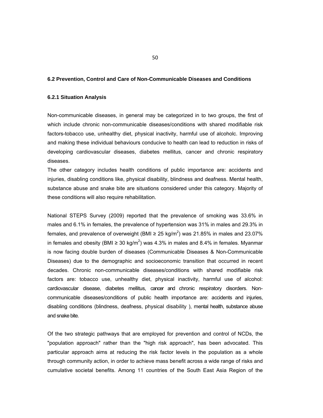#### **6.2 Prevention, Control and Care of Non-Communicable Diseases and Conditions**

#### **6.2.1 Situation Analysis**

Non-communicable diseases, in general may be categorized in to two groups, the first of which include chronic non-communicable diseases/conditions with shared modifiable risk factors-tobacco use, unhealthy diet, physical inactivity, harmful use of alcoholc. Improving and making these individual behaviours conducive to health can lead to reduction in risks of developing cardiovascular diseases, diabetes mellitus, cancer and chronic respiratory diseases.

The other category includes health conditions of public importance are: accidents and injuries, disabling conditions like, physical disability, blindness and deafness. Mental health, substance abuse and snake bite are situations considered under this category. Majority of these conditions will also require rehabilitation.

National STEPS Survey (2009) reported that the prevalence of smoking was 33.6% in males and 6.1% in females, the prevalence of hypertension was 31% in males and 29.3% in females, and prevalence of overweight (BMI ≥ 25 kg/m<sup>2</sup>) was 21.85% in males and 23.07% in females and obesity (BMI ≥ 30 kg/m<sup>2</sup>) was 4.3% in males and 8.4% in females. Myanmar is now facing double burden of diseases (Communicable Diseases & Non-Communicable Diseases) due to the demographic and socioeconomic transition that occurred in recent decades. Chronic non-communicable diseases/conditions with shared modifiable risk factors are: tobacco use, unhealthy diet, physical inactivity, harmful use of alcohol: cardiovascular disease, diabetes mellitus, cancer and chronic respiratory disorders. Noncommunicable diseases/conditions of public health importance are: accidents and injuries, disabling conditions (blindness, deafness, physical disability ), mental health, substance abuse and snake bite.

Of the two strategic pathways that are employed for prevention and control of NCDs, the "population approach" rather than the "high risk approach", has been advocated. This particular approach aims at reducing the risk factor levels in the population as a whole through community action, in order to achieve mass benefit across a wide range of risks and cumulative societal benefits. Among 11 countries of the South East Asia Region of the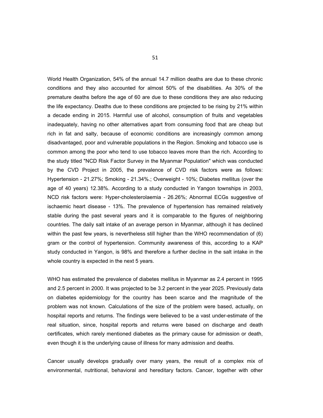World Health Organization, 54% of the annual 14.7 million deaths are due to these chronic conditions and they also accounted for almost 50% of the disabilities. As 30% of the premature deaths before the age of 60 are due to these conditions they are also reducing the life expectancy. Deaths due to these conditions are projected to be rising by 21% within a decade ending in 2015. Harmful use of alcohol, consumption of fruits and vegetables inadequately, having no other alternatives apart from consuming food that are cheap but rich in fat and salty, because of economic conditions are increasingly common among disadvantaged, poor and vulnerable populations in the Region. Smoking and tobacco use is common among the poor who tend to use tobacco leaves more than the rich. According to the study titled "NCD Risk Factor Survey in the Myanmar Population" which was conducted by the CVD Project in 2005, the prevalence of CVD risk factors were as follows: Hypertension - 21.27%; Smoking - 21.34%.; Overweight - 10%; Diabetes mellitus (over the age of 40 years) 12.38%. According to a study conducted in Yangon townships in 2003, NCD risk factors were: Hyper-cholesterolaemia - 26.26%; Abnormal ECGs suggestive of ischaemic heart disease - 13%. The prevalence of hypertension has remained relatively stable during the past several years and it is comparable to the figures of neighboring countries. The daily salt intake of an average person in Myanmar, although it has declined within the past few years, is nevertheless still higher than the WHO recommendation of (6) gram or the control of hypertension. Community awareness of this, according to a KAP study conducted in Yangon, is 98% and therefore a further decline in the salt intake in the whole country is expected in the next 5 years.

WHO has estimated the prevalence of diabetes mellitus in Myanmar as 2.4 percent in 1995 and 2.5 percent in 2000. It was projected to be 3.2 percent in the year 2025. Previously data on diabetes epidemiology for the country has been scarce and the magnitude of the problem was not known. Calculations of the size of the problem were based, actually, on hospital reports and returns. The findings were believed to be a vast under-estimate of the real situation, since, hospital reports and returns were based on discharge and death certificates, which rarely mentioned diabetes as the primary cause for admission or death, even though it is the underlying cause of illness for many admission and deaths.

Cancer usually develops gradually over many years, the result of a complex mix of environmental, nutritional, behavioral and hereditary factors. Cancer, together with other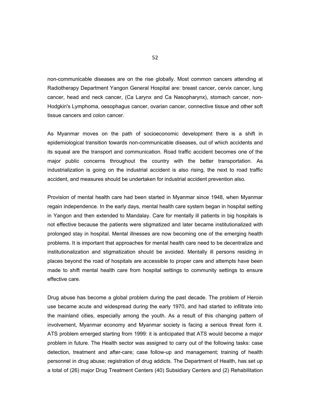non-communicable diseases are on the rise globally. Most common cancers attending at Radiotherapy Department Yangon General Hospital are: breast cancer, cervix cancer, lung cancer, head and neck cancer, (Ca Larynx and Ca Nasopharynx), stomach cancer, non-Hodgkin's Lymphoma, oesophagus cancer, ovarian cancer, connective tissue and other soft tissue cancers and colon cancer.

As Myanmar moves on the path of socioeconomic development there is a shift in epidemiological transition towards non-communicable diseases, out of which accidents and its squeal are the transport and communication. Road traffic accident becomes one of the major public concerns throughout the country with the better transportation. As industrialization is going on the industrial accident is also rising, the next to road traffic accident, and measures should be undertaken for industrial accident prevention also.

Provision of mental health care had been started in Myanmar since 1948, when Myanmar regain independence. In the early days, mental health care system began in hospital setting in Yangon and then extended to Mandalay. Care for mentally ill patients in big hospitals is not effective because the patients were stigmatized and later became institutionalized with prolonged stay in hospital. Mental illnesses are now becoming one of the emerging health problems. It is important that approaches for mental health care need to be decentralize and institutionalization and stigmatization should be avoided. Mentally ill persons residing in places beyond the road of hospitals are accessible to proper care and attempts have been made to shift mental health care from hospital settings to community settings to ensure effective care.

Drug abuse has become a global problem during the past decade. The problem of Heroin use became acute and widespread during the early 1970, and had started to infiltrate into the mainland cities, especially among the youth. As a result of this changing pattern of involvement, Myanmar economy and Myanmar society is facing a serious threat form it. ATS problem emerged starting from 1999: it is anticipated that ATS would become a major problem in future. The Health sector was assigned to carry out of the following tasks: case detection, treatment and after-care; case follow-up and management; training of health personnel in drug abuse; registration of drug addicts. The Department of Health, has set up a total of (26) major Drug Treatment Centers (40) Subsidiary Centers and (2) Rehabilitation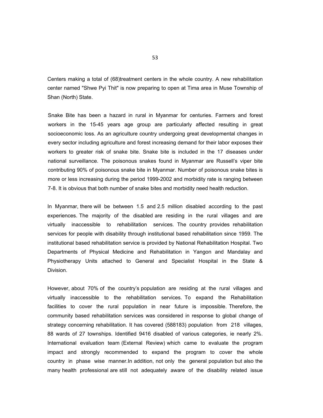Centers making a total of (68)treatment centers in the whole country. A new rehabilitation center named "Shwe Pyi Thit" is now preparing to open at Tima area in Muse Township of Shan (North) State.

Snake Bite has been a hazard in rural in Myanmar for centuries. Farmers and forest workers in the 15-45 years age group are particularly affected resulting in great socioeconomic loss. As an agriculture country undergoing great developmental changes in every sector including agriculture and forest increasing demand for their labor exposes their workers to greater risk of snake bite. Snake bite is included in the 17 diseases under national surveillance. The poisonous snakes found in Myanmar are Russell's viper bite contributing 90% of poisonous snake bite in Myanmar. Number of poisonous snake bites is more or less increasing during the period 1999-2002 and morbidity rate is ranging between 7-8. It is obvious that both number of snake bites and morbidity need health reduction.

In Myanmar, there will be between 1.5 and 2.5 million disabled according to the past experiences. The majority of the disabled are residing in the rural villages and are virtually inaccessible to rehabilitation services. The country provides rehabilitation services for people with disability through institutional based rehabilitation since 1959. The institutional based rehabilitation service is provided by National Rehabilitation Hospital. Two Departments of Physical Medicine and Rehabilitation in Yangon and Mandalay and Physiotherapy Units attached to General and Specialist Hospital in the State & Division.

However, about 70% of the country's population are residing at the rural villages and virtually inaccessible to the rehabilitation services. To expand the Rehabilitation facilities to cover the rural population in near future is impossible. Therefore, the community based rehabilitation services was considered in response to global change of strategy concerning rehabilitation. It has covered (588183) population from 218 villages, 88 wards of 27 townships. Identified 9416 disabled of various categories, ie nearly 2%. International evaluation team (External Review) which came to evaluate the program impact and strongly recommended to expand the program to cover the whole country in phase wise manner.In addition, not only the general population but also the many health professional are still not adequately aware of the disability related issue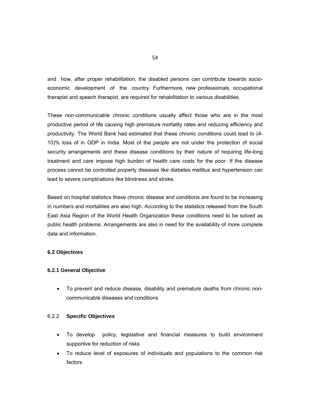and how, after proper rehabilitation, the disabled persons can contribute towards socioeconomic development of the country. Furthermore, new professionals, occupational therapist and speech therapist, are required for rehabilitation to various disabilities.

These non-communicable chronic conditions usually affect those who are in the most productive period of life causing high premature mortality rates and reducing efficiency and productivity. The World Bank had estimated that these chronic conditions could lead to (4- 10)% loss of in GDP in India. Most of the people are not under the protection of social security arrangements and these disease conditions by their nature of requiring life-long treatment and care impose high burden of health care costs for the poor. If the disease process cannot be controlled properly diseases like diabetes mellitus and hypertension can lead to severe complications like blindness and stroke.

Based on hospital statistics these chronic disease and conditions are found to be increasing in numbers and mortalities are also high. According to the statistics released from the South East Asia Region of the World Health Organization these conditions need to be solved as public health problems. Arrangements are also in need for the availability of more complete data and information.

### **6.2 Objectives**

### **6.2.1 General Objective**

 To prevent and reduce disease, disability and premature deaths from chronic noncommunicable diseases and conditions

### 6.2.2 **Specific Objectives**

- To develop policy, legislative and financial measures to build environment supportive for reduction of risks
- To reduce level of exposures of individuals and populations to the common risk factors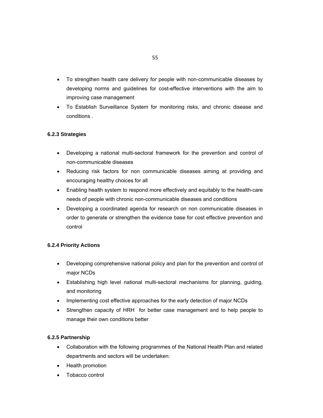- To strengthen health care delivery for people with non-communicable diseases by developing norms and guidelines for cost-effective interventions with the aim to improving case management
- To Establish Surveillance System for monitoring risks, and chronic disease and conditions .

# **6.2.3 Strategies**

- Developing a national multi-sectoral framework for the prevention and control of non-communicable diseases
- Reducing risk factors for non communicable diseases aiming at providing and encouraging healthy choices for all
- Enabling health system to respond more effectively and equitably to the health-care needs of people with chronic non-communicable diseases and conditions
- Developing a coordinated agenda for research on non communicable diseases in order to generate or strengthen the evidence base for cost effective prevention and control

# **6.2.4 Priority Actions**

- Developing comprehensive national policy and plan for the prevention and control of major NCDs
- Establishing high level national multi-sectoral mechanisms for planning, guiding, and monitoring
- Implementing cost effective approaches for the early detection of major NCDs
- Strengthen capacity of HRH for better case management and to help people to manage their own conditions better

### **6.2.5 Partnership**

- Collaboration with the following programmes of the National Health Plan and related departments and sectors will be undertaken:
- Health promotion
- Tobacco control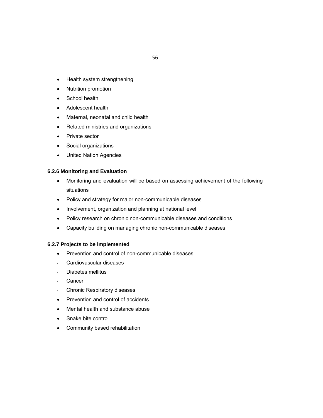- Health system strengthening
- Nutrition promotion
- **School health**
- Adolescent health
- Maternal, neonatal and child health
- Related ministries and organizations
- Private sector
- Social organizations
- United Nation Agencies

### **6.2.6 Monitoring and Evaluation**

- Monitoring and evaluation will be based on assessing achievement of the following situations
- Policy and strategy for major non-communicable diseases
- Involvement, organization and planning at national level
- Policy research on chronic non-communicable diseases and conditions
- Capacity building on managing chronic non-communicable diseases

### **6.2.7 Projects to be implemented**

- Prevention and control of non-communicable diseases
- Cardiovascular diseases
- Diabetes mellitus
- **Cancer**
- Chronic Respiratory diseases
- Prevention and control of accidents
- Mental health and substance abuse
- Snake bite control
- Community based rehabilitation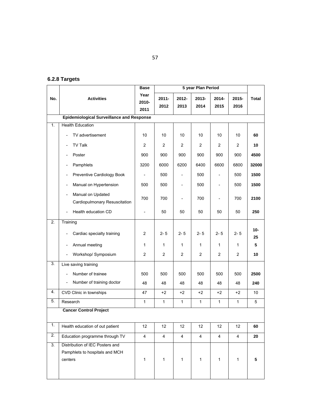# **6.2.8 Targets**

|                  |                                                                                | <b>Base</b>              | 5 year Plan Period |                          |                |                          |                |              |
|------------------|--------------------------------------------------------------------------------|--------------------------|--------------------|--------------------------|----------------|--------------------------|----------------|--------------|
| No.              | <b>Activities</b>                                                              | Year<br>2010-<br>2011    | $2011 -$<br>2012   | $2012 -$<br>2013         | 2013-<br>2014  | $2014 -$<br>2015         | 2015-<br>2016  | <b>Total</b> |
|                  | <b>Epidemiological Surveillance and Response</b>                               |                          |                    |                          |                |                          |                |              |
| 1.               | <b>Health Education</b>                                                        |                          |                    |                          |                |                          |                |              |
|                  | TV advertisement                                                               | 10                       | 10                 | 10                       | 10             | 10                       | 10             | 60           |
|                  | <b>TV Talk</b><br>$\overline{\phantom{0}}$                                     | 2                        | 2                  | $\overline{c}$           | $\overline{2}$ | $\overline{2}$           | 2              | 10           |
|                  | Poster<br>$\overline{\phantom{0}}$                                             | 900                      | 900                | 900                      | 900            | 900                      | 900            | 4500         |
|                  | Pamphlets<br>$\overline{\phantom{0}}$                                          | 3200                     | 6000               | 6200                     | 6400           | 6600                     | 6800           | 32000        |
|                  | Preventive Cardiology Book<br>$\overline{\phantom{a}}$                         | $\overline{\phantom{a}}$ | 500                | $\overline{\phantom{a}}$ | 500            | $\overline{\phantom{a}}$ | 500            | 1500         |
|                  | Manual on Hypertension                                                         | 500                      | 500                |                          | 500            | $\overline{\phantom{0}}$ | 500            | 1500         |
|                  | Manual on Updated<br>$\overline{\phantom{a}}$<br>Cardiopulmonary Resuscitation | 700                      | 700                |                          | 700            | $\overline{a}$           | 700            | 2100         |
|                  | Health education CD<br>$\overline{\phantom{0}}$                                |                          | 50                 | 50                       | 50             | 50                       | 50             | 250          |
| $\overline{2}$ . | Training                                                                       |                          |                    |                          |                |                          |                |              |
|                  | Cardiac specialty training                                                     | 2                        | $2 - 5$            | $2 - 5$                  | $2 - 5$        | $2 - 5$                  | $2 - 5$        | $10 -$<br>25 |
|                  | Annual meeting<br>$\overline{\phantom{0}}$                                     | 1                        | $\mathbf{1}$       | $\mathbf{1}$             | 1              | $\mathbf{1}$             | $\mathbf{1}$   | 5            |
|                  | Workshop/ Symposium<br>$\overline{\phantom{0}}$                                | $\overline{2}$           | $\overline{c}$     | $\overline{c}$           | $\overline{c}$ | $\overline{2}$           | $\overline{2}$ | 10           |
| 3.               | Live saving training                                                           |                          |                    |                          |                |                          |                |              |
|                  | Number of trainee                                                              | 500                      | 500                | 500                      | 500            | 500                      | 500            | 2500         |
|                  | Number of training doctor<br>$\overline{\phantom{a}}$                          | 48                       | 48                 | 48                       | 48             | 48                       | 48             | 240          |
| 4.               | CVD Clinic in townships                                                        | 47                       | $+2$               | $+2$                     | $+2$           | $+2$                     | $+2$           | 10           |
| 5.               | Research                                                                       | 1                        | $\mathbf{1}$       | 1                        | 1              | $\mathbf{1}$             | 1              | 5            |
|                  | <b>Cancer Control Project</b>                                                  |                          |                    |                          |                |                          |                |              |
| $\overline{1}$ . | Health education of out patient                                                | 12                       | 12                 | 12                       | 12             | 12                       | 12             | 60           |
| 2.               | Education programme through TV                                                 | $\overline{4}$           | 4                  | $\overline{4}$           | $\overline{4}$ | $\overline{4}$           | $\overline{4}$ | 20           |
| $\overline{3}$ . | Distribution of IEC Posters and<br>Pamphlets to hospitals and MCH<br>centers   | $\mathbf{1}$             | $\mathbf{1}$       | $\mathbf{1}$             | 1              | $\mathbf{1}$             | $\mathbf{1}$   | 5            |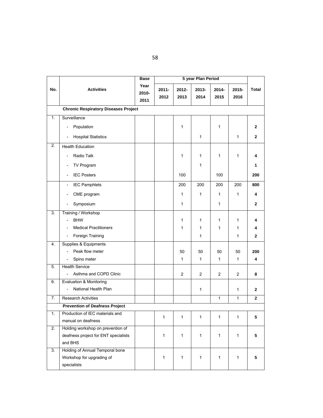|     |                                                          | <b>Base</b>           | 5 year Plan Period |                |                |                  |               |              |
|-----|----------------------------------------------------------|-----------------------|--------------------|----------------|----------------|------------------|---------------|--------------|
| No. | <b>Activities</b>                                        | Year<br>2010-<br>2011 | $2011 -$<br>2012   | 2012-<br>2013  | 2013-<br>2014  | $2014 -$<br>2015 | 2015-<br>2016 | <b>Total</b> |
|     | <b>Chronic Respiratory Diseases Project</b>              |                       |                    |                |                |                  |               |              |
| 1.  | Surveillance                                             |                       |                    |                |                |                  |               |              |
|     | Population<br>$\overline{\phantom{0}}$                   |                       |                    | 1              |                | 1                |               | $\mathbf{2}$ |
|     | <b>Hospital Statistics</b>                               |                       |                    |                | $\mathbf{1}$   |                  | $\mathbf{1}$  | $\mathbf{2}$ |
| 2.  | <b>Health Education</b>                                  |                       |                    |                |                |                  |               |              |
|     | Radio Talk                                               |                       |                    | 1              | 1              | 1                | 1             | 4            |
|     | TV Program<br>$\overline{\phantom{a}}$                   |                       |                    |                | 1              |                  |               | 1            |
|     | <b>IEC Posters</b><br>$\overline{\phantom{a}}$           |                       |                    | 100            |                | 100              |               | 200          |
|     | <b>IEC Pamphlets</b><br>$\overline{\phantom{a}}$         |                       |                    | 200            | 200            | 200              | 200           | 800          |
|     | CME program<br>$\overline{\phantom{a}}$                  |                       |                    | 1              | $\mathbf{1}$   | $\mathbf{1}$     | 1             | 4            |
|     | Symposium<br>$\overline{\phantom{a}}$                    |                       |                    | 1              |                | 1                |               | 2            |
| 3.  | Training / Workshop                                      |                       |                    |                |                |                  |               |              |
|     | <b>BHW</b>                                               |                       |                    | 1              | $\mathbf{1}$   | $\mathbf{1}$     | 1             | 4            |
|     | <b>Medical Practitioners</b><br>$\overline{\phantom{a}}$ |                       |                    | 1              | 1              | 1                | 1             | 4            |
|     | Foreign Training<br>$\overline{\phantom{a}}$             |                       |                    |                | 1              |                  | 1             | $\mathbf{2}$ |
| 4.  | Supplies & Equipments                                    |                       |                    |                |                |                  |               |              |
|     | Peak flow meter                                          |                       |                    | 50             | 50             | 50               | 50            | 200          |
|     | Spino meter<br>$\overline{\phantom{0}}$                  |                       |                    | 1              | 1              | $\mathbf{1}$     | $\mathbf{1}$  | 4            |
| 5.  | <b>Health Service</b>                                    |                       |                    |                |                |                  |               |              |
|     | Asthma and COPD Clinic<br>$\overline{\phantom{0}}$       |                       |                    | $\overline{2}$ | $\overline{2}$ | 2                | 2             | 8            |
| 6.  | Evaluation & Monitoring                                  |                       |                    |                |                |                  |               |              |
|     | National Health Plan                                     |                       |                    |                | 1              |                  | 1             | $\mathbf{2}$ |
| 7.  | <b>Research Activities</b>                               |                       |                    |                |                | $\mathbf{1}$     | $\mathbf{1}$  | $\mathbf{2}$ |
|     | <b>Prevention of Deafness Project</b>                    |                       |                    |                |                |                  |               |              |
| 1.  | Production of IEC materials and                          |                       | 1                  | 1              | $\mathbf{1}$   | $\mathbf{1}$     | $\mathbf{1}$  | 5            |
|     | manual on deafness                                       |                       |                    |                |                |                  |               |              |
| 2.  | Holding workshop on prevention of                        |                       |                    |                |                |                  |               |              |
|     | deafness project for ENT specialists                     |                       | 1                  | 1              | 1              | $\mathbf{1}$     | 1             | 5            |
|     | and BHS                                                  |                       |                    |                |                |                  |               |              |
| 3.  | Holding of Annual Temporal bone                          |                       |                    |                |                |                  |               |              |
|     | Workshop for upgrading of<br>specialists                 |                       | 1                  | 1              | $\mathbf{1}$   | $\mathbf{1}$     | $\mathbf{1}$  | 5            |
|     |                                                          |                       |                    |                |                |                  |               |              |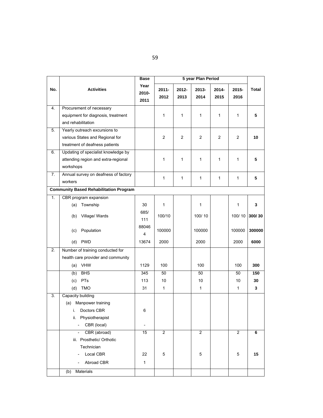|                  |                                                 | Base                     | 5 year Plan Period |                  |                |                |                |              |
|------------------|-------------------------------------------------|--------------------------|--------------------|------------------|----------------|----------------|----------------|--------------|
| No.              | <b>Activities</b>                               | Year<br>2010-<br>2011    | $2011 -$<br>2012   | $2012 -$<br>2013 | 2013-<br>2014  | 2014-<br>2015  | 2015-<br>2016  | <b>Total</b> |
| 4.               | Procurement of necessary                        |                          |                    |                  |                |                |                |              |
|                  | equipment for diagnosis, treatment              |                          | $\mathbf{1}$       | $\mathbf 1$      | 1              | $\mathbf{1}$   | 1              | 5            |
|                  | and rehabilitation                              |                          |                    |                  |                |                |                |              |
| 5.               | Yearly outreach excursions to                   |                          |                    |                  |                |                |                |              |
|                  | various States and Regional for                 |                          | 2                  | 2                | $\overline{c}$ | $\overline{c}$ | 2              | 10           |
|                  | treatment of deafness patients                  |                          |                    |                  |                |                |                |              |
| 6.               | Updating of specialist knowledge by             |                          |                    |                  |                |                |                |              |
|                  | attending region and extra-regional             |                          | 1                  | $\mathbf 1$      | 1              | $\mathbf{1}$   | 1              | 5            |
|                  | workshops                                       |                          |                    |                  |                |                |                |              |
| 7.               | Annual survey on deafness of factory<br>workers |                          | 1                  | $\mathbf 1$      | 1              | $\mathbf{1}$   | 1              | 5            |
|                  |                                                 |                          |                    |                  |                |                |                |              |
|                  | <b>Community Based Rehabilitation Program</b>   |                          |                    |                  |                |                |                |              |
| 1.               | CBR program expansion                           |                          |                    |                  |                |                |                |              |
|                  | (a) Township                                    | 30                       | 1                  |                  | 1              |                | 1              | 3            |
|                  | Village/ Wards<br>(b)                           | 685/<br>111              | 100/10             |                  | 100/10         |                | 100/10         | 300/30       |
|                  | Population<br>(c)                               | 88046<br>4               | 100000             |                  | 100000         |                | 100000         | 300000       |
|                  | <b>PWD</b><br>(d)                               | 13674                    | 2000               |                  | 2000           |                | 2000           | 6000         |
| $\overline{2}$ . | Number of training conducted for                |                          |                    |                  |                |                |                |              |
|                  | health care provider and community              |                          |                    |                  |                |                |                |              |
|                  | (a) VHW                                         | 1129                     | 100                |                  | 100            |                | 100            | 300          |
|                  | <b>BHS</b><br>(b)                               | 345                      | 50                 |                  | 50             |                | 50             | 150          |
|                  | PTs<br>(c)                                      | 113                      | 10                 |                  | 10             |                | 10             | 30           |
|                  | <b>TMO</b><br>(d)                               | 31                       | 1                  |                  | 1              |                | $\mathbf{1}$   | 3            |
| 3.               | Capacity building                               |                          |                    |                  |                |                |                |              |
|                  | (a) Manpower training                           |                          |                    |                  |                |                |                |              |
|                  | i. Doctors CBR                                  | 6                        |                    |                  |                |                |                |              |
|                  | ii. Physiotherapist                             |                          |                    |                  |                |                |                |              |
|                  | CBR (local)                                     | $\overline{\phantom{a}}$ |                    |                  |                |                |                |              |
|                  | CBR (abroad)                                    | 15                       | $\overline{2}$     |                  | $\overline{2}$ |                | $\overline{2}$ | 6            |
|                  | iii. Prosthetic/ Orthotic                       |                          |                    |                  |                |                |                |              |
|                  | Technician                                      |                          |                    |                  |                |                |                |              |
|                  | Local CBR                                       | 22                       | 5                  |                  | 5              |                | 5              | 15           |
|                  | Abroad CBR                                      | $\mathbf{1}$             |                    |                  |                |                |                |              |
|                  | Materials<br>(b)                                |                          |                    |                  |                |                |                |              |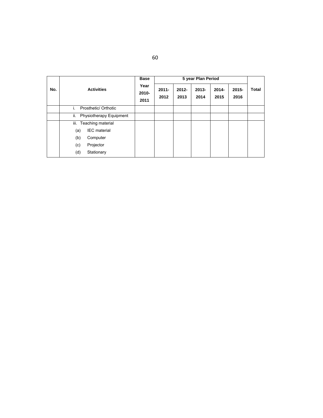|     | <b>Activities</b>              | <b>Base</b>              | 5 year Plan Period |                  |                  |                  |                  |              |
|-----|--------------------------------|--------------------------|--------------------|------------------|------------------|------------------|------------------|--------------|
| No. |                                | Year<br>$2010 -$<br>2011 | $2011 -$<br>2012   | $2012 -$<br>2013 | $2013 -$<br>2014 | $2014 -$<br>2015 | $2015 -$<br>2016 | <b>Total</b> |
|     | Prosthetic/ Orthotic           |                          |                    |                  |                  |                  |                  |              |
|     | ii.<br>Physiotherapy Equipment |                          |                    |                  |                  |                  |                  |              |
|     | iii. Teaching material         |                          |                    |                  |                  |                  |                  |              |
|     | <b>IEC</b> material<br>(a)     |                          |                    |                  |                  |                  |                  |              |
|     | Computer<br>(b)                |                          |                    |                  |                  |                  |                  |              |
|     | (c)<br>Projector               |                          |                    |                  |                  |                  |                  |              |
|     | (d)<br>Stationary              |                          |                    |                  |                  |                  |                  |              |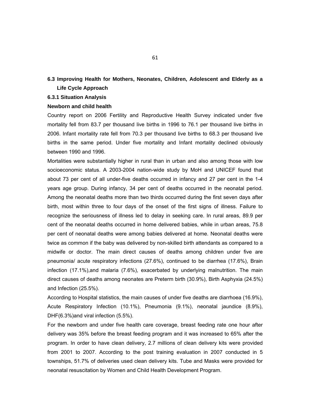# **6.3 Improving Health for Mothers, Neonates, Children, Adolescent and Elderly as a Life Cycle Approach**

#### **6.3.1 Situation Analysis**

#### **Newborn and child health**

Country report on 2006 Fertility and Reproductive Health Survey indicated under five mortality fell from 83.7 per thousand live births in 1996 to 76.1 per thousand live births in 2006. Infant mortality rate fell from 70.3 per thousand live births to 68.3 per thousand live births in the same period. Under five mortality and Infant mortality declined obviously between 1990 and 1996.

Mortalities were substantially higher in rural than in urban and also among those with low socioeconomic status. A 2003-2004 nation-wide study by MoH and UNICEF found that about 73 per cent of all under-five deaths occurred in infancy and 27 per cent in the 1-4 years age group. During infancy, 34 per cent of deaths occurred in the neonatal period. Among the neonatal deaths more than two thirds occurred during the first seven days after birth, most within three to four days of the onset of the first signs of illness. Failure to recognize the seriousness of illness led to delay in seeking care. In rural areas, 89.9 per cent of the neonatal deaths occurred in home delivered babies, while in urban areas, 75.8 per cent of neonatal deaths were among babies delivered at home. Neonatal deaths were twice as common if the baby was delivered by non-skilled birth attendants as compared to a midwife or doctor. The main direct causes of deaths among children under five are pneumonia/ acute respiratory infections (27.6%), continued to be diarrhea (17.6%), Brain infection (17.1%),and malaria (7.6%), exacerbated by underlying malnutrition. The main direct causes of deaths among neonates are Preterm birth (30.9%), Birth Asphyxia (24.5%) and Infection (25.5%).

According to Hospital statistics, the main causes of under five deaths are diarrhoea (16.9%), Acute Respiratory Infection (10.1%), Pneumonia (9.1%), neonatal jaundice (8.9%), DHF(6.3%)and viral infection (5.5%).

For the newborn and under five health care coverage, breast feeding rate one hour after delivery was 35% before the breast feeding program and it was increased to 65% after the program. In order to have clean delivery, 2.7 millions of clean delivery kits were provided from 2001 to 2007. According to the post training evaluation in 2007 conducted in 5 townships, 51.7% of deliveries used clean delivery kits. Tube and Masks were provided for neonatal resuscitation by Women and Child Health Development Program.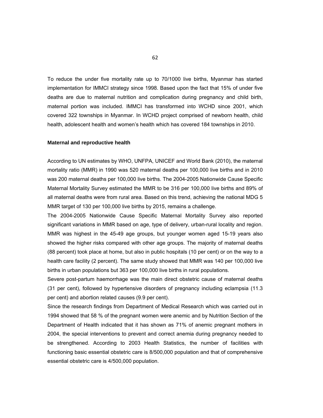To reduce the under five mortality rate up to 70/1000 live births, Myanmar has started implementation for IMMCI strategy since 1998. Based upon the fact that 15% of under five deaths are due to maternal nutrition and complication during pregnancy and child birth, maternal portion was included. IMMCI has transformed into WCHD since 2001, which covered 322 townships in Myanmar. In WCHD project comprised of newborn health, child health, adolescent health and women's health which has covered 184 townships in 2010.

#### **Maternal and reproductive health**

According to UN estimates by WHO, UNFPA, UNICEF and World Bank (2010), the maternal mortality ratio (MMR) in 1990 was 520 maternal deaths per 100,000 live births and in 2010 was 200 maternal deaths per 100,000 live births. The 2004-2005 Nationwide Cause Specific Maternal Mortality Survey estimated the MMR to be 316 per 100,000 live births and 89% of all maternal deaths were from rural area. Based on this trend, achieving the national MDG 5 MMR target of 130 per 100,000 live births by 2015, remains a challenge.

The 2004-2005 Nationwide Cause Specific Maternal Mortality Survey also reported significant variations in MMR based on age, type of delivery, urban-rural locality and region. MMR was highest in the 45-49 age groups, but younger women aged 15-19 years also showed the higher risks compared with other age groups. The majority of maternal deaths (88 percent) took place at home, but also in public hospitals (10 per cent) or on the way to a health care facility (2 percent). The same study showed that MMR was 140 per 100,000 live births in urban populations but 363 per 100,000 live births in rural populations.

Severe post-partum haemorrhage was the main direct obstetric cause of maternal deaths (31 per cent), followed by hypertensive disorders of pregnancy including eclampsia (11.3 per cent) and abortion related causes (9.9 per cent).

Since the research findings from Department of Medical Research which was carried out in 1994 showed that 58 % of the pregnant women were anemic and by Nutrition Section of the Department of Health indicated that it has shown as 71% of anemic pregnant mothers in 2004, the special interventions to prevent and correct anemia during pregnancy needed to be strengthened. According to 2003 Health Statistics, the number of facilities with functioning basic essential obstetric care is 8/500,000 population and that of comprehensive essential obstetric care is 4/500,000 population.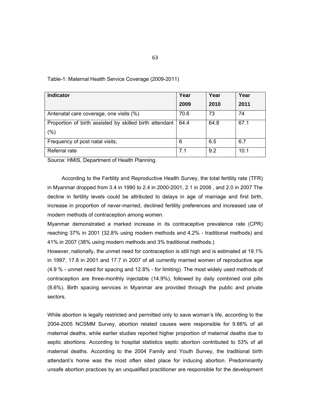| <b>Indicator</b>                                        | Year | Year | Year |
|---------------------------------------------------------|------|------|------|
|                                                         | 2009 | 2010 | 2011 |
| Antenatal care coverage, one visits (%)                 | 70.6 | 73   | 74   |
| Proportion of birth assisted by skilled birth attendant | 64.4 | 64.8 | 67.1 |
| (% )                                                    |      |      |      |
| Frequency of post natal visits,                         | 6    | 6.5  | 6.7  |
| Referral rate                                           | 7.1  | 9.2  | 10.1 |

#### Table-1: Maternal Health Service Coverage (2009-2011)

Source: HMIS, Department of Health Planning.

According to the Fertility and Reproductive Health Survey, the total fertility rate (TFR) in Myanmar dropped from 3.4 in 1990 to 2.4 in 2000-2001, 2.1 in 2006 , and 2.0 in 2007 The decline in fertility levels could be attributed to delays in age of marriage and first birth, increase in proportion of never-married, declined fertility preferences and increased use of modern methods of contraception among women.

Myanmar demonstrated a marked increase in its contraceptive prevalence rate (CPR) reaching 37% in 2001 (32.8% using modern methods and 4.2% - traditional methods) and 41% in 2007 (38% using modern methods and 3% traditional methods.)

However, nationally, the unmet need for contraception is still high and is estimated at 19.1% in 1997, 17.8 in 2001 and 17.7 in 2007 of all currently married women of reproductive age (4.9 % - unmet need for spacing and 12.8% - for limiting). The most widely used methods of contraception are three-monthly injectable (14.9%), followed by daily combined oral pills (8.6%). Birth spacing services in Myanmar are provided through the public and private sectors.

While abortion is legally restricted and permitted only to save woman's life, according to the 2004-2005 NCSMM Survey, abortion related causes were responsible for 9.86% of all maternal deaths, while earlier studies reported higher proportion of maternal deaths due to septic abortions. According to hospital statistics septic abortion contributed to 53% of all maternal deaths. According to the 2004 Family and Youth Survey, the traditional birth attendant's home was the most often sited place for inducing abortion. Predominantly unsafe abortion practices by an unqualified practitioner are responsible for the development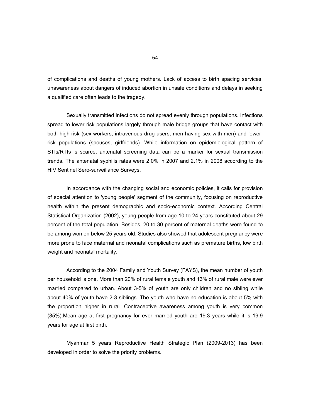of complications and deaths of young mothers. Lack of access to birth spacing services, unawareness about dangers of induced abortion in unsafe conditions and delays in seeking a qualified care often leads to the tragedy.

 Sexually transmitted infections do not spread evenly through populations. Infections spread to lower risk populations largely through male bridge groups that have contact with both high-risk (sex-workers, intravenous drug users, men having sex with men) and lowerrisk populations (spouses, girlfriends). While information on epidemiological pattern of STIs/RTIs is scarce, antenatal screening data can be a marker for sexual transmission trends. The antenatal syphilis rates were 2.0% in 2007 and 2.1% in 2008 according to the HIV Sentinel Sero-surveillance Surveys.

In accordance with the changing social and economic policies, it calls for provision of special attention to 'young people' segment of the community, focusing on reproductive health within the present demographic and socio-economic context. According Central Statistical Organization (2002), young people from age 10 to 24 years constituted about 29 percent of the total population. Besides, 20 to 30 percent of maternal deaths were found to be among women below 25 years old. Studies also showed that adolescent pregnancy were more prone to face maternal and neonatal complications such as premature births, low birth weight and neonatal mortality.

According to the 2004 Family and Youth Survey (FAYS), the mean number of youth per household is one. More than 20% of rural female youth and 13% of rural male were ever married compared to urban. About 3-5% of youth are only children and no sibling while about 40% of youth have 2-3 siblings. The youth who have no education is about 5% with the proportion higher in rural. Contraceptive awareness among youth is very common (85%).Mean age at first pregnancy for ever married youth are 19.3 years while it is 19.9 years for age at first birth.

Myanmar 5 years Reproductive Health Strategic Plan (2009-2013) has been developed in order to solve the priority problems.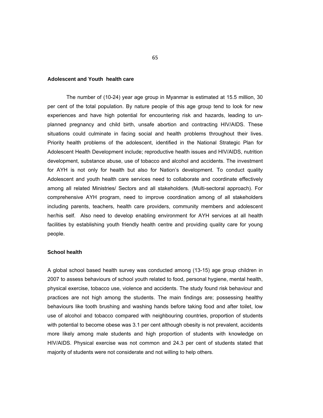#### **Adolescent and Youth health care**

The number of (10-24) year age group in Myanmar is estimated at 15.5 million, 30 per cent of the total population. By nature people of this age group tend to look for new experiences and have high potential for encountering risk and hazards, leading to unplanned pregnancy and child birth, unsafe abortion and contracting HIV/AIDS. These situations could culminate in facing social and health problems throughout their lives. Priority health problems of the adolescent, identified in the National Strategic Plan for Adolescent Health Development include; reproductive health issues and HIV/AIDS, nutrition development, substance abuse, use of tobacco and alcohol and accidents. The investment for AYH is not only for health but also for Nation's development. To conduct quality Adolescent and youth health care services need to collaborate and coordinate effectively among all related Ministries/ Sectors and all stakeholders. (Multi-sectoral approach). For comprehensive AYH program, need to improve coordination among of all stakeholders including parents, teachers, health care providers, community members and adolescent her/his self. Also need to develop enabling environment for AYH services at all health facilities by establishing youth friendly health centre and providing quality care for young people.

#### **School health**

A global school based health survey was conducted among (13-15) age group children in 2007 to assess behaviours of school youth related to food, personal hygiene, mental health, physical exercise, tobacco use, violence and accidents. The study found risk behaviour and practices are not high among the students. The main findings are; possessing healthy behaviours like tooth brushing and washing hands before taking food and after toilet, low use of alcohol and tobacco compared with neighbouring countries, proportion of students with potential to become obese was 3.1 per cent although obesity is not prevalent, accidents more likely among male students and high proportion of students with knowledge on HIV/AIDS. Physical exercise was not common and 24.3 per cent of students stated that majority of students were not considerate and not willing to help others.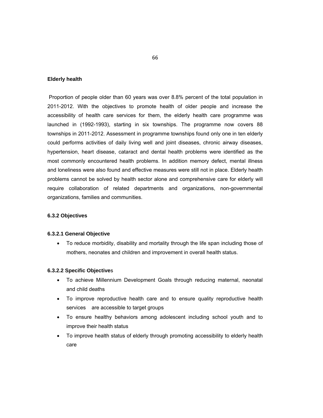#### **Elderly health**

 Proportion of people older than 60 years was over 8.8% percent of the total population in 2011-2012. With the objectives to promote health of older people and increase the accessibility of health care services for them, the elderly health care programme was launched in (1992-1993), starting in six townships. The programme now covers 88 townships in 2011-2012. Assessment in programme townships found only one in ten elderly could performs activities of daily living well and joint diseases, chronic airway diseases, hypertension, heart disease, cataract and dental health problems were identified as the most commonly encountered health problems. In addition memory defect, mental illness and loneliness were also found and effective measures were still not in place. Elderly health problems cannot be solved by health sector alone and comprehensive care for elderly will require collaboration of related departments and organizations, non-governmental organizations, families and communities.

#### **6.3.2 Objectives**

#### **6.3.2.1 General Objective**

 To reduce morbidity, disability and mortality through the life span including those of mothers, neonates and children and improvement in overall health status.

### **6.3.2.2 Specific Objective**s

- To achieve Millennium Development Goals through reducing maternal, neonatal and child deaths
- To improve reproductive health care and to ensure quality reproductive health services are accessible to target groups
- To ensure healthy behaviors among adolescent including school youth and to improve their health status
- To improve health status of elderly through promoting accessibility to elderly health care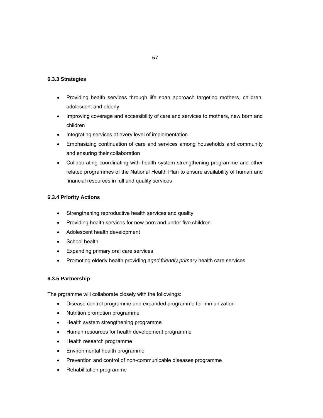# **6.3.3 Strategies**

- Providing health services through life span approach targeting mothers, children, adolescent and elderly
- Improving coverage and accessibility of care and services to mothers, new born and children
- Integrating services at every level of implementation
- Emphasizing continuation of care and services among households and community and ensuring their collaboration
- Collaborating coordinating with health system strengthening programme and other related programmes of the National Health Plan to ensure availability of human and financial resources in full and quality services

# **6.3.4 Priority Actions**

- Strengthening reproductive health services and quality
- Providing health services for new born and under five children
- Adolescent health development
- School health
- Expanding primary oral care services
- Promoting elderly health providing *aged friendly primary* health care services

### **6.3.5 Partnership**

The prgramme will collaborate closely with the followings:

- Disease control programme and expanded programme for immunization
- Nutrition promotion programme
- Health system strengthening programme
- Human resources for health development programme
- Health research programme
- Environmental health programme
- Prevention and control of non-communicable diseases programme
- Rehabilitation programme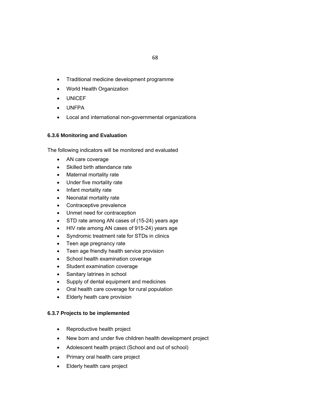- Traditional medicine development programme
- World Health Organization
- UNICEF
- UNFPA
- Local and international non-governmental organizations

## **6.3.6 Monitoring and Evaluation**

The following indicators will be monitored and evaluated

- AN care coverage
- Skilled birth attendance rate
- Maternal mortality rate
- Under five mortality rate
- Infant mortality rate
- Neonatal mortality rate
- Contraceptive prevalence
- Unmet need for contraception
- STD rate among AN cases of (15-24) years age
- HIV rate among AN cases of 915-24) years age
- Syndromic treatment rate for STDs in clinics
- Teen age pregnancy rate
- Teen age friendly health service provision
- School health examination coverage
- Student examination coverage
- Sanitary latrines in school
- Supply of dental equipment and medicines
- Oral health care coverage for rural population
- Elderly heath care provision

## **6.3.7 Projects to be implemented**

- Reproductive health project
- New born and under five children health development project
- Adolescent health project (School and out of school)
- Primary oral health care project
- Elderly health care project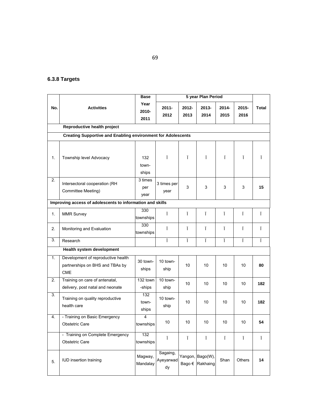# **6.3.8 Targets**

|     |                                                                                     | <b>Base</b>            |                             |               | 5 year Plan Period                  |               |                  |              |
|-----|-------------------------------------------------------------------------------------|------------------------|-----------------------------|---------------|-------------------------------------|---------------|------------------|--------------|
| No. | <b>Activities</b>                                                                   | Year<br>2010-<br>2011  | $2011 -$<br>2012            | 2012-<br>2013 | 2013-<br>2014                       | 2014-<br>2015 | $2015 -$<br>2016 | <b>Total</b> |
|     | Reproductive health project                                                         |                        |                             |               |                                     |               |                  |              |
|     | <b>Creating Supportive and Enabling environment for Adolescents</b>                 |                        |                             |               |                                     |               |                  |              |
| 1.  | Township level Advocacy                                                             | 132<br>town-<br>ships  | Ť                           | Ï.            | Ť                                   | Ť             | Ť                | Ï            |
| 2.  | Intersectoral cooperation (RH<br>Committee Meeting)                                 | 3 times<br>per<br>year | 3 times per<br>year         | 3             | 3                                   | 3             | 3                | 15           |
|     | Improving access of adolescents to information and skills                           |                        |                             |               |                                     |               |                  |              |
| 1.  | <b>MMR Survey</b>                                                                   | 330<br>townships       | Ï.                          | Ï.            | Ï                                   | Ï.            | Ï                | Ï.           |
| 2.  | Monitoring and Evaluation                                                           | 330<br>townships       | Ï                           | Ï.            | Ï.                                  | Ï             | Ï                | Ï            |
| 3.  | Research                                                                            |                        | Ï.                          | Ï             | Ï.                                  | Ï             | Ï.               | Ï            |
|     | Health system development                                                           |                        |                             |               |                                     |               |                  |              |
| 1.  | Development of reproductive health<br>partnerships on BHS and TBAs by<br><b>CME</b> | 30 town-<br>ships      | 10 town-<br>ship            | 10            | 10                                  | 10            | 10               | 80           |
| 2.  | Training on care of antenatal,<br>delivery, post natal and neonate                  | 132 town<br>-ships     | 10 town-<br>ship            | 10            | 10                                  | 10            | 10               | 182          |
| 3.  | Training on quality reproductive<br>health care                                     | 132<br>town-<br>ships  | 10 town-<br>ship            | 10            | 10                                  | 10            | 10               | 182          |
| 4.  | - Training on Basic Emergency<br><b>Obstetric Care</b>                              | 4<br>townships         | 10                          | 10            | 10                                  | 10            | 10               | 54           |
|     | - Training on Complete Emergency<br>Obstetric Care                                  | 132<br>townships       | Ï                           | Ï             | Ï                                   | Ï             | Ï.               | Ï            |
| 5.  | IUD insertion training                                                              | Magway,<br>Mandalay    | Sagaing,<br>Ayeyarwad<br>dy |               | Yangon, Bago(W),<br>Bago € Rakhaing | Shan          | Others           | 14           |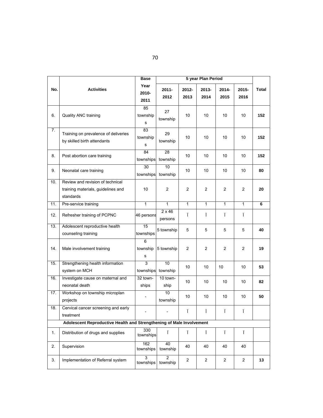|     |                                                                                     | <b>Base</b>                      |                             |                | 5 year Plan Period |                |                |              |
|-----|-------------------------------------------------------------------------------------|----------------------------------|-----------------------------|----------------|--------------------|----------------|----------------|--------------|
| No. | <b>Activities</b>                                                                   | Year<br>2010-<br>2011            | $2011 -$<br>2012            | 2012-<br>2013  | 2013-<br>2014      | 2014-<br>2015  | 2015-<br>2016  | <b>Total</b> |
| 6.  | Quality ANC training                                                                | 85<br>township<br>s              | 27<br>township              | 10             | 10                 | 10             | 10             | 152          |
| 7.  | Training on prevalence of deliveries<br>by skilled birth attendants                 | $\overline{83}$<br>township<br>s | 29<br>township              | 10             | 10                 | 10             | 10             | 152          |
| 8.  | Post abortion care training                                                         | 84<br>townships                  | $\overline{28}$<br>township | 10             | 10                 | 10             | 10             | 152          |
| 9.  | Neonatal care training                                                              | 30<br>townships                  | 10<br>township              | 10             | 10                 | 10             | 10             | 80           |
| 10. | Review and revision of technical<br>training materials, guidelines and<br>standards | 10                               | 2                           | $\overline{c}$ | $\overline{2}$     | 2              | 2              | 20           |
| 11. | Pre-service training                                                                | $\mathbf{1}$                     | $\overline{1}$              | $\overline{1}$ | $\mathbf{1}$       | $\overline{1}$ | $\mathbf{1}$   | 6            |
| 12. | Refresher training of PCPNC                                                         | 46 persons                       | $2 \times 46$<br>persons    | Ï              | Ï                  | Ï              | Ï.             |              |
| 13. | Adolescent reproductive health<br>counseling training                               | 15<br>townships                  | 5 township                  | 5              | 5                  | 5              | 5              | 40           |
| 14. | Male involvement training                                                           | 6<br>township<br>s               | 5 township                  | $\overline{2}$ | $\overline{2}$     | $\overline{2}$ | $\overline{2}$ | 19           |
| 15. | Strengthening health information<br>system on MCH                                   | $\overline{3}$<br>townships      | 10<br>township              | 10             | 10                 | 10             | 10             | 53           |
| 16. | Investigate cause on maternal and<br>neonatal death                                 | 32 town-<br>ships                | 10 town-<br>ship            | 10             | 10                 | 10             | 10             | 82           |
| 17. | Workshop on township microplan<br>projects                                          | $\overline{\phantom{0}}$         | $\overline{10}$<br>township | 10             | 10                 | 10             | 10             | 50           |
| 18. | Cervical cancer screening and early<br>treatment                                    |                                  |                             | Ï.             | Ï.                 | Ť              | Ï.             |              |
|     | Adolescent Reproductive Health and Strengthening of Male Involvement                |                                  |                             |                |                    |                |                |              |
| 1.  | Distribution of drugs and supplies                                                  | 330<br>townships                 | Ï                           | Ï              | Ï                  | Ï              | Ï              |              |
| 2.  | Supervision                                                                         | 162<br>townships                 | 40<br>township              | 40             | 40                 | 40             | 40             |              |
| 3.  | Implementation of Referral system                                                   | $\overline{3}$<br>townships      | $\overline{2}$<br>township  | $\overline{a}$ | $\overline{c}$     | $\overline{2}$ | $\overline{a}$ | 13           |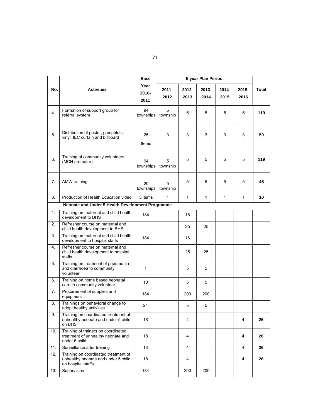|     |                                                                                                   | <b>Base</b>           |               |               |               |               |                  |              |
|-----|---------------------------------------------------------------------------------------------------|-----------------------|---------------|---------------|---------------|---------------|------------------|--------------|
| No. | <b>Activities</b>                                                                                 | Year<br>2010-<br>2011 | 2011-<br>2012 | 2012-<br>2013 | 2013-<br>2014 | 2014-<br>2015 | $2015 -$<br>2016 | <b>Total</b> |
| 4.  | Formation of support group for<br>referral system                                                 | 94<br>townships       | 5<br>township | 5             | 5             | 5             | 5                | 119          |
| 5.  | Distribution of poster, pamphlets,<br>vinyl, IEC curtain and billboard                            | 25<br>Items           | 3             | 3             | 3             | 3             | 3                | 50           |
| 6.  | Training of community volunteers<br>(MCH promoter)                                                | 94<br>townships       | 5<br>township | 5             | 5             | 5             | 5                | 119          |
| 7.  | AMW training                                                                                      | 20<br>townships       | 5<br>township | 5             | 5             | 5             | 5                | 45           |
| 8.  | Production of Health Education video                                                              | $5$ items             | $\mathbf{1}$  | 1             | $\mathbf{1}$  | 1             | 1                | 10           |
|     | Neonate and Under 5 Health Development Programme                                                  |                       |               |               |               |               |                  |              |
| 1.  | Training on maternal and child health<br>development to BHS                                       | 184                   |               | 16            |               |               |                  |              |
| 2.  | Refresher course on maternal and<br>child health development to BHS                               |                       |               | 25            | 25            |               |                  |              |
| 3.  | Training on maternal and child health<br>development to hospital staffs                           | 184                   |               | 16            |               |               |                  |              |
| 4.  | Refresher course on maternal and<br>child health development to hospital<br>staffs                |                       |               | 25            | 25            |               |                  |              |
| 5.  | Training on treatment of pneumonia<br>and diarrhoea to community<br>volunteer                     | $\mathbf{1}$          |               | 5             | 5             |               |                  |              |
| 6.  | Training on home based neonatal<br>care to community volunteer                                    | 10                    |               | 5             | 5             |               |                  |              |
| 7.  | Procurement of supplies and<br>equipment                                                          | 184                   |               | 200           | 200           |               |                  |              |
| 8.  | Trainings on behavioral change to<br>adopt healthy activities                                     | 24                    |               | 5             | 5             |               |                  |              |
| 9.  | Training on coordinated treatment of<br>unhealthy neonate and under 5 child<br>on BHS             | 18                    |               | 4             |               |               | 4                | 26           |
| 10. | Training of trainers on coordinated<br>treatment of unhealthy neonate and<br>under 5 child        | 18                    |               | 4             |               |               | 4                | 26           |
| 11. | Surveillance after training                                                                       | 18                    |               | 4             |               |               | 4                | 26           |
| 12. | Training on coordinated treatment of<br>unhealthy neonate and under 5 child<br>on hospital staffs | 18                    |               | 4             |               |               | 4                | 26           |
| 13. | Supervision                                                                                       | 184                   |               | 200           | 200           |               |                  |              |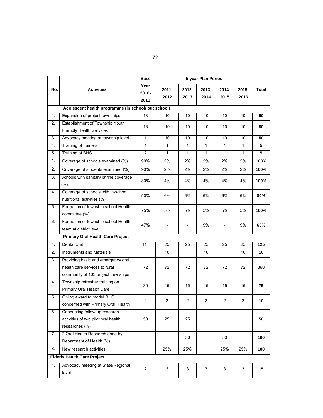|     |                                                                                                           | Base                  |                  |                  | 5 year Plan Period |                          |               |       |
|-----|-----------------------------------------------------------------------------------------------------------|-----------------------|------------------|------------------|--------------------|--------------------------|---------------|-------|
| No. | <b>Activities</b>                                                                                         | Year<br>2010-<br>2011 | $2011 -$<br>2012 | $2012 -$<br>2013 | 2013-<br>2014      | 2014-<br>2015            | 2015-<br>2016 | Total |
|     | Adolescent health programme (in school/ out school)                                                       |                       |                  |                  |                    |                          |               |       |
| 1.  | Expansion of project townships                                                                            | 18                    | 10               | 10               | 10                 | 10                       | 10            | 50    |
| 2.  | Establishment of Township Youth<br><b>Friendly Health Services</b>                                        | 18                    | 10               | 10               | 10                 | 10                       | 10            | 50    |
| 3.  | Advocacy meeting at township level                                                                        | 1                     | 10               | 10               | 10                 | 10                       | 10            | 50    |
| 4.  | Training of trainers                                                                                      | $\mathbf{1}$          | $\mathbf{1}$     | 1                | $\mathbf{1}$       | $\mathbf{1}$             | $\mathbf{1}$  | 5     |
| 5.  | <b>Training of BHS</b>                                                                                    | $\overline{c}$        | $\mathbf{1}$     | 1                | $\mathbf{1}$       | $\mathbf{1}$             | $\mathbf{1}$  | 5     |
| 1.  | Coverage of schools examined (%)                                                                          | 90%                   | 2%               | 2%               | 2%                 | 2%                       | 2%            | 100%  |
| 2.  | Coverage of students examined (%)                                                                         | 90%                   | 2%               | 2%               | 2%                 | 2%                       | 2%            | 100%  |
| 3.  | Schools with sanitary latrine coverage<br>(%)                                                             | 80%                   | 4%               | 4%               | 4%                 | 4%                       | 4%            | 100%  |
| 4.  | Coverage of schools with in-school<br>nutritional activities (%)                                          | 50%                   | 6%               | 6%               | 6%                 | 6%                       | 6%            | 80%   |
| 5.  | Formation of township school Health<br>committee (%)                                                      | 75%                   | 5%               | 5%               | 5%                 | 5%                       | 5%            | 100%  |
| 6.  | Formation of township school Health<br>team at district level                                             | 47%                   |                  | $\overline{a}$   | 9%                 | $\overline{\phantom{0}}$ | 9%            | 65%   |
|     | <b>Primary Oral Health Care Project</b>                                                                   |                       |                  |                  |                    |                          |               |       |
| 1.  | Dental Unit                                                                                               | 114                   | 25               | 25               | 25                 | 25                       | 25            | 125   |
| 2.  | <b>Instruments and Materials</b>                                                                          |                       | 10               |                  | 10                 |                          | 10            | 10    |
| 3.  | Providing basic and emergency oral<br>health care services to rural<br>community of 103 project townships | 72                    | 72               | 72               | 72                 | 72                       | 72            | 360   |
| 4.  | Township refresher training on<br>Primary Oral Health Care                                                | 30                    | 15               | 15               | 15                 | 15                       | 15            | 75    |
| 5.  | Giving award to model RHC<br>concerned with Primary Oral Health                                           | 2                     | 2                | $\overline{c}$   | 2                  | 2                        | 2             | 10    |
| 6.  | Conducting follow up research<br>activities of two pilot oral health<br>researches (%)                    | 50                    | 25               | 25               |                    |                          |               | 50    |
| 7.  | 2 Oral Health Research done by<br>Department of Health (%)                                                |                       |                  | 50               |                    | 50                       |               | 100   |
| 8.  | New research activities                                                                                   |                       | 25%              | 25%              |                    | 25%                      | 25%           | 100   |
|     | <b>Elderly Health Care Project</b>                                                                        |                       |                  |                  |                    |                          |               |       |
| 1.  | Advocacy meeting at State/Regional<br>level                                                               | $\mathbf{2}$          | 3                | 3                | 3                  | 3                        | 3             | 15    |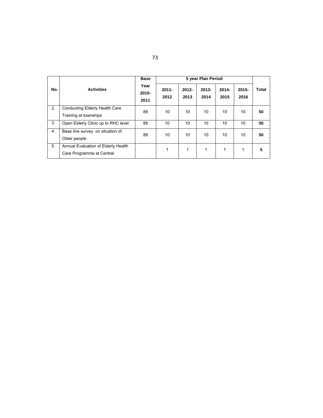|     |                                                                  | <b>Base</b>              |                  |                  | 5 year Plan Period |                  |                  |       |
|-----|------------------------------------------------------------------|--------------------------|------------------|------------------|--------------------|------------------|------------------|-------|
| No. | <b>Activities</b>                                                | Year<br>$2010 -$<br>2011 | $2011 -$<br>2012 | $2012 -$<br>2013 | $2013 -$<br>2014   | $2014 -$<br>2015 | $2015 -$<br>2016 | Total |
| 2.  | <b>Conducting Elderly Health Care</b><br>Training at townships   | 88                       | 10               | 10               | 10                 | 10 <sup>1</sup>  | 10               | 50    |
| 3.  | Open Elderly Clinic up to RHC level                              | 88                       | 10               | 10               | 10                 | 10               | 10               | 50    |
| 4.  | Base line survey on situation of<br>Older people                 | 88                       | 10               | 10               | 10                 | 10               | 10               | 50    |
| 5.  | Annual Evaluation of Elderly Health<br>Care Programme at Central |                          | 1                | 1                | 1                  | 1                | 1                | 5     |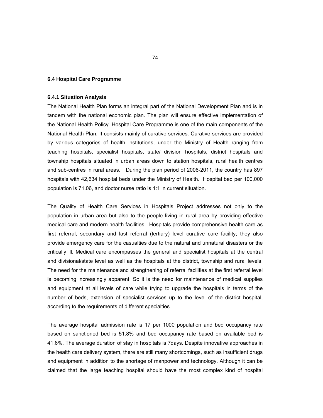#### **6.4 Hospital Care Programme**

#### **6.4.1 Situation Analysis**

The National Health Plan forms an integral part of the National Development Plan and is in tandem with the national economic plan. The plan will ensure effective implementation of the National Health Policy. Hospital Care Programme is one of the main components of the National Health Plan. It consists mainly of curative services. Curative services are provided by various categories of health institutions, under the Ministry of Health ranging from teaching hospitals, specialist hospitals, state/ division hospitals, district hospitals and township hospitals situated in urban areas down to station hospitals, rural health centres and sub-centres in rural areas. During the plan period of 2006-2011, the country has 897 hospitals with 42,634 hospital beds under the Ministry of Health. Hospital bed per 100,000 population is 71.06, and doctor nurse ratio is 1:1 in current situation.

The Quality of Health Care Services in Hospitals Project addresses not only to the population in urban area but also to the people living in rural area by providing effective medical care and modern health facilities. Hospitals provide comprehensive health care as first referral, secondary and last referral (tertiary) level curative care facility; they also provide emergency care for the casualties due to the natural and unnatural disasters or the critically ill. Medical care encompasses the general and specialist hospitals at the central and divisional/state level as well as the hospitals at the district, township and rural levels. The need for the maintenance and strengthening of referral facilities at the first referral level is becoming increasingly apparent. So it is the need for maintenance of medical supplies and equipment at all levels of care while trying to upgrade the hospitals in terms of the number of beds, extension of specialist services up to the level of the district hospital, according to the requirements of different specialties.

The average hospital admission rate is 17 per 1000 population and bed occupancy rate based on sanctioned bed is 51.8% and bed occupancy rate based on available bed is 41.6%. The average duration of stay in hospitals is 7days. Despite innovative approaches in the health care delivery system, there are still many shortcomings, such as insufficient drugs and equipment in addition to the shortage of manpower and technology. Although it can be claimed that the large teaching hospital should have the most complex kind of hospital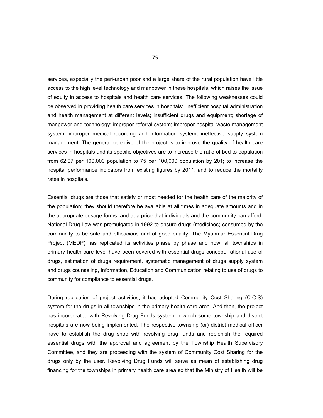services, especially the peri-urban poor and a large share of the rural population have little access to the high level technology and manpower in these hospitals, which raises the issue of equity in access to hospitals and health care services. The following weaknesses could be observed in providing health care services in hospitals: inefficient hospital administration and health management at different levels; insufficient drugs and equipment; shortage of manpower and technology; improper referral system; improper hospital waste management system; improper medical recording and information system; ineffective supply system management. The general objective of the project is to improve the quality of health care services in hospitals and its specific objectives are to increase the ratio of bed to population from 62.07 per 100,000 population to 75 per 100,000 population by 201; to increase the hospital performance indicators from existing figures by 2011; and to reduce the mortality rates in hospitals.

Essential drugs are those that satisfy or most needed for the health care of the majority of the population; they should therefore be available at all times in adequate amounts and in the appropriate dosage forms, and at a price that individuals and the community can afford. National Drug Law was promulgated in 1992 to ensure drugs (medicines) consumed by the community to be safe and efficacious and of good quality. The Myanmar Essential Drug Project (MEDP) has replicated its activities phase by phase and now, all townships in primary health care level have been covered with essential drugs concept, rational use of drugs, estimation of drugs requirement, systematic management of drugs supply system and drugs counseling, Information, Education and Communication relating to use of drugs to community for compliance to essential drugs.

During replication of project activities, it has adopted Community Cost Sharing (C.C.S) system for the drugs in all townships in the primary health care area. And then, the project has incorporated with Revolving Drug Funds system in which some township and district hospitals are now being implemented. The respective township (or) district medical officer have to establish the drug shop with revolving drug funds and replenish the required essential drugs with the approval and agreement by the Township Health Supervisory Committee, and they are proceeding with the system of Community Cost Sharing for the drugs only by the user. Revolving Drug Funds will serve as mean of establishing drug financing for the townships in primary health care area so that the Ministry of Health will be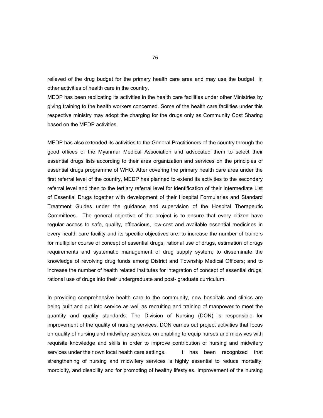relieved of the drug budget for the primary health care area and may use the budget in other activities of health care in the country.

MEDP has been replicating its activities in the health care facilities under other Ministries by giving training to the health workers concerned. Some of the health care facilities under this respective ministry may adopt the charging for the drugs only as Community Cost Sharing based on the MEDP activities.

MEDP has also extended its activities to the General Practitioners of the country through the good offices of the Myanmar Medical Association and advocated them to select their essential drugs lists according to their area organization and services on the principles of essential drugs programme of WHO. After covering the primary health care area under the first referral level of the country, MEDP has planned to extend its activities to the secondary referral level and then to the tertiary referral level for identification of their Intermediate List of Essential Drugs together with development of their Hospital Formularies and Standard Treatment Guides under the guidance and supervision of the Hospital Therapeutic Committees. The general objective of the project is to ensure that every citizen have regular access to safe, quality, efficacious, low-cost and available essential medicines in every health care facility and its specific objectives are: to increase the number of trainers for multiplier course of concept of essential drugs, rational use of drugs, estimation of drugs requirements and systematic management of drug supply system; to disseminate the knowledge of revolving drug funds among District and Township Medical Officers; and to increase the number of health related institutes for integration of concept of essential drugs, rational use of drugs into their undergraduate and post- graduate curriculum.

In providing comprehensive health care to the community, new hospitals and clinics are being built and put into service as well as recruiting and training of manpower to meet the quantity and quality standards. The Division of Nursing (DON) is responsible for improvement of the quality of nursing services. DON carries out project activities that focus on quality of nursing and midwifery services, on enabling to equip nurses and midwives with requisite knowledge and skills in order to improve contribution of nursing and midwifery services under their own local health care settings. It has been recognized that strengthening of nursing and midwifery services is highly essential to reduce mortality, morbidity, and disability and for promoting of healthy lifestyles. Improvement of the nursing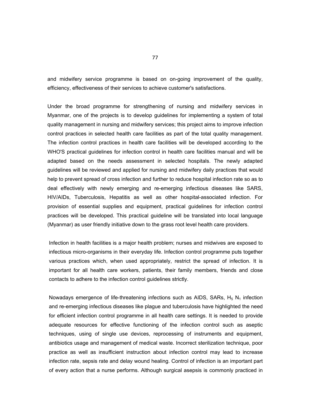and midwifery service programme is based on on-going improvement of the quality, efficiency, effectiveness of their services to achieve customer's satisfactions.

Under the broad programme for strengthening of nursing and midwifery services in Myanmar, one of the projects is to develop guidelines for implementing a system of total quality management in nursing and midwifery services; this project aims to improve infection control practices in selected health care facilities as part of the total quality management. The infection control practices in health care facilities will be developed according to the WHO'S practical guidelines for infection control in health care facilities manual and will be adapted based on the needs assessment in selected hospitals. The newly adapted guidelines will be reviewed and applied for nursing and midwifery daily practices that would help to prevent spread of cross infection and further to reduce hospital infection rate so as to deal effectively with newly emerging and re-emerging infectious diseases like SARS, HIV/AIDs, Tuberculosis, Hepatitis as well as other hospital-associated infection. For provision of essential supplies and equipment, practical guidelines for infection control practices will be developed. This practical guideline will be translated into local language (Myanmar) as user friendly initiative down to the grass root level health care providers.

Infection in health facilities is a major health problem; nurses and midwives are exposed to infectious micro-organisms in their everyday life. Infection control programme puts together various practices which, when used appropriately, restrict the spread of infection. It is important for all health care workers, patients, their family members, friends and close contacts to adhere to the infection control guidelines strictly.

Nowadays emergence of life-threatening infections such as AIDS, SARs,  $H_5 N_1$  infection and re-emerging infectious diseases like plague and tuberculosis have highlighted the need for efficient infection control programme in all health care settings. It is needed to provide adequate resources for effective functioning of the infection control such as aseptic techniques, using of single use devices, reprocessing of instruments and equipment, antibiotics usage and management of medical waste. Incorrect sterilization technique, poor practice as well as insufficient instruction about infection control may lead to increase infection rate, sepsis rate and delay wound healing. Control of infection is an important part of every action that a nurse performs. Although surgical asepsis is commonly practiced in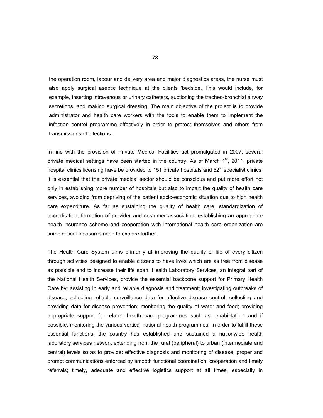the operation room, labour and delivery area and major diagnostics areas, the nurse must also apply surgical aseptic technique at the clients 'bedside. This would include, for example, inserting intravenous or urinary catheters, suctioning the tracheo-bronchial airway secretions, and making surgical dressing. The main objective of the project is to provide administrator and health care workers with the tools to enable them to implement the infection control programme effectively in order to protect themselves and others from transmissions of infections.

In line with the provision of Private Medical Facilities act promulgated in 2007, several private medical settings have been started in the country. As of March  $1<sup>st</sup>$ , 2011, private hospital clinics licensing have be provided to 151 private hospitals and 521 specialist clinics. It is essential that the private medical sector should be conscious and put more effort not only in establishing more number of hospitals but also to impart the quality of health care services, avoiding from depriving of the patient socio-economic situation due to high health care expenditure. As far as sustaining the quality of health care, standardization of accreditation, formation of provider and customer association, establishing an appropriate health insurance scheme and cooperation with international health care organization are some critical measures need to explore further.

The Health Care System aims primarily at improving the quality of life of every citizen through activities designed to enable citizens to have lives which are as free from disease as possible and to increase their life span. Health Laboratory Services, an integral part of the National Health Services, provide the essential backbone support for Primary Health Care by: assisting in early and reliable diagnosis and treatment; investigating outbreaks of disease; collecting reliable surveillance data for effective disease control; collecting and providing data for disease prevention; monitoring the quality of water and food; providing appropriate support for related health care programmes such as rehabilitation; and if possible, monitoring the various vertical national health programmes. In order to fulfill these essential functions, the country has established and sustained a nationwide health laboratory services network extending from the rural (peripheral) to urban (intermediate and central) levels so as to provide: effective diagnosis and monitoring of disease; proper and prompt communications enforced by smooth functional coordination, cooperation and timely referrals; timely, adequate and effective logistics support at all times, especially in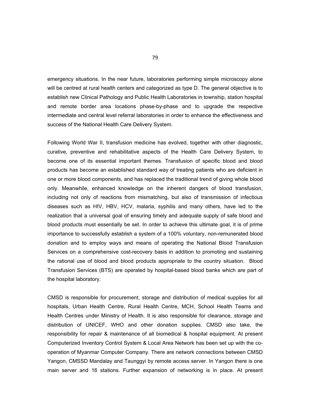emergency situations. In the near future, laboratories performing simple microscopy alone will be centred at rural health centers and categorized as type D. The general objective is to establish new Clinical Pathology and Public Health Laboratories in township, station hospital and remote border area locations phase-by-phase and to upgrade the respective intermediate and central level referral laboratories in order to enhance the effectiveness and success of the National Health Care Delivery System.

Following World War II, transfusion medicine has evolved, together with other diagnostic, curative, preventive and rehabilitative aspects of the Health Care Delivery System, to become one of its essential important themes. Transfusion of specific blood and blood products has become an established standard way of treating patients who are deficient in one or more blood components, and has replaced the traditional trend of giving whole blood only. Meanwhile, enhanced knowledge on the inherent dangers of blood transfusion, including not only of reactions from mismatching, but also of transmission of infectious diseases such as HIV, HBV, HCV, malaria, syphilis and many others, have led to the realization that a universal goal of ensuring timely and adequate supply of safe blood and blood products must essentially be set. In order to achieve this ultimate goal, it is of prime importance to successfully establish a system of a 100% voluntary, non-remunerated blood donation and to employ ways and means of operating the National Blood Transfusion Services on a comprehensive cost-recovery basis in addition to promoting and sustaining the rational use of blood and blood products appropriate to the country situation. Blood Transfusion Services (BTS) are operated by hospital-based blood banks which are part of the hospital laboratory.

CMSD is responsible for procurement, storage and distribution of medical supplies for all hospitals, Urban Health Centre, Rural Health Centre, MCH, School Health Teams and Health Centres under Ministry of Health. It is also responsible for clearance, storage and distribution of UNICEF, WHO and other donation supplies. CMSD also take, the responsibility for repair & maintenance of all biomedical & hospital equipment. At present Computerized Inventory Control System & Local Area Network has been set up with the cooperation of Myanmar Computer Company. There are network connections between CMSD Yangon, CMSSD Mandalay and Taunggyi by remote access server. In Yangon there is one main server and 16 stations. Further expansion of networking is in place. At present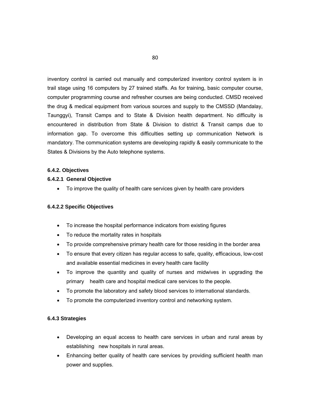inventory control is carried out manually and computerized inventory control system is in trail stage using 16 computers by 27 trained staffs. As for training, basic computer course, computer programming course and refresher courses are being conducted. CMSD received the drug & medical equipment from various sources and supply to the CMSSD (Mandalay, Taunggyi), Transit Camps and to State & Division health department. No difficulty is encountered in distribution from State & Division to district & Transit camps due to information gap. To overcome this difficulties setting up communication Network is mandatory. The communication systems are developing rapidly & easily communicate to the States & Divisions by the Auto telephone systems.

## **6.4.2. Objectives**

## **6.4.2.1 General Objective**

To improve the quality of health care services given by health care providers

## **6.4.2.2 Specific Objectives**

- To increase the hospital performance indicators from existing figures
- To reduce the mortality rates in hospitals
- To provide comprehensive primary health care for those residing in the border area
- To ensure that every citizen has regular access to safe, quality, efficacious, low-cost and available essential medicines in every health care facility
- To improve the quantity and quality of nurses and midwives in upgrading the primary health care and hospital medical care services to the people.
- To promote the laboratory and safety blood services to international standards.
- To promote the computerized inventory control and networking system.

### **6.4.3 Strategies**

- Developing an equal access to health care services in urban and rural areas by establishing new hospitals in rural areas.
- Enhancing better quality of health care services by providing sufficient health man power and supplies.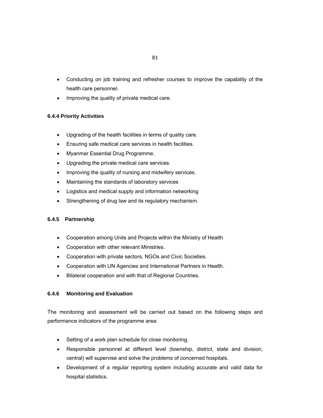- Conducting on job training and refresher courses to improve the capability of the health care personnel.
- Improving the quality of private medical care.

## **6.4.4 Priority Activities**

- Upgrading of the health facilities in terms of quality care.
- Ensuring safe medical care services in health facilities.
- Myanmar Essential Drug Programme.
- Upgrading the private medical care services.
- Improving the quality of nursing and midwifery services.
- Maintaining the standards of laboratory services
- Logistics and medical supply and information networking
- Strengthening of drug law and its regulatory mechanism.

## **6.4.5 Partnership**

- Cooperation among Units and Projects within the Ministry of Health
- Cooperation with other relevant Ministries.
- Cooperation with private sectors, NGOs and Civic Societies.
- Cooperation with UN Agencies and International Partners in Health.
- Bilateral cooperation and with that of Regional Countries.

## **6.4.6 Monitoring and Evaluation**

The monitoring and assessment will be carried out based on the following steps and performance indicators of the programme area:

- Setting of a work plan schedule for close monitoring.
- Responsible personnel at different level (township, district, state and division, central) will supervise and solve the problems of concerned hospitals.
- Development of a regular reporting system including accurate and valid data for hospital statistics.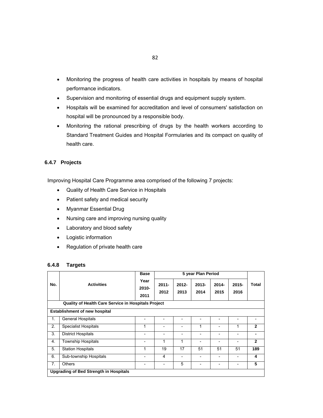- Monitoring the progress of health care activities in hospitals by means of hospital performance indicators.
- Supervision and monitoring of essential drugs and equipment supply system.
- Hospitals will be examined for accreditation and level of consumers' satisfaction on hospital will be pronounced by a responsible body.
- Monitoring the rational prescribing of drugs by the health workers according to Standard Treatment Guides and Hospital Formularies and its compact on quality of health care.

## **6.4.7 Projects**

Improving Hospital Care Programme area comprised of the following 7 projects:

- Quality of Health Care Service in Hospitals
- Patient safety and medical security
- Myanmar Essential Drug
- Nursing care and improving nursing quality
- Laboratory and blood safety
- Logistic information
- Regulation of private health care

## **6.4.8 Targets**

|     |                                                     | <b>Base</b>              |                          |                              | 5 year Plan Period           |                  |                  |                |  |  |
|-----|-----------------------------------------------------|--------------------------|--------------------------|------------------------------|------------------------------|------------------|------------------|----------------|--|--|
| No. | <b>Activities</b>                                   | Year<br>2010-<br>2011    | $2011 -$<br>2012         | $2012 -$<br>2013             | $2013 -$<br>2014             | $2014 -$<br>2015 | $2015 -$<br>2016 | Total          |  |  |
|     | Quality of Health Care Service in Hospitals Project |                          |                          |                              |                              |                  |                  |                |  |  |
|     | <b>Establishment of new hospital</b>                |                          |                          |                              |                              |                  |                  |                |  |  |
| 1.  | <b>General Hospitals</b>                            | $\overline{a}$           | $\overline{\phantom{0}}$ | $\overline{\phantom{a}}$     | $\overline{\phantom{a}}$     | $\overline{a}$   | -                |                |  |  |
| 2.  | <b>Specialist Hospitals</b>                         | 1                        | $\overline{a}$           | $\overline{a}$               | 1                            |                  | 1                | $\overline{2}$ |  |  |
| 3.  | <b>District Hospitals</b>                           | $\overline{\phantom{a}}$ | $\overline{\phantom{a}}$ | $\overline{\phantom{0}}$     | $\overline{\phantom{a}}$     | $\overline{a}$   | -                | $\blacksquare$ |  |  |
| 4.  | <b>Township Hospitals</b>                           | -                        | 1                        | 1                            | $\overline{\phantom{a}}$     |                  | -                | $\overline{2}$ |  |  |
| 5.  | <b>Station Hospitals</b>                            | 1                        | 19                       | 17                           | 51                           | 51               | 51               | 189            |  |  |
| 6.  | Sub-township Hospitals                              | $\overline{a}$           | 4                        | $\qquad \qquad \blacksquare$ | $\qquad \qquad \blacksquare$ | -                | -                | 4              |  |  |
| 7.  | <b>Others</b>                                       | $\overline{a}$           | $\overline{\phantom{0}}$ | 5                            | $\overline{\phantom{a}}$     | $\overline{a}$   | -                | 5              |  |  |
|     | <b>Upgrading of Bed Strength in Hospitals</b>       |                          |                          |                              |                              |                  |                  |                |  |  |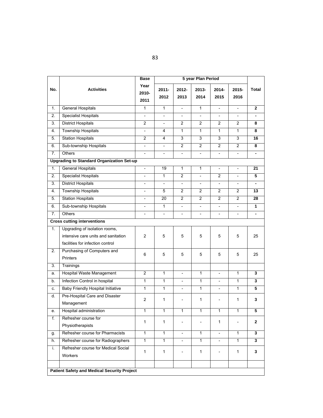|                  |                                                                                                          | <b>Base</b>              |                          |                          |                          |                          |                          |                         |
|------------------|----------------------------------------------------------------------------------------------------------|--------------------------|--------------------------|--------------------------|--------------------------|--------------------------|--------------------------|-------------------------|
| No.              | <b>Activities</b>                                                                                        | Year<br>2010-<br>2011    | $2011 -$<br>2012         | $2012 -$<br>2013         | 2013-<br>2014            | $2014 -$<br>2015         | 2015-<br>2016            | <b>Total</b>            |
| 1.               | <b>General Hospitals</b>                                                                                 | 1                        | $\overline{1}$           | $\overline{\phantom{a}}$ | $\mathbf{1}$             | $\frac{1}{2}$            | $\overline{\phantom{a}}$ | $\overline{2}$          |
| $\overline{2}$ . | <b>Specialist Hospitals</b>                                                                              |                          | $\overline{\phantom{a}}$ |                          | $\overline{\phantom{a}}$ | $\overline{a}$           |                          |                         |
| 3.               | <b>District Hospitals</b>                                                                                | $\overline{2}$           | $\overline{a}$           | 2                        | 2                        | $\overline{c}$           | $\overline{2}$           | 8                       |
| 4.               | <b>Township Hospitals</b>                                                                                | $\blacksquare$           | 4                        | $\mathbf{1}$             | $\mathbf{1}$             | $\mathbf{1}$             | $\mathbf{1}$             | 8                       |
| 5.               | <b>Station Hospitals</b>                                                                                 | $\overline{2}$           | 4                        | 3                        | 3                        | 3                        | 3                        | 16                      |
| 6.               | Sub-township Hospitals                                                                                   | $\overline{\phantom{a}}$ | $\overline{\phantom{a}}$ | $\overline{2}$           | $\overline{2}$           | $\overline{2}$           | $\overline{2}$           | 8                       |
| 7.               | <b>Others</b>                                                                                            | $\overline{\phantom{a}}$ | $\overline{\phantom{a}}$ | $\overline{\phantom{a}}$ | $\frac{1}{2}$            | $\frac{1}{2}$            |                          |                         |
|                  | <b>Upgrading to Standard Organization Set-up</b>                                                         |                          |                          |                          |                          |                          |                          |                         |
| 1.               | <b>General Hospitals</b>                                                                                 | $\overline{\phantom{0}}$ | 19                       | $\mathbf{1}$             | $\mathbf{1}$             | $\overline{\phantom{a}}$ | $\overline{\phantom{0}}$ | 21                      |
| 2.               | <b>Specialist Hospitals</b>                                                                              |                          | $\mathbf{1}$             | $\overline{c}$           |                          | $\overline{c}$           |                          | 5                       |
| 3.               | <b>District Hospitals</b>                                                                                | $\overline{\phantom{a}}$ | $\overline{\phantom{a}}$ | $\overline{\phantom{a}}$ | $\overline{\phantom{0}}$ | $\overline{\phantom{0}}$ | $\overline{\phantom{a}}$ |                         |
| 4.               | <b>Township Hospitals</b>                                                                                | $\overline{\phantom{a}}$ | 5                        | $\overline{2}$           | $\overline{2}$           | $\overline{c}$           | $\overline{2}$           | 13                      |
| 5.               | <b>Station Hospitals</b>                                                                                 | $\overline{\phantom{a}}$ | 20                       | 2                        | 2                        | $\overline{c}$           | 2                        | 28                      |
| 6.               | Sub-township Hospitals                                                                                   | $\overline{\phantom{a}}$ | $\mathbf{1}$             | $\overline{\phantom{a}}$ | $\blacksquare$           | $\overline{\phantom{a}}$ | $\overline{\phantom{a}}$ | $\mathbf{1}$            |
| 7.               | Others                                                                                                   |                          | $\overline{\phantom{a}}$ |                          |                          | $\overline{\phantom{a}}$ |                          |                         |
|                  | <b>Cross cutting interventions</b>                                                                       |                          |                          |                          |                          |                          |                          |                         |
| 1.               | Upgrading of isolation rooms,<br>intensive care units and sanitation<br>facilities for infection control | $\overline{c}$           | 5                        | 5                        | 5                        | 5                        | 5                        | 25                      |
| 2.               | Purchasing of Computers and<br>Printers                                                                  | 6                        | 5                        | 5                        | 5                        | 5                        | 5                        | 25                      |
| 3.               | Trainings                                                                                                |                          |                          |                          |                          |                          |                          |                         |
| a.               | <b>Hospital Waste Management</b>                                                                         | 2                        | $\mathbf{1}$             | $\overline{a}$           | 1                        | $\overline{\phantom{0}}$ | 1                        | 3                       |
| b.               | Infection Control in hospital                                                                            | 1                        | $\mathbf{1}$             | $\qquad \qquad -$        | $\mathbf{1}$             | $\overline{\phantom{a}}$ | 1                        | 3                       |
| c.               | <b>Baby Friendly Hospital Initiative</b>                                                                 | 1                        | $\mathbf{1}$             | $\overline{a}$           | $\mathbf{1}$             | $\overline{\phantom{a}}$ | $\mathbf{1}$             | 5                       |
| d.               | Pre-Hospital Care and Disaster<br>Management                                                             | $\overline{c}$           | 1                        |                          | 1                        | $\overline{\phantom{0}}$ | 1                        | 3                       |
| е.               | Hospital administration                                                                                  | 1                        | 1                        | 1                        | 1                        | 1                        | 1                        | $\overline{5}$          |
| f.               | Refresher course for<br>Physiotherapists                                                                 | 1                        | 1                        |                          |                          | 1                        |                          | $\mathbf{2}$            |
| g.               | Refresher course for Pharmacists                                                                         | $\overline{1}$           | $\mathbf{1}$             | $\overline{\phantom{a}}$ | $\mathbf{1}$             | $\overline{\phantom{a}}$ | $\mathbf{1}$             | $\overline{\mathbf{3}}$ |
| h.               | Refresher course for Radiographers                                                                       | $\mathbf{1}$             | $\mathbf{1}$             |                          | 1                        |                          | 1                        | 3                       |
| i.               | Refresher course for Medical Social<br>Workers                                                           | 1                        | 1                        |                          | 1                        |                          | 1                        | 3                       |
|                  |                                                                                                          |                          |                          |                          |                          |                          |                          |                         |
|                  | <b>Patient Safety and Medical Security Project</b>                                                       |                          |                          |                          |                          |                          |                          |                         |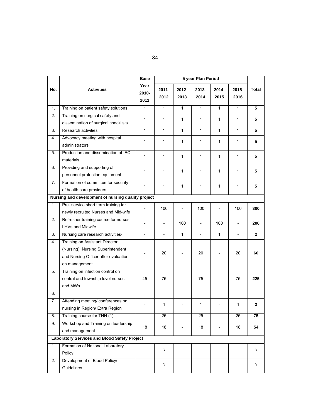|                  |                                                                                                                              | <b>Base</b>              |                          |                | 5 year Plan Period |                          |                |                |
|------------------|------------------------------------------------------------------------------------------------------------------------------|--------------------------|--------------------------|----------------|--------------------|--------------------------|----------------|----------------|
| No.              | <b>Activities</b>                                                                                                            | Year<br>2010-<br>2011    | $2011 -$<br>2012         | 2012-<br>2013  | 2013-<br>2014      | $2014 -$<br>2015         | 2015-<br>2016  | Total          |
| 1.               | Training on patient safety solutions                                                                                         | $\mathbf{1}$             | $\mathbf{1}$             | $\mathbf{1}$   | $\mathbf{1}$       | $\overline{1}$           | $\mathbf{1}$   | 5              |
| $\overline{2}$ . | Training on surgical safety and<br>dissemination of surgical checklists                                                      | 1                        | 1                        | $\mathbf{1}$   | 1                  | $\mathbf{1}$             | 1              | 5              |
| 3.               | Research activities                                                                                                          | 1                        | 1                        | $\mathbf{1}$   | 1                  | $\mathbf{1}$             | 1              | $\overline{5}$ |
| 4.               | Advocacy meeting with hospital<br>administrators                                                                             | 1                        | 1                        | 1              | 1                  | $\mathbf{1}$             | 1              | 5              |
| 5.               | Production and dissemination of IEC<br>materials                                                                             | 1                        | $\mathbf{1}$             | 1              | 1                  | 1                        | 1              | 5              |
| 6.               | Providing and supporting of<br>personnel protection equipment                                                                | 1                        | 1                        | 1              | 1                  | 1                        | 1              | 5              |
| 7.               | Formation of committee for security<br>of health care providers                                                              | 1                        | $\mathbf{1}$             | $\mathbf{1}$   | 1                  | $\mathbf{1}$             | 1              | 5              |
|                  | Nursing and development of nursing quality project                                                                           |                          |                          |                |                    |                          |                |                |
| 1.               | Pre- service short term training for<br>newly recruited Nurses and Mid-wife                                                  |                          | 100                      |                | 100                |                          | 100            | 300            |
| 2.               | Refresher training course for nurses,<br><b>LHVs and Midwife</b>                                                             |                          | $\overline{\phantom{a}}$ | 100            |                    | 100                      |                | 200            |
| 3.               | Nursing care research activities-                                                                                            | $\overline{\phantom{0}}$ | $\blacksquare$           | $\mathbf{1}$   | $\blacksquare$     | $\overline{1}$           | $\blacksquare$ | $\mathbf{2}$   |
| 4.               | Training on Assistant Director<br>(Nursing), Nursing Superintendent<br>and Nursing Officer after evaluation<br>on management |                          | 20                       |                | 20                 |                          | 20             | 60             |
| 5.               | Training on infection control on<br>central and township level nurses<br>and MWs                                             | 45                       | 75                       |                | 75                 |                          | 75             | 225            |
| 6.               |                                                                                                                              |                          |                          |                |                    |                          |                |                |
| 7.               | Attending meeting/ conferences on<br>nursing in Region/ Extra Region                                                         |                          | 1                        |                | 1                  |                          | 1              | 3              |
| 8.               | Training course for THN (1)                                                                                                  | $\overline{\phantom{a}}$ | 25                       | $\overline{a}$ | 25                 | $\overline{\phantom{m}}$ | 25             | 75             |
| 9.               | Workshop and Training on leadership<br>and management                                                                        | 18                       | 18                       |                | 18                 | $\overline{\phantom{0}}$ | 18             | 54             |
|                  | <b>Laboratory Services and Blood Safety Project</b>                                                                          |                          |                          |                |                    |                          |                |                |
| 1.               | Formation of National Laboratory<br>Policy                                                                                   |                          | $\sqrt{}$                |                |                    |                          |                | $\sqrt{}$      |
| 2.               | Development of Blood Policy/<br>Guidelines                                                                                   |                          | $\sqrt{}$                |                |                    |                          |                | √              |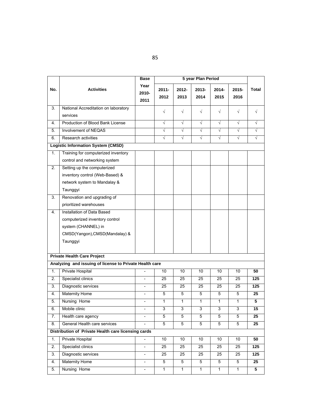|     |                                                                                                                                   | <b>Base</b>              |                  |                |               |                  |                |                |
|-----|-----------------------------------------------------------------------------------------------------------------------------------|--------------------------|------------------|----------------|---------------|------------------|----------------|----------------|
| No. | <b>Activities</b>                                                                                                                 | Year<br>2010-<br>2011    | $2011 -$<br>2012 | 2012-<br>2013  | 2013-<br>2014 | $2014 -$<br>2015 | 2015-<br>2016  | Total          |
| 3.  | National Accreditation on laboratory                                                                                              |                          | $\sqrt{}$        | $\sqrt{ }$     | $\sqrt{}$     | $\sqrt{}$        | $\sqrt{ }$     | $\sqrt{}$      |
|     | services                                                                                                                          |                          |                  |                |               |                  |                |                |
| 4.  | Production of Blood Bank License                                                                                                  |                          | $\sqrt{}$        | $\sqrt{ }$     | $\sqrt{}$     | $\sqrt{}$        | $\sqrt{}$      | $\sqrt{}$      |
| 5.  | Involvement of NEQAS                                                                                                              |                          | $\sqrt{}$        | $\sqrt{}$      | $\sqrt{}$     | $\sqrt{}$        | $\sqrt{ }$     | $\sqrt{}$      |
| 6.  | Research activities                                                                                                               |                          | $\sqrt{ }$       | $\sqrt{ }$     | $\sqrt{ }$    | $\sqrt{}$        | $\sqrt{ }$     | $\sqrt{}$      |
|     | <b>Logistic Information System (CMSD)</b>                                                                                         |                          |                  |                |               |                  |                |                |
| 1.  | Training for computerized inventory<br>control and networking system                                                              |                          |                  |                |               |                  |                |                |
| 2.  | Setting up the computerized<br>inventory control (Web-Based) &<br>network system to Mandalay &<br>Taunggyi                        |                          |                  |                |               |                  |                |                |
| 3.  | Renovation and upgrading of                                                                                                       |                          |                  |                |               |                  |                |                |
|     | prioritized warehouses                                                                                                            |                          |                  |                |               |                  |                |                |
| 4.  | Installation of Data Based<br>computerized inventory control<br>system (CHANNEL) in<br>CMSD(Yangon), CMSD(Mandalay) &<br>Taunggyi |                          |                  |                |               |                  |                |                |
|     | <b>Private Health Care Project</b>                                                                                                |                          |                  |                |               |                  |                |                |
|     | Analyzing and issuing of license to Private Health care                                                                           |                          |                  |                |               |                  |                |                |
| 1.  | <b>Private Hospital</b>                                                                                                           |                          | 10               | 10             | 10            | 10               | 10             | 50             |
| 2.  | Specialist clinics                                                                                                                |                          | 25               | 25             | 25            | 25               | 25             | 125            |
| 3.  | Diagnostic services                                                                                                               |                          | 25               | 25             | 25            | 25               | 25             | 125            |
| 4.  | <b>Maternity Home</b>                                                                                                             | $\blacksquare$           | 5                | 5              | 5             | 5                | 5              | 25             |
| 5.  | Nursing Home                                                                                                                      |                          | 1                | 1              | 1             | $\mathbf{1}$     | 1              | $\overline{5}$ |
| 6.  | Mobile clinic                                                                                                                     |                          | 3                | 3              | 3             | 3                | 3              | 15             |
| 7.  | Health care agency                                                                                                                |                          | $\overline{5}$   | $\overline{5}$ | 5             | $\overline{5}$   | $\overline{5}$ | 25             |
| 8.  | General Health care services                                                                                                      |                          | 5                | 5              | 5             | $\overline{5}$   | 5              | 25             |
|     | Distribution of Private Health care licensing cards                                                                               |                          |                  |                |               |                  |                |                |
| 1.  | Private Hospital                                                                                                                  |                          | 10               | 10             | 10            | 10               | 10             | 50             |
| 2.  | Specialist clinics                                                                                                                | $\overline{\phantom{a}}$ | 25               | 25             | 25            | 25               | 25             | 125            |
| 3.  | Diagnostic services                                                                                                               |                          | 25               | 25             | 25            | 25               | 25             | 125            |
| 4.  | <b>Maternity Home</b>                                                                                                             | $\overline{\phantom{a}}$ | 5                | 5              | 5             | 5                | 5              | 25             |
| 5.  | Nursing Home                                                                                                                      | $\overline{\phantom{a}}$ | $\mathbf{1}$     | $\mathbf{1}$   | $\mathbf{1}$  | $\mathbf{1}$     | $\mathbf{1}$   | 5              |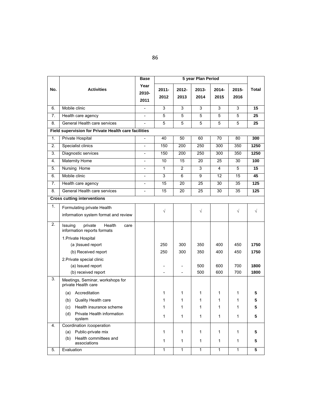|     |                                                                     | <b>Base</b>              |                          |                  |                |                |                |                         |
|-----|---------------------------------------------------------------------|--------------------------|--------------------------|------------------|----------------|----------------|----------------|-------------------------|
| No. | <b>Activities</b>                                                   | Year<br>2010-<br>2011    | $2011 -$<br>2012         | $2012 -$<br>2013 | 2013-<br>2014  | 2014-<br>2015  | 2015-<br>2016  | <b>Total</b>            |
| 6.  | Mobile clinic                                                       | $\overline{a}$           | 3                        | 3                | 3              | $\overline{3}$ | 3              | 15                      |
| 7.  | Health care agency                                                  | $\overline{a}$           | $\overline{5}$           | 5                | $\overline{5}$ | $\overline{5}$ | $\overline{5}$ | $\overline{25}$         |
| 8.  | General Health care services                                        | $\overline{a}$           | $\overline{5}$           | $\overline{5}$   | 5              | 5              | $\overline{5}$ | 25                      |
|     | Field supervision for Private Health care facilities                |                          |                          |                  |                |                |                |                         |
| 1.  | Private Hospital                                                    | $\overline{a}$           | 40                       | 50               | 60             | 70             | 80             | 300                     |
| 2.  | Specialist clinics                                                  | $\overline{\phantom{0}}$ | 150                      | 200              | 250            | 300            | 350            | 1250                    |
| 3.  | Diagnostic services                                                 |                          | 150                      | 200              | 250            | 300            | 350            | 1250                    |
| 4.  | <b>Maternity Home</b>                                               | $\overline{a}$           | 10                       | 15               | 20             | 25             | 30             | 100                     |
| 5.  | Nursing Home                                                        | $\overline{a}$           | 1                        | 2                | 3              | 4              | 5              | 15                      |
| 6.  | Mobile clinic                                                       | $\overline{a}$           | 3                        | 6                | 9              | 12             | 15             | 45                      |
| 7.  | Health care agency                                                  | $\overline{a}$           | 15                       | 20               | 25             | 30             | 35             | 125                     |
| 8.  | General Health care services                                        | $\overline{a}$           | 15                       | 20               | 25             | 30             | 35             | 125                     |
|     | <b>Cross cutting interventions</b>                                  |                          |                          |                  |                |                |                |                         |
| 1.  | Formulating private Health<br>information system format and review  |                          | $\sqrt{}$                |                  | $\sqrt{}$      |                | $\sqrt{}$      | $\sqrt{}$               |
| 2.  | private<br>Health<br>Issuing<br>care<br>information reports formats |                          |                          |                  |                |                |                |                         |
|     | 1. Private Hospital                                                 |                          |                          |                  |                |                |                |                         |
|     | (a) Issued report                                                   |                          | 250                      | 300              | 350            | 400            | 450            | 1750                    |
|     | (b) Received report                                                 |                          | 250                      | 300              | 350            | 400            | 450            | 1750                    |
|     | 2. Private special clinic                                           |                          |                          |                  |                |                |                |                         |
|     | (a) Issued report                                                   |                          | $\overline{\phantom{a}}$ | $\overline{a}$   | 500            | 600            | 700            | 1800                    |
| 3.  | (b) received report                                                 |                          |                          |                  | 500            | 600            | 700            | 1800                    |
|     | Meetings, Seminar, workshops for<br>private Health care             |                          |                          |                  |                |                |                |                         |
|     | Accreditation<br>(a)                                                |                          | 1                        | 1                | 1              | 1              | 1              | 5                       |
|     | Quality Health care<br>(b)                                          |                          | 1                        | 1                | 1              | 1              | 1              | 5                       |
|     | Health insurance scheme<br>(c)                                      |                          | 1                        | 1                | 1              | 1              | 1              | 5                       |
|     | (d) Private Health information<br>system                            |                          | 1                        | 1                | $\mathbf{1}$   | 1              | 1              | 5                       |
| 4.  | Coordination /cooperation                                           |                          |                          |                  |                |                |                |                         |
|     | Public-private mix<br>(a)                                           |                          | 1                        | 1                | 1              | 1              | 1              | 5                       |
|     | Health committees and<br>(b)<br>associations                        |                          | 1                        | 1                | 1              | 1              | 1              | 5                       |
| 5.  | Evaluation                                                          |                          | 1                        | $\mathbf{1}$     | $\overline{1}$ | 1              | 1              | $\overline{\mathbf{5}}$ |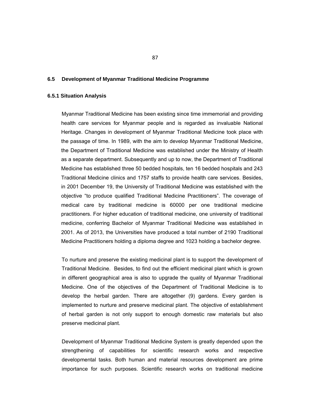#### **6.5 Development of Myanmar Traditional Medicine Programme**

## **6.5.1 Situation Analysis**

Myanmar Traditional Medicine has been existing since time immemorial and providing health care services for Myanmar people and is regarded as invaluable National Heritage. Changes in development of Myanmar Traditional Medicine took place with the passage of time. In 1989, with the aim to develop Myanmar Traditional Medicine, the Department of Traditional Medicine was established under the Ministry of Health as a separate department. Subsequently and up to now, the Department of Traditional Medicine has established three 50 bedded hospitals, ten 16 bedded hospitals and 243 Traditional Medicine clinics and 1757 staffs to provide health care services. Besides, in 2001 December 19, the University of Traditional Medicine was established with the objective "to produce qualified Traditional Medicine Practitioners". The coverage of medical care by traditional medicine is 60000 per one traditional medicine practitioners. For higher education of traditional medicine, one university of traditional medicine, conferring Bachelor of Myanmar Traditional Medicine was established in 2001. As of 2013, the Universities have produced a total number of 2190 Traditional Medicine Practitioners holding a diploma degree and 1023 holding a bachelor degree.

To nurture and preserve the existing medicinal plant is to support the development of Traditional Medicine. Besides, to find out the efficient medicinal plant which is grown in different geographical area is also to upgrade the quality of Myanmar Traditional Medicine. One of the objectives of the Department of Traditional Medicine is to develop the herbal garden. There are altogether (9) gardens. Every garden is implemented to nurture and preserve medicinal plant. The objective of establishment of herbal garden is not only support to enough domestic raw materials but also preserve medicinal plant.

Development of Myanmar Traditional Medicine System is greatly depended upon the strengthening of capabilities for scientific research works and respective developmental tasks. Both human and material resources development are prime importance for such purposes. Scientific research works on traditional medicine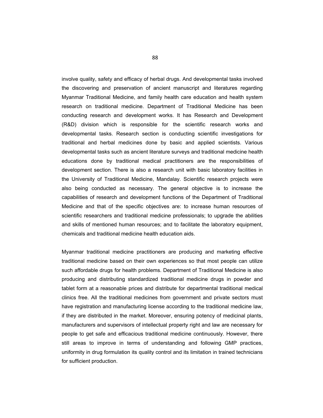involve quality, safety and efficacy of herbal drugs. And developmental tasks involved the discovering and preservation of ancient manuscript and literatures regarding Myanmar Traditional Medicine, and family health care education and health system research on traditional medicine. Department of Traditional Medicine has been conducting research and development works. It has Research and Development (R&D) division which is responsible for the scientific research works and developmental tasks. Research section is conducting scientific investigations for traditional and herbal medicines done by basic and applied scientists. Various developmental tasks such as ancient literature surveys and traditional medicine health educations done by traditional medical practitioners are the responsibilities of development section. There is also a research unit with basic laboratory facilities in the University of Traditional Medicine, Mandalay. Scientific research projects were also being conducted as necessary. The general objective is to increase the capabilities of research and development functions of the Department of Traditional Medicine and that of the specific objectives are: to increase human resources of scientific researchers and traditional medicine professionals; to upgrade the abilities and skills of mentioned human resources; and to facilitate the laboratory equipment, chemicals and traditional medicine health education aids.

Myanmar traditional medicine practitioners are producing and marketing effective traditional medicine based on their own experiences so that most people can utilize such affordable drugs for health problems. Department of Traditional Medicine is also producing and distributing standardized traditional medicine drugs in powder and tablet form at a reasonable prices and distribute for departmental traditional medical clinics free. All the traditional medicines from government and private sectors must have registration and manufacturing license according to the traditional medicine law, if they are distributed in the market. Moreover, ensuring potency of medicinal plants, manufacturers and supervisors of intellectual property right and law are necessary for people to get safe and efficacious traditional medicine continuously. However, there still areas to improve in terms of understanding and following GMP practices, uniformity in drug formulation its quality control and its limitation in trained technicians for sufficient production.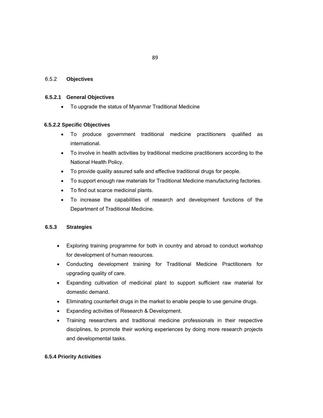## 6.5.2 **Objectives**

#### **6.5.2.1 General Objectives**

To upgrade the status of Myanmar Traditional Medicine

### **6.5.2.2 Specific Objectives**

- To produce government traditional medicine practitioners qualified as international.
- To involve in health activities by traditional medicine practitioners according to the National Health Policy.
- To provide quality assured safe and effective traditional drugs for people.
- To support enough raw materials for Traditional Medicine manufacturing factories.
- To find out scarce medicinal plants.
- To increase the capabilities of research and development functions of the Department of Traditional Medicine.

## **6.5.3 Strategies**

- Exploring training programme for both in country and abroad to conduct workshop for development of human resources.
- Conducting development training for Traditional Medicine Practitioners for upgrading quality of care.
- Expanding cultivation of medicinal plant to support sufficient raw material for domestic demand.
- Eliminating counterfeit drugs in the market to enable people to use genuine drugs.
- Expanding activities of Research & Development.
- Training researchers and traditional medicine professionals in their respective disciplines, to promote their working experiences by doing more research projects and developmental tasks.

### **6.5.4 Priority Activities**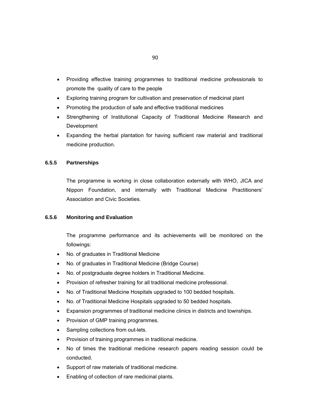- Providing effective training programmes to traditional medicine professionals to promote the quality of care to the people
- Exploring training program for cultivation and preservation of medicinal plant
- Promoting the production of safe and effective traditional medicines
- Strengthening of Institutional Capacity of Traditional Medicine Research and Development
- Expanding the herbal plantation for having sufficient raw material and traditional medicine production.

## **6.5.5 Partnerships**

The programme is working in close collaboration externally with WHO, JICA and Nippon Foundation, and internally with Traditional Medicine Practitioners' Association and Civic Societies.

## **6.5.6 Monitoring and Evaluation**

The programme performance and its achievements will be monitored on the followings:

- No. of graduates in Traditional Medicine
- No. of graduates in Traditional Medicine (Bridge Course)
- No. of postgraduate degree holders in Traditional Medicine.
- Provision of refresher training for all traditional medicine professional.
- No. of Traditional Medicine Hospitals upgraded to 100 bedded hospitals.
- No. of Traditional Medicine Hospitals upgraded to 50 bedded hospitals.
- Expansion programmes of traditional medicine clinics in districts and townships.
- Provision of GMP training programmes.
- Sampling collections from out-lets.
- Provision of training programmes in traditional medicine.
- No of times the traditional medicine research papers reading session could be conducted.
- Support of raw materials of traditional medicine.
- Enabling of collection of rare medicinal plants.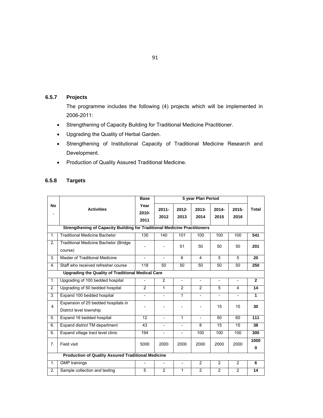# **6.5.7 Projects**

The programme includes the following (4) projects which will be implemented in 2006-2011:

- Strengthening of Capacity Building for Traditional Medicine Practitioner.
- Upgrading the Quality of Herbal Garden.
- Strengthening of Institutional Capacity of Traditional Medicine Research and Development.
- Production of Quality Assured Traditional Medicine.

| 6.5.8 | <b>Targets</b> |
|-------|----------------|
|-------|----------------|

|                |                                                                           | <b>Base</b>              |                          | 5 year Plan Period       |                          |                          |                          |                |  |
|----------------|---------------------------------------------------------------------------|--------------------------|--------------------------|--------------------------|--------------------------|--------------------------|--------------------------|----------------|--|
| <b>No</b>      | <b>Activities</b>                                                         | Year<br>$2010 -$<br>2011 | $2011 -$<br>2012         | $2012 -$<br>2013         | $2013 -$<br>2014         | $2014 -$<br>2015         | $2015 -$<br>2016         | <b>Total</b>   |  |
|                | Strengthening of Capacity Building for Traditional Medicine Practitioners |                          |                          |                          |                          |                          |                          |                |  |
| $\mathbf{1}$ . | <b>Traditional Medicine Bachelor</b>                                      | 130                      | 140                      | 101                      | 100                      | 100                      | 100                      | 541            |  |
| 2.             | <b>Traditional Medicine Bachelor (Bridge)</b><br>course)                  |                          |                          | 51                       | 50                       | 50                       | 50                       | 201            |  |
| 3.             | Master of Traditional Medicine                                            |                          | $\overline{a}$           | 6                        | 4                        | 5                        | 5                        | 20             |  |
| 4.             | Staff who received refresher course                                       | 118                      | 50                       | 50                       | 50                       | 50                       | 50                       | 250            |  |
|                | <b>Upgrading the Quality of Traditional Medical Care</b>                  |                          |                          |                          |                          |                          |                          |                |  |
| 1.             | Upgrading of 100 bedded hospital                                          | $\overline{\phantom{0}}$ | $\overline{2}$           | $\overline{\phantom{a}}$ | $\overline{\phantom{a}}$ | $\overline{\phantom{a}}$ | $\overline{\phantom{a}}$ | $\overline{2}$ |  |
| 2.             | Upgrading of 50 bedded hospital                                           | 2                        | 1                        | $\overline{2}$           | 2                        | 5                        | 4                        | 14             |  |
| 3.             | Expand 100 bedded hospital                                                | $\overline{\phantom{0}}$ | $\overline{\phantom{a}}$ | 1                        | $\overline{\phantom{a}}$ | $\overline{\phantom{a}}$ | $\overline{\phantom{a}}$ | 1              |  |
| 4              | Expansion of 25 bedded hospitals in<br>District level township            |                          |                          |                          |                          | 15                       | 15                       | 30             |  |
| 5.             | Expand 16 bedded hospital                                                 | 12                       | $\overline{\phantom{a}}$ | 1                        | $\overline{a}$           | 50                       | 60                       | 111            |  |
| 6.             | Expand district TM department                                             | 43                       | $\overline{\phantom{0}}$ | $\overline{\phantom{a}}$ | 8                        | 15                       | 15                       | 38             |  |
| 6.             | Expand village tract level clinic                                         | 194                      | $\overline{\phantom{0}}$ | $\overline{\phantom{a}}$ | 100                      | 100                      | 100                      | 300            |  |
| 7.             | Field visit                                                               | 5000                     | 2000                     | 2000                     | 2000                     | 2000                     | 2000                     | 1000<br>0      |  |
|                | <b>Production of Quality Assured Traditional Medicine</b>                 |                          |                          |                          |                          |                          |                          |                |  |
| 1.             | <b>GMP</b> trainings                                                      |                          | $\overline{\phantom{a}}$ | $\overline{\phantom{a}}$ | 2                        | 2                        | 2                        | 6              |  |
| 2.             | Sample collection and testing                                             | 5                        | $\overline{c}$           | 1                        | $\overline{2}$           | $\overline{2}$           | $\overline{2}$           | 14             |  |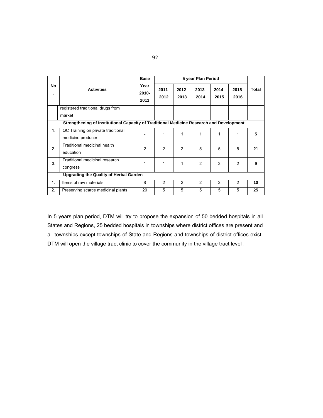|                                                                                          |                                                         | <b>Base</b>           |                  |                |                  |                  |                  |       |  |
|------------------------------------------------------------------------------------------|---------------------------------------------------------|-----------------------|------------------|----------------|------------------|------------------|------------------|-------|--|
| No<br>٠                                                                                  | <b>Activities</b>                                       | Year<br>2010-<br>2011 | $2011 -$<br>2012 | 2012-<br>2013  | $2013 -$<br>2014 | $2014 -$<br>2015 | $2015 -$<br>2016 | Total |  |
|                                                                                          | registered traditional drugs from                       |                       |                  |                |                  |                  |                  |       |  |
|                                                                                          | market                                                  |                       |                  |                |                  |                  |                  |       |  |
| Strengthening of Institutional Capacity of Traditional Medicine Research and Development |                                                         |                       |                  |                |                  |                  |                  |       |  |
| 1.                                                                                       | QC Training on private traditional<br>medicine producer |                       | 1                | 1              | 1                | 1                | 1                | 5     |  |
| 2.                                                                                       | Traditional medicinal health<br>education               | $\mathfrak{p}$        | 2                | $\overline{2}$ | 5                | 5                | 5                | 21    |  |
| 3.                                                                                       | Traditional medicinal research<br>congress              | 1                     | 1                | 1              | $\mathfrak{p}$   | $\mathfrak{p}$   | $\mathfrak{p}$   | 9     |  |
|                                                                                          | <b>Upgrading the Quality of Herbal Garden</b>           |                       |                  |                |                  |                  |                  |       |  |
| $\mathbf{1}$ .                                                                           | Items of raw materials                                  | 8                     | 2                | 2              | $\mathcal{P}$    | $\mathcal{P}$    | 2                | 10    |  |
| 2.                                                                                       | Preserving scarce medicinal plants                      | 20                    | 5                | 5              | 5                | 5                | 5                | 25    |  |

In 5 years plan period, DTM will try to propose the expansion of 50 bedded hospitals in all States and Regions, 25 bedded hospitals in townships where district offices are present and all townships except townships of State and Regions and townships of district offices exist. DTM will open the village tract clinic to cover the community in the village tract level .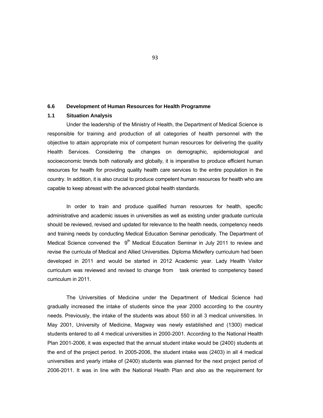#### **6.6 Development of Human Resources for Health Programme**

#### **1.1 Situation Analysis**

Under the leadership of the Ministry of Health, the Department of Medical Science is responsible for training and production of all categories of health personnel with the objective to attain appropriate mix of competent human resources for delivering the quality Health Services. Considering the changes on demographic, epidemiological and socioeconomic trends both nationally and globally, it is imperative to produce efficient human resources for health for providing quality health care services to the entire population in the country. In addition, it is also crucial to produce competent human resources for health who are capable to keep abreast with the advanced global health standards.

In order to train and produce qualified human resources for health, specific administrative and academic issues in universities as well as existing under graduate curricula should be reviewed, revised and updated for relevance to the health needs, competency needs and training needs by conducting Medical Education Seminar periodically. The Department of Medical Science convened the  $9<sup>th</sup>$  Medical Education Seminar in July 2011 to review and revise the curricula of Medical and Allied Universities. Diploma Midwifery curriculum had been developed in 2011 and would be started in 2012 Academic year. Lady Health Visitor curriculum was reviewed and revised to change from task oriented to competency based curriculum in 2011.

The Universities of Medicine under the Department of Medical Science had gradually increased the intake of students since the year 2000 according to the country needs. Previously, the intake of the students was about 550 in all 3 medical universities. In May 2001, University of Medicine, Magway was newly established and (1300) medical students entered to all 4 medical universities in 2000-2001. According to the National Health Plan 2001-2006, it was expected that the annual student intake would be (2400) students at the end of the project period. In 2005-2006, the student intake was (2403) in all 4 medical universities and yearly intake of (2400) students was planned for the next project period of 2006-2011. It was in line with the National Health Plan and also as the requirement for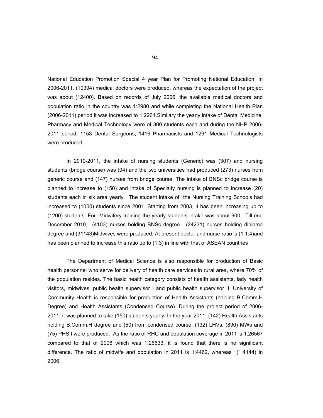National Education Promotion Special 4 year Plan for Promoting National Education. In 2006-2011, (10394) medical doctors were produced, whereas the expectation of the project was about (12400). Based on records of July 2006, the available medical doctors and population ratio in the country was 1:2980 and while completing the National Health Plan (2006-2011) period it was increased to 1:2261.Similary the yearly intake of Dental Medicine, Pharmacy and Medical Technology were of 300 students each and during the NHP 2006- 2011 period, 1153 Dental Surgeons, 1416 Pharmacists and 1291 Medical Technologists were produced.

In 2010-2011, the intake of nursing students (Generic) was (307) and nursing students (bridge course) was (94) and the two universities had produced (273) nurses from generic course and (147) nurses from bridge course. The intake of BNSc bridge course is planned to increase to (150) and intake of Specialty nursing is planned to increase (20) students each in six area yearly. The student intake of the Nursing Training Schools had increased to (1000) students since 2001. Starting from 2003, it has been increasing up to (1200) students. For Midwifery training the yearly students intake was about 900 . Till end December 2010, (4103) nurses holding BNSc degree , (24231) nurses holding diploma degree and (31143)Midwives were produced. At present doctor and nurse ratio is (1:1.4)and has been planned to increase this ratio up to (1:3) in line with that of ASEAN countries

The Department of Medical Science is also responsible for production of Basic health personnel who serve for delivery of health care services in rural area, where 70% of the population resides. The basic health category consists of health assistants, lady health visitors, midwives, public health supervisor I and public health supervisor II. University of Community Health is responsible for production of Health Assistants (holding B.Comm.H Degree) and Health Assistants (Condensed Course). During the project period of 2006- 2011, it was planned to take (150) students yearly. In the year 2011, (142) Health Assistants holding B.Comm.H degree and (50) from condensed course, (132) LHVs, (890) MWs and (75) PHS I were produced. As the ratio of RHC and population coverage in 2011 is 1:26567 compared to that of 2006 which was 1:26633, it is found that there is no significant difference. The ratio of midwife and population in 2011 is 1:4462, whereas (1:4144) in 2006.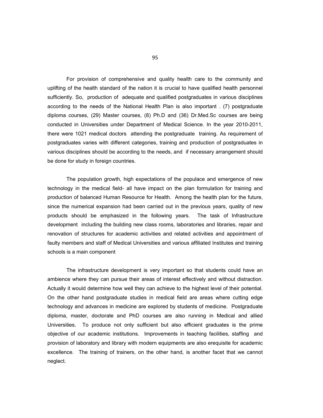For provision of comprehensive and quality health care to the community and uplifting of the health standard of the nation it is crucial to have qualified health personnel sufficiently. So, production of adequate and qualified postgraduates in various disciplines according to the needs of the National Health Plan is also important . (7) postgraduate diploma courses, (29) Master courses, (8) Ph.D and (36) Dr.Med.Sc courses are being conducted in Universities under Department of Medical Science. In the year 2010-2011, there were 1021 medical doctors attending the postgraduate training. As requirement of postgraduates varies with different categories, training and production of postgraduates in various disciplines should be according to the needs, and if necessary arrangement should be done for study in foreign countries.

The population growth, high expectations of the populace and emergence of new technology in the medical field- all have impact on the plan formulation for training and production of balanced Human Resource for Health. Among the health plan for the future, since the numerical expansion had been carried out in the previous years, quality of new products should be emphasized in the following years. The task of Infrastructure development including the building new class rooms, laboratories and libraries, repair and renovation of structures for academic activities and related activities and appointment of faulty members and staff of Medical Universities and various affiliated Institutes and training schools is a main component

The infrastructure development is very important so that students could have an ambience where they can pursue their areas of interest effectively and without distraction. Actually it would determine how well they can achieve to the highest level of their potential. On the other hand postgraduate studies in medical field are areas where cutting edge technology and advances in medicine are explored by students of medicine. Postgraduate diploma, master, doctorate and PhD courses are also running in Medical and allied Universities. To produce not only sufficient but also efficient graduates is the prime objective of our academic institutions. Improvements in teaching facilities, staffing and provision of laboratory and library with modern equipments are also erequisite for academic excellence. The training of trainers, on the other hand, is another facet that we cannot neglect.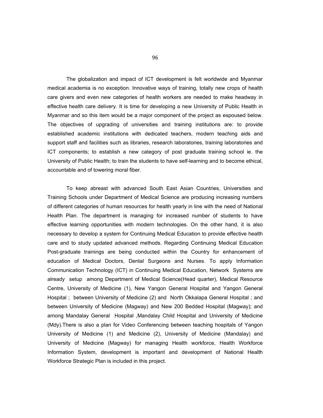The globalization and impact of ICT development is felt worldwide and Myanmar medical academia is no exception. Innovative ways of training, totally new crops of health care givers and even new categories of health workers are needed to make headway in effective health care delivery. It is time for developing a new University of Public Health in Myanmar and so this item would be a major component of the project as espoused below. The objectives of upgrading of universities and training institutions are: to provide established academic institutions with dedicated teachers, modern teaching aids and support staff and facilities such as libraries, research laboratories, training laboratories and ICT components; to establish a new category of post graduate training school ie. the University of Public Health; to train the students to have self-learning and to become ethical, accountable and of towering moral fiber.

To keep abreast with advanced South East Asian Countries, Universities and Training Schools under Department of Medical Science are producing increasing numbers of different categories of human resources for health yearly in line with the need of National Health Plan. The department is managing for increased number of students to have effective learning opportunities with modern technologies. On the other hand, it is also necessary to develop a system for Continuing Medical Education to provide effective health care and to study updated advanced methods. Regarding Continuing Medical Education Post-graduate trainings are being conducted within the Country for enhancement of education of Medical Doctors, Dental Surgeons and Nurses. To apply Information Communication Technology (ICT) in Continuing Medical Education, Network Systems are already setup among Department of Medical Science(Head quarter), Medical Resource Centre, University of Medicine (1), New Yangon General Hospital and Yangon General Hospital ; between University of Medicine (2) and North Okkalapa General Hospital ; and between University of Medicine (Magway) and New 200 Bedded Hospital (Magway); and among Mandalay General Hospital ,Mandalay Child Hospital and University of Medicine (Mdy).There is also a plan for Video Conferencing between teaching hospitals of Yangon University of Medicine (1) and Medicine (2), University of Medicine (Mandalay) and University of Medicine (Magway) for managing Health workforce, Health Workforce Information System, development is important and development of National Health Workforce Strategic Plan is included in this project.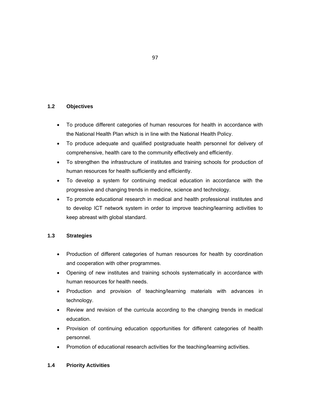## **1.2 Objectives**

- To produce different categories of human resources for health in accordance with the National Health Plan which is in line with the National Health Policy.
- To produce adequate and qualified postgraduate health personnel for delivery of comprehensive, health care to the community effectively and efficiently.
- To strengthen the infrastructure of institutes and training schools for production of human resources for health sufficiently and efficiently.
- To develop a system for continuing medical education in accordance with the progressive and changing trends in medicine, science and technology.
- To promote educational research in medical and health professional institutes and to develop ICT network system in order to improve teaching/learning activities to keep abreast with global standard.

## **1.3 Strategies**

- Production of different categories of human resources for health by coordination and cooperation with other programmes.
- Opening of new institutes and training schools systematically in accordance with human resources for health needs.
- Production and provision of teaching/learning materials with advances in technology.
- Review and revision of the curricula according to the changing trends in medical education.
- Provision of continuing education opportunities for different categories of health personnel.
- Promotion of educational research activities for the teaching/learning activities.

### **1.4 Priority Activities**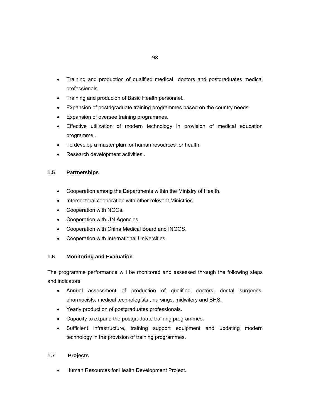- Training and production of qualified medical doctors and postgraduates medical professionals.
- Training and producion of Basic Health personnel.
- Expansion of postdgraduate training programmes based on the country needs.
- Expansion of oversee training programmes.
- Effective utilization of modern technology in provision of medical education programme .
- To develop a master plan for human resources for health.
- Research development activities .

## **1.5 Partnerships**

- Cooperation among the Departments within the Ministry of Health.
- Intersectoral cooperation with other relevant Ministries.
- Cooperation with NGOs.
- Cooperation with UN Agencies.
- Cooperation with China Medical Board and INGOS.
- Cooperation with International Universities.

## **1.6 Monitoring and Evaluation**

The programme performance will be monitored and assessed through the following steps and indicators:

- Annual assessment of production of qualified doctors, dental surgeons, pharmacists, medical technologists , nursings, midwifery and BHS.
- Yearly production of postgraduates professionals.
- Capacity to expand the postgraduate training programmes.
- Sufficient infrastructure, training support equipment and updating modern technology in the provision of training programmes.

## **1.7 Projects**

Human Resources for Health Development Project.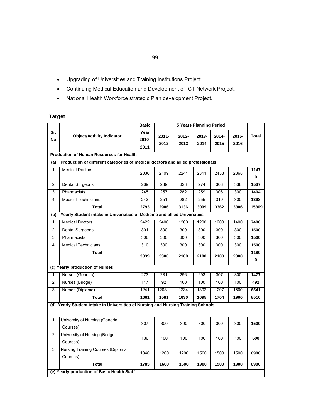- Upgrading of Universities and Training Institutions Project.
- Continuing Medical Education and Development of ICT Network Project.
- National Health Workforce strategic Plan development Project.

# **Target**

|                           |                                                                                   | <b>Basic</b> |          |       |       |          |       |           |  |  |  |
|---------------------------|-----------------------------------------------------------------------------------|--------------|----------|-------|-------|----------|-------|-----------|--|--|--|
| Sr.                       | <b>Object/Activity Indicator</b>                                                  | Year         | $2011 -$ | 2012- | 2013- | $2014 -$ | 2015- | Total     |  |  |  |
| <b>No</b>                 |                                                                                   | 2010-        | 2012     | 2013  | 2014  | 2015     | 2016  |           |  |  |  |
|                           | <b>Production of Human Resources for Health</b>                                   | 2011         |          |       |       |          |       |           |  |  |  |
|                           | Production of different categories of medical doctors and allied professionals    |              |          |       |       |          |       |           |  |  |  |
| (a)                       |                                                                                   |              |          |       |       |          |       |           |  |  |  |
| $\mathbf{1}$              | <b>Medical Doctors</b>                                                            | 2036         | 2109     | 2244  | 2311  | 2438     | 2368  | 1147<br>0 |  |  |  |
| $\overline{2}$            | Dental Surgeons                                                                   | 269          | 289      | 328   | 274   | 308      | 338   | 1537      |  |  |  |
| 3                         | Pharmacists                                                                       | 245          | 257      | 282   | 259   | 306      | 300   | 1404      |  |  |  |
| 4                         | <b>Medical Technicians</b>                                                        | 243          | 251      | 282   | 255   | 310      | 300   | 1398      |  |  |  |
|                           | Total                                                                             | 2793         | 2906     | 3136  | 3099  | 3362     | 3306  | 15809     |  |  |  |
| $\overline{(\mathsf{b})}$ | Yearly Student intake in Universities of Medicine and allied Universities         |              |          |       |       |          |       |           |  |  |  |
| $\mathbf{1}$              | <b>Medical Doctors</b>                                                            | 2422         | 2400     | 1200  | 1200  | 1200     | 1400  | 7400      |  |  |  |
| $\overline{2}$            | <b>Dental Surgeons</b>                                                            | 301          | 300      | 300   | 300   | 300      | 300   | 1500      |  |  |  |
| 3                         | Pharmacists                                                                       | 306          | 300      | 300   | 300   | 300      | 300   | 1500      |  |  |  |
| $\overline{4}$            | <b>Medical Technicians</b>                                                        | 310          | 300      | 300   | 300   | 300      | 300   | 1500      |  |  |  |
|                           | <b>Total</b>                                                                      | 3339         | 3300     | 2100  | 2100  | 2100     | 2300  | 1190<br>0 |  |  |  |
|                           | (c) Yearly production of Nurses                                                   |              |          |       |       |          |       |           |  |  |  |
| $\mathbf{1}$              | Nurses (Generic)                                                                  | 273          | 281      | 296   | 293   | 307      | 300   | 1477      |  |  |  |
| $\overline{2}$            | Nurses (Bridge)                                                                   | 147          | 92       | 100   | 100   | 100      | 100   | 492       |  |  |  |
| 3                         | Nurses (Diploma)                                                                  | 1241         | 1208     | 1234  | 1302  | 1297     | 1500  | 6541      |  |  |  |
|                           | <b>Total</b>                                                                      | 1661         | 1581     | 1630  | 1695  | 1704     | 1900  | 8510      |  |  |  |
|                           | (d) Yearly Student intake in Universities of Nursing and Nursing Training Schools |              |          |       |       |          |       |           |  |  |  |
| $\mathbf{1}$              | University of Nursing (Generic<br>Courses)                                        | 307          | 300      | 300   | 300   | 300      | 300   | 1500      |  |  |  |
| $\overline{2}$            | University of Nursing (Bridge<br>Courses)                                         | 136          | 100      | 100   | 100   | 100      | 100   | 500       |  |  |  |
| 3                         | Nursing Training Courses (Diploma<br>Courses)                                     | 1340         | 1200     | 1200  | 1500  | 1500     | 1500  | 6900      |  |  |  |
|                           | <b>Total</b>                                                                      | 1783         | 1600     | 1600  | 1900  | 1900     | 1900  | 8900      |  |  |  |
|                           | (e) Yearly production of Basic Health Staff                                       |              |          |       |       |          |       |           |  |  |  |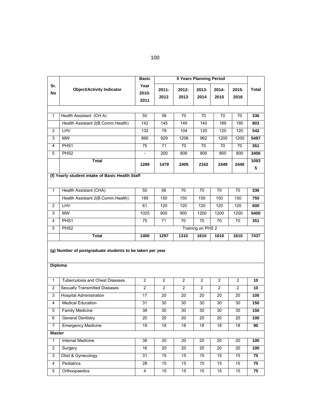|                |                                                          | <b>5 Years Planning Period</b><br><b>Basic</b> |                  |                 |                   |                 |                |           |
|----------------|----------------------------------------------------------|------------------------------------------------|------------------|-----------------|-------------------|-----------------|----------------|-----------|
| Sr.<br>No      | <b>Object/Activity Indicator</b>                         | Year<br>2010-                                  | $2011 -$<br>2012 | 2012-<br>2013   | 2013-<br>2014     | 2014-<br>2015   | 2015-<br>2016  | Total     |
|                |                                                          | 2011                                           |                  |                 |                   |                 |                |           |
|                |                                                          |                                                |                  |                 |                   |                 |                |           |
| 1              | Health Assistant (CHA)                                   | 50                                             | 56               | $\overline{70}$ | $\overline{70}$   | $\overline{70}$ | 70             | 336       |
|                | Health Assistant 2(B.Comm.Health)                        | 142                                            | 145              | 149             | 140               | 189             | 180            | 803       |
| $\overline{2}$ | <b>LHV</b>                                               | 132                                            | 78               | 104             | 120               | 120             | 120            | 542       |
| 3              | <b>MW</b>                                                | 890                                            | 929              | 1206            | 962               | 1200            | 1200           | 5497      |
| 4              | PHS1                                                     | 75                                             | 71               | 70              | 70                | 70              | 70             | 351       |
| 5              | PHS <sub>2</sub>                                         | $\overline{\phantom{a}}$                       | 200              | 806             | 800               | 800             | 800            | 3406      |
|                | <b>Total</b>                                             | 1289                                           | 1479             | 2405            | 2162              | 2449            | 2440           | 1093<br>5 |
|                | (f) Yearly student intake of Basic Health Staff          |                                                |                  |                 |                   |                 |                |           |
|                |                                                          |                                                |                  |                 |                   |                 |                |           |
| $\mathbf{1}$   | Health Assistant (CHA)                                   | 50                                             | 56               | 70              | 70                | 70              | 70             | 336       |
|                | Health Assistant 2(B.Comm.Health)                        | 189                                            | 150              | 150             | 150               | 150             | 150            | 750       |
| $\overline{2}$ | <b>LHV</b>                                               | 61                                             | 120              | 120             | 120               | 120             | 120            | 600       |
| 3              | <b>MW</b>                                                | 1025                                           | 900              | 900             | 1200              | 1200            | 1200           | 5400      |
| 4              | PHS1                                                     | 75                                             | 71               | 70              | 70                | 70              | 70             | 351       |
| 5              | PHS <sub>2</sub>                                         |                                                |                  |                 | Training on PHS 2 |                 |                |           |
|                | Total                                                    | 1400                                           | 1297             | 1310            | 1610              | 1610            | 1610           | 7437      |
| Diploma        | (g) Number of postgraduate students to be taken per year |                                                |                  |                 |                   |                 |                |           |
|                |                                                          |                                                |                  |                 |                   |                 |                |           |
| 1              | <b>Tuberculosis and Chest Diseases</b>                   | $\overline{c}$                                 | $\overline{2}$   | $\overline{2}$  | $\overline{2}$    | $\overline{2}$  | $\overline{2}$ | 10        |
| $\overline{2}$ | <b>Sexually Transmitted Diseases</b>                     | $\overline{2}$                                 | $\overline{2}$   | 2               | $\overline{2}$    | $\overline{2}$  | $\overline{2}$ | 10        |
| 3              | <b>Hospital Administration</b>                           | 17                                             | 20               | 20              | 20                | 20              | 20             | 100       |
| 4              | <b>Medical Education</b>                                 | 31                                             | 30               | 30              | 30                | 30              | 30             | 150       |
| 5              | <b>Family Medicine</b>                                   | 38                                             | 30               | 30              | 30                | 30              | 30             | 150       |
| 6              | <b>General Dentistry</b>                                 | 20                                             | 20               | 20              | 20                | 20              | 20             | 100       |
| 7              | <b>Emergency Medicine</b>                                | 18                                             | 18               | 18              | 18                | 18              | 18             | 90        |
| <b>Master</b>  |                                                          |                                                |                  |                 |                   |                 |                |           |
| $\mathbf{1}$   | Internal Medicine                                        | 38                                             | 20               | 20              | 20                | 20              | 20             | 100       |
| $\overline{2}$ | Surgery                                                  | 16                                             | 20               | 20              | 20                | 20              | 20             | 100       |
| 3              | Obst & Gynecology                                        | 31                                             | 15               | 15              | 15                | 15              | 15             | 75        |
| 4              | Pediatrics                                               | 28                                             | 15               | 15              | 15                | 15              | 15             | 75        |
| 5              | Orthoopaedics                                            | 4                                              | 15               | 15              | 15                | 15              | 15             | 75        |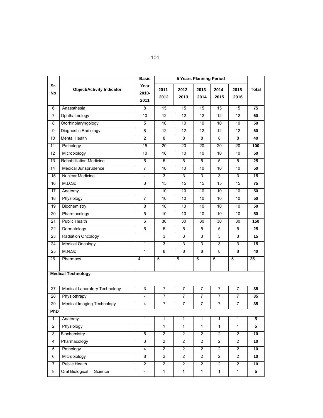| <b>5 Years Planning Period</b><br><b>Basic</b> |                                      |                          |                         |                 |                |                 |                |                 |
|------------------------------------------------|--------------------------------------|--------------------------|-------------------------|-----------------|----------------|-----------------|----------------|-----------------|
| Sr.<br>No                                      | <b>Object/Activity Indicator</b>     | Year<br>2010-<br>2011    | $2011 -$<br>2012        | 2012-<br>2013   | 2013-<br>2014  | 2014-<br>2015   | 2015-<br>2016  | Total           |
| 6                                              | Anaesthesia                          | 8                        | 15                      | 15              | 15             | 15              | 15             | 75              |
| 7                                              | Ophthalmology                        | 10                       | 12                      | $\overline{12}$ | 12             | $\overline{12}$ | 12             | 60              |
| 8                                              | Otorhinolaryngology                  | 5                        | 10                      | 10              | 10             | 10              | 10             | 50              |
| 9                                              | Diagnostic Radiology                 | 8                        | 12                      | 12              | 12             | 12              | 12             | 60              |
| 10                                             | Mental Health                        | $\overline{2}$           | 8                       | 8               | 8              | 8               | 8              | 40              |
| 11                                             | Pathology                            | 15                       | 20                      | 20              | 20             | 20              | 20             | 100             |
| $\overline{12}$                                | Microbiology                         | 10                       | 10                      | 10              | 10             | $\overline{10}$ | 10             | 50              |
| $\overline{13}$                                | <b>Rehabilitation Medicine</b>       | $\overline{6}$           | $\overline{5}$          | $\overline{5}$  | $\overline{5}$ | $\overline{5}$  | $\overline{5}$ | 25              |
| 14                                             | Medical Jurisprudence                | $\overline{7}$           | 10                      | 10              | 10             | 10              | 10             | 50              |
| 15                                             | <b>Nuclear Medicine</b>              | $\overline{\phantom{a}}$ | 3                       | 3               | $\overline{3}$ | $\overline{3}$  | 3              | $\overline{15}$ |
| 16                                             | M.D.Sc                               | $\overline{3}$           | 15                      | 15              | 15             | 15              | 15             | 75              |
| 17                                             | Anatomy                              | $\mathbf{1}$             | 10                      | 10              | 10             | 10              | 10             | 50              |
| 18                                             | Physiology                           | $\overline{7}$           | 10                      | 10              | 10             | 10              | 10             | 50              |
| 19                                             | Biochemistry                         | 8                        | 10                      | 10              | 10             | 10              | 10             | 50              |
| 20                                             | Pharmacology                         | 5                        | 10                      | 10              | 10             | 10              | 10             | 50              |
| 21                                             | <b>Public Health</b>                 | 6                        | 30                      | 30              | 30             | 30              | 30             | 150             |
| 22                                             | Dermatology                          | 6                        | 5                       | 5               | 5              | 5               | 5              | 25              |
| 23                                             | Radiation Oncology                   |                          | 3                       | 3               | $\overline{3}$ | $\overline{3}$  | 3              | $\overline{15}$ |
| 24                                             | Medical Oncology                     | 1                        | 3                       | 3               | 3              | 3               | 3              | 15              |
| 25                                             | M.N.Sc                               | $\mathbf{1}$             | 8                       | 8               | 8              | 8               | 8              | 40              |
| 26                                             | Pharmacy                             | $\overline{4}$           | $\overline{5}$          | $\overline{5}$  | $\overline{5}$ | $\overline{5}$  | $\overline{5}$ | $\overline{25}$ |
|                                                | <b>Medical Technology</b>            |                          |                         |                 |                |                 |                |                 |
| 27                                             | <b>Medical Laboratory Technology</b> | 3                        | 7                       | 7               | 7              | 7               | 7              | 35              |
| 28                                             | Physiothrapy                         | $\overline{\phantom{a}}$ | $\overline{7}$          | $\overline{7}$  | $\overline{7}$ | $\overline{7}$  | 7              | 35              |
| 29                                             | <b>Medical Imaging Technology</b>    | $\overline{4}$           | $\overline{7}$          | 7               | 7              | 7               | 7              | 35              |
| PhD                                            |                                      |                          |                         |                 |                |                 |                |                 |
| $\mathbf{1}$                                   | Anatomy                              | $\overline{1}$           | $\overline{1}$          | $\overline{1}$  | $\overline{1}$ | $\overline{1}$  | $\overline{1}$ | $\overline{5}$  |
| $\overline{c}$                                 | Physiology                           |                          | $\mathbf{1}$            | $\mathbf{1}$    | $\mathbf{1}$   | $\overline{1}$  | 1              | 5               |
| $\overline{3}$                                 | Biochemistry                         | $\overline{5}$           | $\overline{2}$          | $\overline{2}$  | $\overline{2}$ | $\overline{2}$  | $\overline{2}$ | 10              |
| $\overline{4}$                                 | Pharmacology                         | $\mathfrak{S}$           | $\overline{2}$          | $\overline{2}$  | $\overline{c}$ | $\overline{c}$  | $\overline{c}$ | 10              |
| 5                                              | Pathology                            | 4                        | $\overline{\mathbf{c}}$ | $\overline{a}$  | $\overline{2}$ | $\overline{2}$  | $\overline{2}$ | 10              |
| 6                                              | Microbiology                         | 8                        | $\overline{2}$          | $\overline{2}$  | $\overline{2}$ | $\overline{2}$  | $\overline{2}$ | 10              |
| 7                                              | <b>Public Health</b>                 | $\overline{2}$           | $\overline{2}$          | $\overline{2}$  | $\overline{c}$ | $\overline{2}$  | 2              | 10              |
| 8                                              | <b>Oral Biological</b><br>Science    | $\overline{\phantom{0}}$ | $\mathbf{1}$            | $\mathbf{1}$    | $\mathbf{1}$   | $\overline{1}$  | $\mathbf{1}$   | $\overline{5}$  |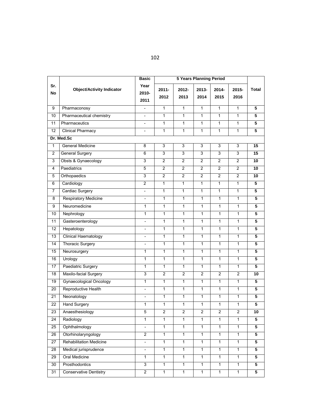|                  |                                  | <b>Basic</b>             |                  |                         |                |                         |                |                         |
|------------------|----------------------------------|--------------------------|------------------|-------------------------|----------------|-------------------------|----------------|-------------------------|
| Sr.<br><b>No</b> | <b>Object/Activity Indicator</b> | Year<br>2010-<br>2011    | $2011 -$<br>2012 | 2012-<br>2013           | 2013-<br>2014  | $2014 -$<br>2015        | 2015-<br>2016  | Total                   |
| 9                | Pharmaconosy                     | $\overline{\phantom{a}}$ | $\mathbf{1}$     | $\mathbf{1}$            | $\mathbf{1}$   | $\mathbf{1}$            | 1              | $\overline{5}$          |
| 10               | Pharmaceutical chemistry         |                          | 1                | $\mathbf{1}$            | $\mathbf{1}$   | $\mathbf{1}$            | 1              | 5                       |
| 11               | Pharmaceutics                    | $\overline{\phantom{0}}$ | $\mathbf{1}$     | $\mathbf{1}$            | $\mathbf{1}$   | $\mathbf{1}$            | $\mathbf{1}$   | $\overline{5}$          |
| $\overline{12}$  | <b>Clinical Pharmacy</b>         | $\frac{1}{2}$            | 1                | $\mathbf{1}$            | $\mathbf{1}$   | $\mathbf{1}$            | $\mathbf{1}$   | $\overline{5}$          |
|                  | Dr. Med.Sc                       |                          |                  |                         |                |                         |                |                         |
| 1                | <b>General Medicine</b>          | 8                        | 3                | $\mathsf 3$             | $\mathsf 3$    | 3                       | 3              | 15                      |
| $\overline{2}$   | <b>General Surgery</b>           | 6                        | $\overline{3}$   | 3                       | $\overline{3}$ | $\overline{3}$          | 3              | $\overline{15}$         |
| 3                | Obsts & Gynaecology              | $\overline{3}$           | $\overline{2}$   | $\overline{2}$          | $\overline{2}$ | $\overline{2}$          | $\overline{2}$ | 10                      |
| $\overline{4}$   | Paediatrics                      | $\overline{5}$           | $\overline{2}$   | $\overline{2}$          | $\overline{2}$ | $\overline{2}$          | 2              | 10                      |
| $\overline{5}$   | Orthopaedics                     | $\overline{3}$           | $\overline{2}$   | $\overline{2}$          | $\overline{2}$ | $\overline{2}$          | $\overline{2}$ | 10                      |
| 6                | Cardiology                       | $\overline{2}$           | $\mathbf{1}$     | 1                       | $\overline{1}$ | $\overline{1}$          | $\overline{1}$ | $\overline{5}$          |
| $\overline{7}$   | Cardiac Surgery                  | $\overline{a}$           | $\mathbf{1}$     | $\mathbf{1}$            | $\mathbf{1}$   | $\mathbf{1}$            | $\mathbf{1}$   | $\overline{5}$          |
| 8                | <b>Respiratory Medicine</b>      | $\overline{\phantom{a}}$ | $\mathbf{1}$     | $\mathbf{1}$            | $\mathbf{1}$   | $\mathbf{1}$            | $\mathbf{1}$   | 5                       |
| 9                | Neuromedicine                    | 1                        | $\mathbf{1}$     | $\mathbf{1}$            | $\overline{1}$ | $\mathbf{1}$            | $\mathbf{1}$   | $\overline{5}$          |
| 10               | Nephrology                       | 1                        | $\mathbf{1}$     | $\mathbf{1}$            | $\mathbf{1}$   | $\mathbf{1}$            | 1              | 5                       |
| 11               | Gasteroenterology                | $\frac{1}{2}$            | $\mathbf{1}$     | $\mathbf{1}$            | $\mathbf{1}$   | $\mathbf{1}$            | $\mathbf{1}$   | 5                       |
| 12               | Hepatology                       | $\overline{\phantom{a}}$ | $\mathbf{1}$     | $\mathbf{1}$            | $\mathbf{1}$   | $\mathbf{1}$            | 1              | 5                       |
| 13               | <b>Clinical Haematology</b>      | $\overline{\phantom{a}}$ | $\mathbf{1}$     | 1                       | $\mathbf{1}$   | $\mathbf{1}$            | $\mathbf{1}$   | 5                       |
| 14               | <b>Thoracic Surgery</b>          | $\overline{\phantom{a}}$ | $\mathbf{1}$     | $\mathbf{1}$            | $\overline{1}$ | $\mathbf{1}$            | $\mathbf{1}$   | 5                       |
| 15               | Neurosurgery                     | 1                        | $\mathbf{1}$     | $\mathbf{1}$            | $\mathbf{1}$   | $\mathbf{1}$            | $\mathbf{1}$   | 5                       |
| 16               | Urology                          | 1                        | $\mathbf{1}$     | 1                       | 1              | $\mathbf{1}$            | $\mathbf{1}$   | $\overline{\mathbf{5}}$ |
| $\overline{17}$  | Paediatric Surgery               | $\mathbf{1}$             | $\overline{1}$   | $\mathbf{1}$            | $\mathbf{1}$   | $\mathbf{1}$            | $\mathbf{1}$   | $\overline{5}$          |
| $\overline{18}$  | Maxilo-facial Surgery            | 3                        | $\overline{2}$   | $\overline{2}$          | $\overline{2}$ | $\overline{2}$          | $\overline{2}$ | 10                      |
| 19               | <b>Gynaecological Oncology</b>   | $\overline{1}$           | $\overline{1}$   | $\mathbf{1}$            | $\overline{1}$ | $\overline{1}$          | $\overline{1}$ | 5                       |
| 20               | Reproductive Health              | $\overline{\phantom{a}}$ | $\mathbf{1}$     | $\mathbf{1}$            | $\mathbf{1}$   | $\mathbf{1}$            | $\mathbf{1}$   | $\overline{5}$          |
| 21               | Neonatology                      | $\overline{\phantom{a}}$ | $\overline{1}$   | $\mathbf{1}$            | $\overline{1}$ | $\mathbf{1}$            | $\mathbf{1}$   | 5                       |
| 22               | <b>Hand Surgery</b>              | $\mathbf{1}$             | $\overline{1}$   | $\mathbf{1}$            | $\mathbf{1}$   | $\mathbf{1}$            | $\mathbf{1}$   | 5                       |
| 23               | Anaesthesiology                  | 5                        | $\overline{2}$   | $\overline{\mathbf{c}}$ | $\overline{2}$ | $\overline{\mathbf{c}}$ | $\overline{2}$ | 10                      |
| 24               | Radiology                        | 1                        | $\mathbf{1}$     | $\mathbf{1}$            | $\mathbf{1}$   | $\mathbf{1}$            | $\mathbf{1}$   | 5                       |
| 25               | Ophthalmology                    | $\overline{\phantom{a}}$ | $\mathbf{1}$     | $\mathbf{1}$            | $\mathbf{1}$   | 1                       | $\mathbf{1}$   | 5                       |
| 26               | Otorhinolaryngology              | $\overline{2}$           | $\mathbf{1}$     | 1                       | $\mathbf{1}$   | $\mathbf{1}$            | $\mathbf{1}$   | 5                       |
| 27               | Rehabilitation Medicine          | $\frac{1}{2}$            | $\mathbf{1}$     | $\mathbf{1}$            | $\mathbf{1}$   | $\mathbf{1}$            | $\mathbf{1}$   | 5                       |
| 28               | Medical jurisprudence            | $\overline{\phantom{a}}$ | $\mathbf{1}$     | $\mathbf{1}$            | $\mathbf{1}$   | $\mathbf{1}$            | $\mathbf{1}$   | 5                       |
| 29               | <b>Oral Medicine</b>             | 1                        | $\mathbf{1}$     | $\mathbf{1}$            | $\mathbf{1}$   | $\mathbf{1}$            | $\mathbf{1}$   | 5                       |
| 30               | Prosthodontics                   | $\overline{3}$           | $\overline{1}$   | $\overline{1}$          | $\overline{1}$ | $\overline{1}$          | $\overline{1}$ | $\overline{5}$          |
| 31               | <b>Conservative Dentistry</b>    | $\overline{2}$           | $\overline{1}$   | 1                       | $\overline{1}$ | $\overline{1}$          | $\mathbf{1}$   | 5                       |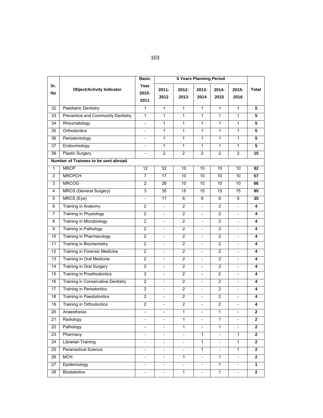|                  |                                      | <b>Basic</b>             | <b>5 Years Planning Period</b> |                          |                          |                          |                          |                |
|------------------|--------------------------------------|--------------------------|--------------------------------|--------------------------|--------------------------|--------------------------|--------------------------|----------------|
| Sr.<br><b>No</b> | <b>Object/Activity Indicator</b>     | Year<br>2010-<br>2011    | $2011 -$<br>2012               | $2012 -$<br>2013         | 2013-<br>2014            | $2014 -$<br>2015         | $2015 -$<br>2016         | <b>Total</b>   |
| 32               | <b>Paediatric Dentistry</b>          | 1                        | $\mathbf{1}$                   | $\mathbf{1}$             | $\mathbf{1}$             | $\mathbf{1}$             | 1                        | $\overline{5}$ |
| 33               | Preventive and Community Dentistry   | 1                        | $\mathbf{1}$                   | $\mathbf{1}$             | $\mathbf{1}$             | $\mathbf{1}$             | 1                        | 5              |
| 34               | Rheumatology                         | $\blacksquare$           | $\overline{1}$                 | $\mathbf{1}$             | $\overline{1}$           | $\mathbf{1}$             | $\mathbf{1}$             | $\overline{5}$ |
| 35               | Orthodontics                         |                          | $\mathbf{1}$                   | $\mathbf{1}$             | $\overline{1}$           | $\mathbf{1}$             | $\mathbf{1}$             | 5              |
| 36               | Periodontology                       | $\overline{\phantom{a}}$ | $\mathbf{1}$                   | $\mathbf{1}$             | $\mathbf{1}$             | $\mathbf{1}$             | $\mathbf{1}$             | 5              |
| 37               | Endocrinology                        | $\overline{\phantom{a}}$ | $\mathbf{1}$                   | $\mathbf{1}$             | $\mathbf{1}$             | $\mathbf{1}$             | $\mathbf{1}$             | 5              |
| 38               | Plastic Surgery                      | $\overline{\phantom{a}}$ | $\overline{c}$                 | 2                        | $\overline{2}$           | $\overline{c}$           | $\overline{2}$           | 10             |
|                  | Number of Trainees to be sent abroad |                          |                                |                          |                          |                          |                          |                |
| $\mathbf{1}$     | <b>MRCP</b>                          | 12                       | 52                             | 10                       | 10                       | 10                       | 10                       | 92             |
| 2                | <b>MRCPCH</b>                        | 7                        | 17                             | 10                       | 10                       | 10                       | 10                       | 57             |
| 3                | <b>MRCOG</b>                         | $\overline{2}$           | 26                             | 10                       | 10                       | $\overline{10}$          | 10                       | 66             |
| 4                | MRCS (General Surgery)               | 3                        | 35                             | 15                       | 15                       | 15                       | 15                       | 95             |
| 5                | MRCS (Eye)                           | $\blacksquare$           | 11                             | 6                        | 6                        | 6                        | 6                        | 35             |
| 6                | <b>Training in Anatomy</b>           | $\overline{2}$           | $\overline{a}$                 | $\overline{2}$           | $\overline{\phantom{a}}$ | $\overline{c}$           |                          | 4              |
| 7                | <b>Training in Physiology</b>        | $\overline{2}$           | $\overline{\phantom{a}}$       | 2                        | $\overline{\phantom{a}}$ | $\overline{2}$           | $\overline{\phantom{a}}$ | 4              |
| 8                | <b>Training in Microbiology</b>      | $\overline{2}$           | $\overline{\phantom{a}}$       | $\overline{2}$           | $\overline{\phantom{0}}$ | $\overline{2}$           | $\overline{\phantom{a}}$ | 4              |
| 9                | <b>Training in Pathology</b>         | $\overline{2}$           | $\frac{1}{2}$                  | $\overline{2}$           | $\overline{a}$           | $\overline{2}$           |                          | 4              |
| 10               | Training in Pharmacology             | $\overline{2}$           | $\overline{\phantom{a}}$       | $\overline{2}$           | $\overline{\phantom{a}}$ | $\overline{c}$           | $\overline{\phantom{a}}$ | 4              |
| $\overline{11}$  | <b>Training in Biochemistry</b>      | $\overline{2}$           | $\blacksquare$                 | $\overline{2}$           | $\overline{\phantom{0}}$ | $\overline{2}$           | $\blacksquare$           | 4              |
| 12               | Training in Forensic Medicine        | $\overline{2}$           | $\overline{\phantom{a}}$       | $\overline{2}$           | $\overline{\phantom{a}}$ | $\overline{2}$           | $\overline{\phantom{a}}$ | 4              |
| $\overline{13}$  | Training in Oral Medicine            | $\overline{2}$           | $\overline{\phantom{a}}$       | $\overline{2}$           | $\overline{\phantom{0}}$ | $\overline{2}$           | $\overline{\phantom{a}}$ | 4              |
| 14               | Training in Oral Surgery             | $\overline{2}$           | $\overline{\phantom{a}}$       | $\overline{2}$           | $\overline{\phantom{0}}$ | $\overline{2}$           | $\overline{\phantom{a}}$ | 4              |
| 15               | <b>Training in Prosthodontics</b>    | 2                        | $\overline{\phantom{a}}$       | $\overline{c}$           | $\overline{\phantom{a}}$ | $\overline{c}$           | $\overline{\phantom{a}}$ | 4              |
| 16               | Training in Conservative Dentistry   | $\overline{c}$           | $\overline{\phantom{a}}$       | $\overline{2}$           | $\overline{\phantom{a}}$ | $\overline{c}$           | $\overline{\phantom{a}}$ | 4              |
| 17               | <b>Training in Periodontics</b>      | $\overline{2}$           | $\overline{\phantom{a}}$       | $\overline{c}$           | $\overline{\phantom{0}}$ | $\overline{c}$           |                          | 4              |
| 18               | <b>Training in Paedodontics</b>      | $\overline{2}$           | $\overline{\phantom{a}}$       | $\overline{2}$           | $\overline{\phantom{a}}$ | $\overline{c}$           | $\overline{\phantom{a}}$ | 4              |
| 19               | Training in Orthodontics             | $\overline{c}$           | $\overline{\phantom{a}}$       | $\overline{c}$           | $\overline{\phantom{a}}$ | $\overline{c}$           | $\overline{\phantom{a}}$ | 4              |
| 20               | Anaesthesia                          | $\overline{\phantom{a}}$ | $\overline{\phantom{a}}$       | 1                        | $\overline{\phantom{0}}$ | 1                        | $\overline{\phantom{a}}$ | $\mathbf{z}$   |
| $\overline{21}$  | Radiology                            | $\overline{\phantom{a}}$ | $\overline{\phantom{a}}$       | $\mathbf{1}$             | $\frac{1}{2}$            | $\mathbf{1}$             | $\overline{\phantom{a}}$ | $\overline{2}$ |
| $\overline{22}$  | Pathology                            |                          | $\overline{\phantom{a}}$       | $\overline{1}$           |                          | $\overline{1}$           |                          | $\overline{2}$ |
| 23               | Pharmacy                             | $\overline{\phantom{a}}$ | $\overline{\phantom{a}}$       | $\overline{\phantom{a}}$ | $\mathbf{1}$             | $\overline{\phantom{a}}$ | 1                        | 2              |
| $\overline{24}$  | <b>Librarian Training</b>            | $\overline{\phantom{0}}$ | $\overline{\phantom{a}}$       | $\overline{\phantom{a}}$ | $\overline{1}$           | $\overline{\phantom{a}}$ | $\mathbf{1}$             | $\mathbf{2}$   |
| 25               | Paramedical Science                  | $\overline{\phantom{a}}$ | $\overline{\phantom{a}}$       | $\overline{\phantom{a}}$ | $\mathbf{1}$             | $\overline{\phantom{a}}$ | $\mathbf{1}$             | $\mathbf{2}$   |
| 26               | <b>MCH</b>                           | $\overline{\phantom{a}}$ | $\overline{\phantom{a}}$       | 1                        | $\overline{\phantom{0}}$ | $\mathbf{1}$             | $\overline{\phantom{a}}$ | $\mathbf 2$    |
| 27               | Epidemiology                         | $\overline{\phantom{a}}$ | $\overline{\phantom{a}}$       | $\overline{\phantom{a}}$ | $\overline{a}$           | $\mathbf{1}$             | $\overline{\phantom{a}}$ | 1              |
| 28               | <b>Biostatistics</b>                 | $\overline{\phantom{a}}$ | $\overline{\phantom{a}}$       | 1                        | $\overline{\phantom{a}}$ | $\mathbf{1}$             | $\overline{\phantom{a}}$ | $\mathbf{2}$   |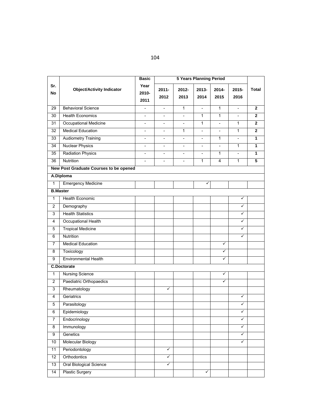|                  |                                        | <b>Basic</b>             |                          |                          | <b>5 Years Planning Period</b> |                          |                          |                         |
|------------------|----------------------------------------|--------------------------|--------------------------|--------------------------|--------------------------------|--------------------------|--------------------------|-------------------------|
| Sr.<br><b>No</b> | <b>Object/Activity Indicator</b>       | Year<br>2010-<br>2011    | $2011 -$<br>2012         | $2012 -$<br>2013         | 2013-<br>2014                  | 2014-<br>2015            | 2015-<br>2016            | <b>Total</b>            |
| 29               | <b>Behavioral Science</b>              | $\overline{\phantom{a}}$ | $\overline{\phantom{a}}$ | $\mathbf{1}$             | $\overline{\phantom{a}}$       | $\mathbf{1}$             | $\overline{\phantom{a}}$ | $\mathbf{2}$            |
| 30               | <b>Health Economics</b>                | $\overline{\phantom{a}}$ |                          | $\frac{1}{2}$            | $\mathbf{1}$                   | 1                        | $\overline{\phantom{a}}$ | $\mathbf{2}$            |
| 31               | <b>Occupational Medicine</b>           | $\blacksquare$           | $\overline{\phantom{a}}$ | $\overline{\phantom{a}}$ | $\mathbf{1}$                   | $\overline{a}$           | 1                        | $\mathbf{2}$            |
| $\overline{32}$  | <b>Medical Education</b>               | $\overline{\phantom{a}}$ | $\overline{\phantom{a}}$ | 1                        | $\overline{\phantom{0}}$       | $\overline{\phantom{0}}$ | 1                        | $\mathbf{2}$            |
| 33               | <b>Audiometry Training</b>             |                          |                          | $\overline{a}$           | $\overline{\phantom{0}}$       | 1                        | $\overline{a}$           | $\mathbf{1}$            |
| 34               | <b>Nuclear Physics</b>                 | $\overline{\phantom{a}}$ | $\overline{\phantom{a}}$ | $\overline{\phantom{a}}$ | $\overline{\phantom{a}}$       | $\overline{\phantom{0}}$ | 1                        | 1                       |
| $\overline{35}$  | <b>Radiation Physics</b>               | $\overline{\phantom{0}}$ | $\overline{\phantom{0}}$ | $\overline{a}$           | $\overline{\phantom{0}}$       | 1                        | $\overline{\phantom{a}}$ | 1                       |
| 36               | Nutrition                              |                          | $\overline{a}$           | $\overline{\phantom{a}}$ | $\mathbf{1}$                   | $\overline{4}$           | 1                        | $\overline{\mathbf{5}}$ |
|                  | New Post Graduate Courses to be opened |                          |                          |                          |                                |                          |                          |                         |
|                  | A.Diploma                              |                          |                          |                          |                                |                          |                          |                         |
| 1                | <b>Emergency Medicine</b>              |                          |                          |                          | ✓                              |                          |                          |                         |
|                  | <b>B.Master</b>                        |                          |                          |                          |                                |                          |                          |                         |
| $\mathbf{1}$     | Health Economic                        |                          |                          |                          |                                |                          | ✓                        |                         |
| $\overline{2}$   | Demography                             |                          |                          |                          |                                |                          | ✓                        |                         |
| 3                | <b>Health Statistics</b>               |                          |                          |                          |                                |                          | ✓                        |                         |
| 4                | Occupational Health                    |                          |                          |                          |                                |                          | $\checkmark$             |                         |
| 5                | <b>Tropical Medicine</b>               |                          |                          |                          |                                |                          | ✓                        |                         |
| 6                | Nutrition                              |                          |                          |                          |                                |                          | ✓                        |                         |
| 7                | <b>Medical Education</b>               |                          |                          |                          |                                | $\checkmark$             |                          |                         |
| 8                | Toxicology                             |                          |                          |                          |                                | ✓                        |                          |                         |
| 9                | <b>Environmental Health</b>            |                          |                          |                          |                                | $\checkmark$             |                          |                         |
|                  | <b>C.Doctorate</b>                     |                          |                          |                          |                                |                          |                          |                         |
| 1                | <b>Nursing Science</b>                 |                          |                          |                          |                                | ✓                        |                          |                         |
| $\overline{2}$   | Paediatric Orthopaedics                |                          |                          |                          |                                | ✓                        |                          |                         |
| 3                | Rheumatology                           |                          | ✓                        |                          |                                |                          |                          |                         |
| $\overline{4}$   | Geriatrics                             |                          |                          |                          |                                |                          | ✓                        |                         |
| 5                | Parasitology                           |                          |                          |                          |                                |                          | ✓                        |                         |
| $\overline{6}$   | Epidemiology                           |                          |                          |                          |                                |                          | ✓                        |                         |
| 7                | Endocrinology                          |                          |                          |                          |                                |                          | ✓                        |                         |
| $\infty$         | Immunology                             |                          |                          |                          |                                |                          | ✓                        |                         |
| 9                | Genetics                               |                          |                          |                          |                                |                          | ✓                        |                         |
| 10               | Molecular Biology                      |                          |                          |                          |                                |                          | ✓                        |                         |
| 11               | Periodontology                         |                          | ✓                        |                          |                                |                          |                          |                         |
| 12               | Orthodontics                           |                          | ✓                        |                          |                                |                          |                          |                         |
| 13               | Oral Biological Science                |                          | $\checkmark$             |                          |                                |                          |                          |                         |
| 14               | <b>Plastic Surgery</b>                 |                          |                          |                          | ✓                              |                          |                          |                         |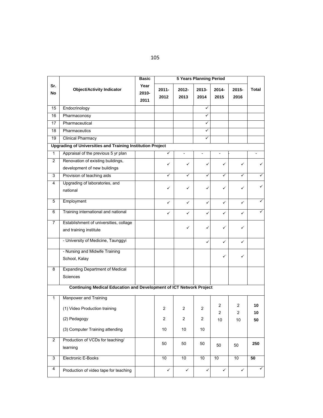|                  |                                                                            | <b>Basic</b>          | <b>5 Years Planning Period</b> |                              |                          |                     |               |              |
|------------------|----------------------------------------------------------------------------|-----------------------|--------------------------------|------------------------------|--------------------------|---------------------|---------------|--------------|
| Sr.<br><b>No</b> | <b>Object/Activity Indicator</b>                                           | Year<br>2010-<br>2011 | $2011 -$<br>2012               | $2012 -$<br>2013             | 2013-<br>2014            | $2014 -$<br>2015    | 2015-<br>2016 | <b>Total</b> |
| 15               | Endocrinology                                                              |                       |                                |                              | ✓                        |                     |               |              |
| 16               | Pharmaconosy                                                               |                       |                                |                              |                          |                     |               |              |
| 17               | Pharmaceutical                                                             |                       |                                |                              | ✓                        |                     |               |              |
| 18               | Pharmaceutics                                                              |                       |                                |                              | ✓                        |                     |               |              |
| 19               | <b>Clinical Pharmacy</b>                                                   |                       |                                |                              |                          |                     |               |              |
|                  | <b>Upgrading of Universities and Training Institution Project</b>          |                       |                                |                              |                          |                     |               |              |
| $\overline{1}$   | Appraisal of the previous 5 yr plan                                        |                       | ✓                              | $\qquad \qquad \blacksquare$ | $\overline{\phantom{0}}$ |                     |               |              |
| $\overline{c}$   | Renovation of existing buildings,<br>development of new buildings          |                       | ✓                              | ✓                            | ✓                        | ✓                   | ✓             | ✓            |
| 3                | Provision of teaching aids                                                 |                       | ✓                              | ✓                            | ✓                        | ✓                   |               | ✓            |
| 4                | Upgrading of laboratories, and<br>national                                 |                       | ✓                              | ✓                            |                          | ✓                   | ✓             | ✓            |
| 5                | Employment                                                                 |                       | ✓                              | ✓                            | ✓                        | ✓                   | ✓             | ✓            |
| 6                | Training international and national                                        |                       | ✓                              | ✓                            | ✓                        | ✓                   | ✓             | $\checkmark$ |
| $\overline{7}$   | Establishment of universities, collage<br>and training institute           |                       |                                | ✓                            | ✓                        | ✓                   | ✓             |              |
|                  | - University of Medicine, Taunggyi                                         |                       |                                |                              | ✓                        | ✓                   | ✓             |              |
|                  | - Nursing and Midwife Training<br>School, Kalay                            |                       |                                |                              |                          | ✓                   | ✓             |              |
| 8                | <b>Expanding Department of Medical</b><br><b>Sciences</b>                  |                       |                                |                              |                          |                     |               |              |
|                  | <b>Continuing Medical Education and Development of ICT Network Project</b> |                       |                                |                              |                          |                     |               |              |
| 1                | Manpower and Training                                                      |                       |                                |                              |                          |                     |               |              |
|                  | (1) Video Production training                                              |                       | $\overline{2}$                 | $\overline{c}$               | $\overline{c}$           | $\overline{2}$<br>2 | 2<br>2        | 10<br>10     |
|                  | (2) Pedagogy                                                               |                       | $\overline{c}$                 | $\overline{\mathbf{c}}$      | $\overline{\mathbf{c}}$  | 10                  | 10            | 50           |
|                  | (3) Computer Training attending                                            |                       | 10                             | 10                           | $10$                     |                     |               |              |
| $\overline{2}$   | Production of VCDs for teaching/<br>learning                               |                       | 50                             | 50                           | 50                       | 50                  | 50            | 250          |
| 3                | Electronic E-Books                                                         |                       | 10                             | 10                           | 10                       | 10                  | 10            | 50           |
| 4                | Production of video tape for teaching                                      |                       | ✓                              | ✓                            | ✓                        | ✓                   | ✓             | ✓            |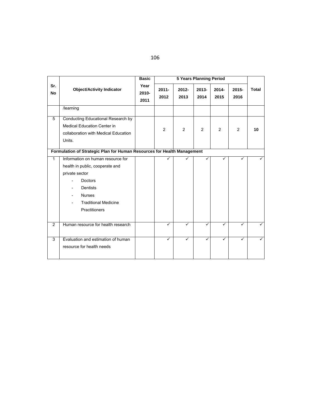| I |         | PU 1         |
|---|---------|--------------|
|   | I<br>۰. | I<br>×<br>۰, |

|                                                                         |                                                                                                                                                                                              | <b>Basic</b>          |                  |                  | <b>5 Years Planning Period</b> |                  |               |       |
|-------------------------------------------------------------------------|----------------------------------------------------------------------------------------------------------------------------------------------------------------------------------------------|-----------------------|------------------|------------------|--------------------------------|------------------|---------------|-------|
| Sr.<br><b>No</b>                                                        | <b>Object/Activity Indicator</b>                                                                                                                                                             | Year<br>2010-<br>2011 | $2011 -$<br>2012 | $2012 -$<br>2013 | $2013 -$<br>2014               | $2014 -$<br>2015 | 2015-<br>2016 | Total |
|                                                                         | /learning                                                                                                                                                                                    |                       |                  |                  |                                |                  |               |       |
| 5                                                                       | Conducting Educational Research by<br><b>Medical Education Center in</b><br>collaboration with Medical Education<br>Units.                                                                   |                       | $\overline{2}$   | 2                | 2                              | 2                | 2             | 10    |
| Formulation of Strategic Plan for Human Resources for Health Management |                                                                                                                                                                                              |                       |                  |                  |                                |                  |               |       |
| $\mathbf{1}$                                                            | Information on human resource for<br>health in public, cooperate and<br>private sector<br><b>Doctors</b><br><b>Dentists</b><br><b>Nurses</b><br><b>Traditional Medicine</b><br>Practitioners |                       | ✓                | ✓                |                                |                  | ✓             |       |
| $\overline{2}$                                                          | Human resource for health research                                                                                                                                                           |                       | ✓                | ✓                |                                | ✓                | ✓             | ✓     |
| 3                                                                       | Evaluation and estimation of human<br>resource for health needs                                                                                                                              |                       | ✓                | ✓                | ✓                              | ✓                | ✓             | ✓     |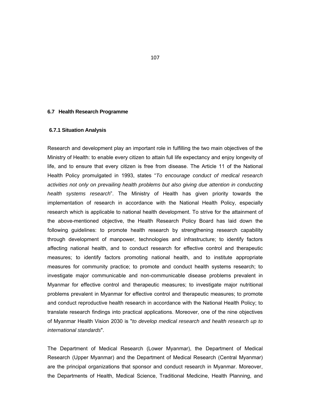#### **6.7 Health Research Programme**

#### **6.7.1 Situation Analysis**

Research and development play an important role in fulfilling the two main objectives of the Ministry of Health: to enable every citizen to attain full life expectancy and enjoy longevity of life, and to ensure that every citizen is free from disease. The Article 11 of the National Health Policy promulgated in 1993, states "*To encourage conduct of medical research activities not only on prevailing health problems but also giving due attention in conducting health systems research*". The Ministry of Health has given priority towards the implementation of research in accordance with the National Health Policy, especially research which is applicable to national health development. To strive for the attainment of the above-mentioned objective, the Health Research Policy Board has laid down the following guidelines: to promote health research by strengthening research capability through development of manpower, technologies and infrastructure; to identify factors affecting national health, and to conduct research for effective control and therapeutic measures; to identify factors promoting national health, and to institute appropriate measures for community practice; to promote and conduct health systems research; to investigate major communicable and non-communicable disease problems prevalent in Myanmar for effective control and therapeutic measures; to investigate major nutritional problems prevalent in Myanmar for effective control and therapeutic measures; to promote and conduct reproductive health research in accordance with the National Health Policy; to translate research findings into practical applications. Moreover, one of the nine objectives of Myanmar Health Vision 2030 is "*to develop medical research and health research up to international standards*".

The Department of Medical Research (Lower Myanmar), the Department of Medical Research (Upper Myanmar) and the Department of Medical Research (Central Myanmar) are the principal organizations that sponsor and conduct research in Myanmar. Moreover, the Departments of Health, Medical Science, Traditional Medicine, Health Planning, and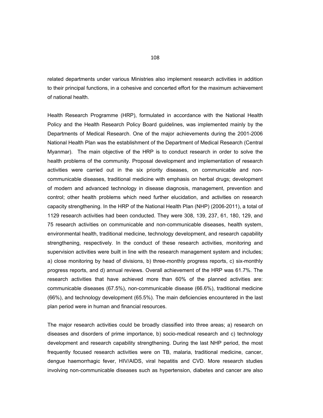related departments under various Ministries also implement research activities in addition to their principal functions, in a cohesive and concerted effort for the maximum achievement of national health.

Health Research Programme (HRP), formulated in accordance with the National Health Policy and the Health Research Policy Board guidelines, was implemented mainly by the Departments of Medical Research. One of the major achievements during the 2001-2006 National Health Plan was the establishment of the Department of Medical Research (Central Myanmar). The main objective of the HRP is to conduct research in order to solve the health problems of the community. Proposal development and implementation of research activities were carried out in the six priority diseases, on communicable and noncommunicable diseases, traditional medicine with emphasis on herbal drugs; development of modern and advanced technology in disease diagnosis, management, prevention and control; other health problems which need further elucidation, and activities on research capacity strengthening. In the HRP of the National Health Plan (NHP) (2006-2011), a total of 1129 research activities had been conducted. They were 308, 139, 237, 61, 180, 129, and 75 research activities on communicable and non-communicable diseases, health system, environmental health, traditional medicine, technology development, and research capability strengthening, respectively. In the conduct of these research activities, monitoring and supervision activities were built in line with the research management system and includes; a) close monitoring by head of divisions, b) three-monthly progress reports, c) six-monthly progress reports, and d) annual reviews. Overall achievement of the HRP was 61.7%. The research activities that have achieved more than 60% of the planned activities are: communicable diseases (67.5%), non-communicable disease (66.6%), traditional medicine (66%), and technology development (65.5%). The main deficiencies encountered in the last plan period were in human and financial resources.

The major research activities could be broadly classified into three areas; a) research on diseases and disorders of prime importance, b) socio-medical research and c) technology development and research capability strengthening. During the last NHP period, the most frequently focused research activities were on TB, malaria, traditional medicine, cancer, dengue haemorrhagic fever, HIV/AIDS, viral hepatitis and CVD. More research studies involving non-communicable diseases such as hypertension, diabetes and cancer are also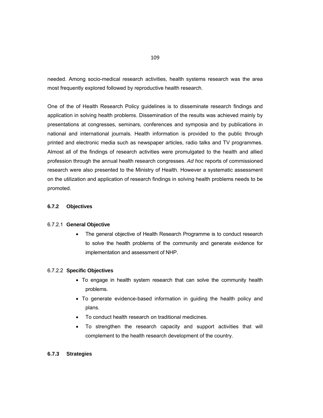needed. Among socio-medical research activities, health systems research was the area most frequently explored followed by reproductive health research.

One of the of Health Research Policy guidelines is to disseminate research findings and application in solving health problems. Dissemination of the results was achieved mainly by presentations at congresses, seminars, conferences and symposia and by publications in national and international journals. Health information is provided to the public through printed and electronic media such as newspaper articles, radio talks and TV programmes. Almost all of the findings of research activities were promulgated to the health and allied profession through the annual health research congresses. *Ad hoc* reports of commissioned research were also presented to the Ministry of Health. However a systematic assessment on the utilization and application of research findings in solving health problems needs to be promoted.

# **6.7.2 Objectives**

#### 6.7.2.1 **General Objective**

 The general objective of Health Research Programme is to conduct research to solve the health problems of the community and generate evidence for implementation and assessment of NHP.

#### 6.7.2.2 **Specific Objectives**

- To engage in health system research that can solve the community health problems.
- To generate evidence-based information in guiding the health policy and plans.
- To conduct health research on traditional medicines.
- To strengthen the research capacity and support activities that will complement to the health research development of the country.

# **6.7.3 Strategies**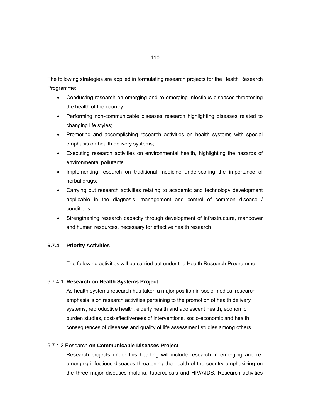The following strategies are applied in formulating research projects for the Health Research Programme:

- Conducting research on emerging and re-emerging infectious diseases threatening the health of the country;
- Performing non-communicable diseases research highlighting diseases related to changing life styles;
- Promoting and accomplishing research activities on health systems with special emphasis on health delivery systems;
- Executing research activities on environmental health, highlighting the hazards of environmental pollutants
- Implementing research on traditional medicine underscoring the importance of herbal drugs;
- Carrying out research activities relating to academic and technology development applicable in the diagnosis, management and control of common disease / conditions;
- Strengthening research capacity through development of infrastructure, manpower and human resources, necessary for effective health research

### **6.7.4 Priority Activities**

The following activities will be carried out under the Health Research Programme.

#### 6.7.4.1 **Research on Health Systems Project**

As health systems research has taken a major position in socio-medical research, emphasis is on research activities pertaining to the promotion of health delivery systems, reproductive health, elderly health and adolescent health, economic burden studies, cost-effectiveness of interventions, socio-economic and health consequences of diseases and quality of life assessment studies among others.

## 6.7.4.2 Research **on Communicable Diseases Project**

Research projects under this heading will include research in emerging and reemerging infectious diseases threatening the health of the country emphasizing on the three major diseases malaria, tuberculosis and HIV/AIDS. Research activities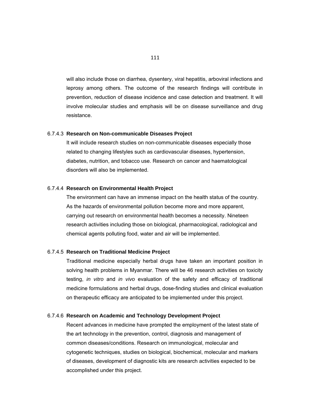will also include those on diarrhea, dysentery, viral hepatitis, arboviral infections and leprosy among others. The outcome of the research findings will contribute in prevention, reduction of disease incidence and case detection and treatment. It will involve molecular studies and emphasis will be on disease surveillance and drug resistance.

#### 6.7.4.3 **Research on Non-communicable Diseases Project**

It will include research studies on non-communicable diseases especially those related to changing lifestyles such as cardiovascular diseases, hypertension, diabetes, nutrition, and tobacco use. Research on cancer and haematological disorders will also be implemented.

#### 6.7.4.4 **Research on Environmental Health Project**

The environment can have an immense impact on the health status of the country. As the hazards of environmental pollution become more and more apparent, carrying out research on environmental health becomes a necessity. Nineteen research activities including those on biological, pharmacological, radiological and chemical agents polluting food, water and air will be implemented.

#### 6.7.4.5 **Research on Traditional Medicine Project**

 Traditional medicine especially herbal drugs have taken an important position in solving health problems in Myanmar. There will be 46 research activities on toxicity testing, *in vitro* and *in vivo* evaluation of the safety and efficacy of traditional medicine formulations and herbal drugs, dose-finding studies and clinical evaluation on therapeutic efficacy are anticipated to be implemented under this project.

#### 6.7.4.6 **Research on Academic and Technology Development Project**

Recent advances in medicine have prompted the employment of the latest state of the art technology in the prevention, control, diagnosis and management of common diseases/conditions. Research on immunological, molecular and cytogenetic techniques, studies on biological, biochemical, molecular and markers of diseases, development of diagnostic kits are research activities expected to be accomplished under this project.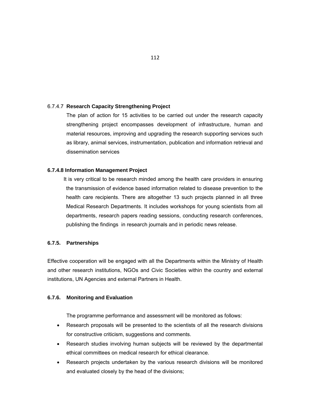# 6.7.4.7 **Research Capacity Strengthening Project**

The plan of action for 15 activities to be carried out under the research capacity strengthening project encompasses development of infrastructure, human and material resources, improving and upgrading the research supporting services such as library, animal services, instrumentation, publication and information retrieval and dissemination services

#### **6.7.4.8 Information Management Project**

 It is very critical to be research minded among the health care providers in ensuring the transmission of evidence based information related to disease prevention to the health care recipients. There are altogether 13 such projects planned in all three Medical Research Departments. It includes workshops for young scientists from all departments, research papers reading sessions, conducting research conferences, publishing the findings in research journals and in periodic news release.

#### **6.7.5. Partnerships**

Effective cooperation will be engaged with all the Departments within the Ministry of Health and other research institutions, NGOs and Civic Societies within the country and external institutions, UN Agencies and external Partners in Health.

#### **6.7.6. Monitoring and Evaluation**

The programme performance and assessment will be monitored as follows:

- Research proposals will be presented to the scientists of all the research divisions for constructive criticism, suggestions and comments.
- Research studies involving human subjects will be reviewed by the departmental ethical committees on medical research for ethical clearance.
- Research projects undertaken by the various research divisions will be monitored and evaluated closely by the head of the divisions;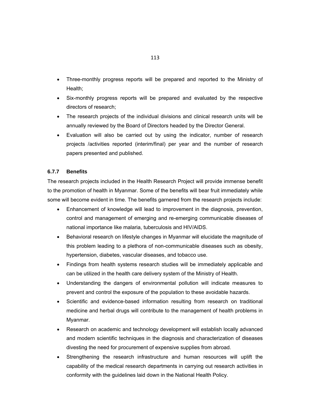- Three-monthly progress reports will be prepared and reported to the Ministry of Health;
- Six-monthly progress reports will be prepared and evaluated by the respective directors of research;
- The research projects of the individual divisions and clinical research units will be annually reviewed by the Board of Directors headed by the Director General.
- Evaluation will also be carried out by using the indicator, number of research projects /activities reported (interim/final) per year and the number of research papers presented and published.

# **6.7.7 Benefits**

The research projects included in the Health Research Project will provide immense benefit to the promotion of health in Myanmar. Some of the benefits will bear fruit immediately while some will become evident in time. The benefits garnered from the research projects include:

- Enhancement of knowledge will lead to improvement in the diagnosis, prevention, control and management of emerging and re-emerging communicable diseases of national importance like malaria, tuberculosis and HIV/AIDS.
- Behavioral research on lifestyle changes in Myanmar will elucidate the magnitude of this problem leading to a plethora of non-communicable diseases such as obesity, hypertension, diabetes, vascular diseases, and tobacco use.
- Findings from health systems research studies will be immediately applicable and can be utilized in the health care delivery system of the Ministry of Health.
- Understanding the dangers of environmental pollution will indicate measures to prevent and control the exposure of the population to these avoidable hazards.
- Scientific and evidence-based information resulting from research on traditional medicine and herbal drugs will contribute to the management of health problems in Myanmar.
- Research on academic and technology development will establish locally advanced and modern scientific techniques in the diagnosis and characterization of diseases divesting the need for procurement of expensive supplies from abroad.
- Strengthening the research infrastructure and human resources will uplift the capability of the medical research departments in carrying out research activities in conformity with the guidelines laid down in the National Health Policy.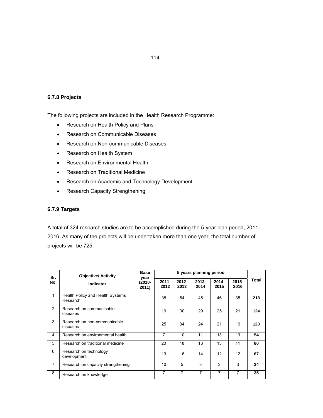# 114

# **6.7.8 Projects**

The following projects are included in the Health Research Programme:

- Research on Health Policy and Plans
- Research on Communicable Diseases
- Research on Non-communicable Diseases
- Research on Health System
- Research on Environmental Health
- Research on Traditional Medicine
- Research on Academic and Technology Development
- Research Capacity Strengthening

# **6.7.9 Targets**

A total of 324 research studies are to be accomplished during the 5-year plan period, 2011- 2016. As many of the projects will be undertaken more than one year, the total number of projects will be 725.

| Sr.            | <b>Objective/ Activity</b>                   | <b>Base</b>     | 5 years planning period<br>year |                  |                  |                  |                  |       |
|----------------|----------------------------------------------|-----------------|---------------------------------|------------------|------------------|------------------|------------------|-------|
| No.            | Indicator                                    | (2010-<br>2011) | $2011 -$<br>2012                | $2012 -$<br>2013 | $2013 -$<br>2014 | $2014 -$<br>2015 | $2015 -$<br>2016 | Total |
| $\mathbf{1}$   | Health Policy and Health Systems<br>Research |                 | 38                              | 54               | 45               | 46               | 35               | 218   |
| $\mathcal{P}$  | Research on communicable<br>diseases         |                 | 19                              | 30               | 29               | 25               | 21               | 124   |
| 3              | Research on non-communicable<br>diseases     |                 | 25                              | 34               | 24               | 21               | 19               | 123   |
| 4              | Research on environmental health             |                 | 7                               | 10               | 11               | 13               | 13               | 54    |
| 5              | Research on traditional medicine             |                 | 20                              | 18               | 18               | 13               | 11               | 80    |
| 6              | Research on technology<br>development        |                 | 13                              | 16               | 14               | 12               | 12               | 67    |
| $\overline{7}$ | Research on capacity strengthening           |                 | 10                              | 5                | 3                | 3                | 3                | 24    |
| 8              | Research on knowledge                        |                 | 7                               | 7                | 7                | 7                | 7                | 35    |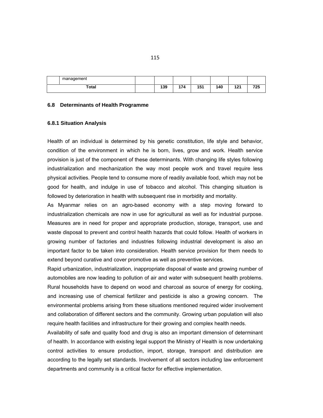| management |     |        |     |     |                 |            |
|------------|-----|--------|-----|-----|-----------------|------------|
| Total      | 139 | .<br>. | 151 | ،40 | 4. 9. 4<br>14 L | フクロ<br>16J |

#### **6.8 Determinants of Health Programme**

#### **6.8.1 Situation Analysis**

Health of an individual is determined by his genetic constitution, life style and behavior, condition of the environment in which he is born, lives, grow and work. Health service provision is just of the component of these determinants. With changing life styles following industrialization and mechanization the way most people work and travel require less physical activities. People tend to consume more of readily available food, which may not be good for health, and indulge in use of tobacco and alcohol. This changing situation is followed by deterioration in health with subsequent rise in morbidity and mortality.

As Myanmar relies on an agro-based economy with a step moving forward to industrialization chemicals are now in use for agricultural as well as for industrial purpose. Measures are in need for proper and appropriate production, storage, transport, use and waste disposal to prevent and control health hazards that could follow. Health of workers in growing number of factories and industries following industrial development is also an important factor to be taken into consideration. Health service provision for them needs to extend beyond curative and cover promotive as well as preventive services.

Rapid urbanization, industrialization, inappropriate disposal of waste and growing number of automobiles are now leading to pollution of air and water with subsequent health problems. Rural households have to depend on wood and charcoal as source of energy for cooking, and increasing use of chemical fertilizer and pesticide is also a growing concern. The environmental problems arising from these situations mentioned required wider involvement and collaboration of different sectors and the community. Growing urban population will also require health facilities and infrastructure for their growing and complex health needs.

Availability of safe and quality food and drug is also an important dimension of determinant of health. In accordance with existing legal support the Ministry of Health is now undertaking control activities to ensure production, import, storage, transport and distribution are according to the legally set standards. Involvement of all sectors including law enforcement departments and community is a critical factor for effective implementation.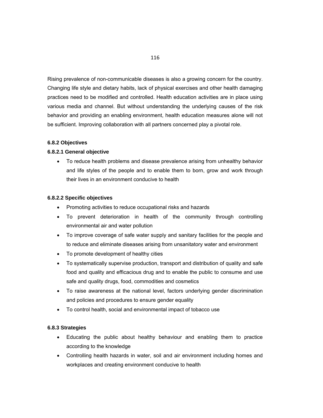Rising prevalence of non-communicable diseases is also a growing concern for the country. Changing life style and dietary habits, lack of physical exercises and other health damaging practices need to be modified and controlled. Health education activities are in place using various media and channel. But without understanding the underlying causes of the risk behavior and providing an enabling environment, health education measures alone will not be sufficient. Improving collaboration with all partners concerned play a pivotal role.

#### **6.8.2 Objectives**

#### **6.8.2.1 General objective**

 To reduce health problems and disease prevalence arising from unhealthy behavior and life styles of the people and to enable them to born, grow and work through their lives in an environment conducive to health

#### **6.8.2.2 Specific objectives**

- Promoting activities to reduce occupational risks and hazards
- To prevent deterioration in health of the community through controlling environmental air and water pollution
- To improve coverage of safe water supply and sanitary facilities for the people and to reduce and eliminate diseases arising from unsanitatory water and environment
- To promote development of healthy cities
- To systematically supervise production, transport and distribution of quality and safe food and quality and efficacious drug and to enable the public to consume and use safe and quality drugs, food, commodities and cosmetics
- To raise awareness at the national level, factors underlying gender discrimination and policies and procedures to ensure gender equality
- To control health, social and environmental impact of tobacco use

# **6.8.3 Strategies**

- Educating the public about healthy behaviour and enabling them to practice according to the knowledge
- Controlling health hazards in water, soil and air environment including homes and workplaces and creating environment conducive to health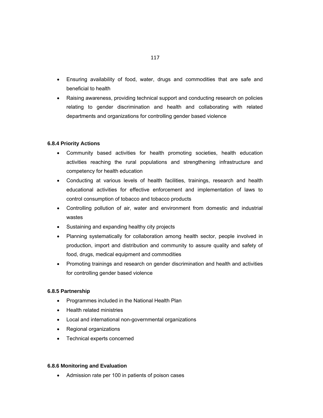- Ensuring availability of food, water, drugs and commodities that are safe and beneficial to health
- Raising awareness, providing technical support and conducting research on policies relating to gender discrimination and health and collaborating with related departments and organizations for controlling gender based violence

#### **6.8.4 Priority Actions**

- Community based activities for health promoting societies, health education activities reaching the rural populations and strengthening infrastructure and competency for health education
- Conducting at various levels of health facilities, trainings, research and health educational activities for effective enforcement and implementation of laws to control consumption of tobacco and tobacco products
- Controlling pollution of air, water and environment from domestic and industrial wastes
- Sustaining and expanding healthy city projects
- Planning systematically for collaboration among health sector, people involved in production, import and distribution and community to assure quality and safety of food, drugs, medical equipment and commodities
- Promoting trainings and research on gender discrimination and health and activities for controlling gender based violence

#### **6.8.5 Partnership**

- Programmes included in the National Health Plan
- Health related ministries
- Local and international non-governmental organizations
- Regional organizations
- Technical experts concerned

#### **6.8.6 Monitoring and Evaluation**

Admission rate per 100 in patients of poison cases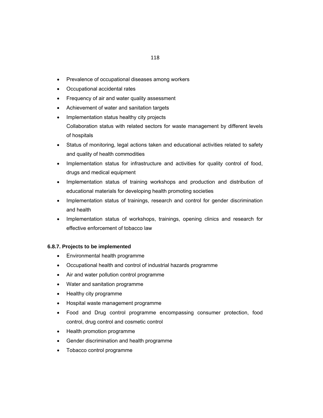- Prevalence of occupational diseases among workers
- Occupational accidental rates
- Frequency of air and water quality assessment
- Achievement of water and sanitation targets
- Implementation status healthy city projects Collaboration status with related sectors for waste management by different levels of hospitals
- Status of monitoring, legal actions taken and educational activities related to safety and quality of health commodities
- Implementation status for infrastructure and activities for quality control of food, drugs and medical equipment
- Implementation status of training workshops and production and distribution of educational materials for developing health promoting societies
- Implementation status of trainings, research and control for gender discrimination and health
- Implementation status of workshops, trainings, opening clinics and research for effective enforcement of tobacco law

# **6.8.7. Projects to be implemented**

- Environmental health programme
- Occupational health and control of industrial hazards programme
- Air and water pollution control programme
- Water and sanitation programme
- Healthy city programme
- Hospital waste management programme
- Food and Drug control programme encompassing consumer protection, food control, drug control and cosmetic control
- Health promotion programme
- Gender discrimination and health programme
- Tobacco control programme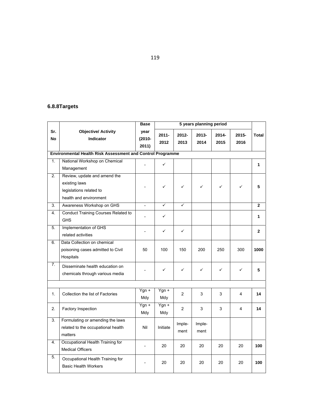# **6.8.8Targets**

|                                                            |                                                                                                    | <b>Base</b>                | 5 years planning period |                |                |               |               |                |
|------------------------------------------------------------|----------------------------------------------------------------------------------------------------|----------------------------|-------------------------|----------------|----------------|---------------|---------------|----------------|
| Sr.<br><b>No</b>                                           | <b>Objective/ Activity</b><br><b>Indicator</b>                                                     | year<br>$(2010 -$<br>2011) | $2011 -$<br>2012        | 2012-<br>2013  | 2013-<br>2014  | 2014-<br>2015 | 2015-<br>2016 | Total          |
| Environmental Health Risk Assessment and Control Programme |                                                                                                    |                            |                         |                |                |               |               |                |
| 1.                                                         | National Workshop on Chemical<br>Management                                                        |                            | ✓                       |                |                |               |               | 1              |
| 2.                                                         | Review, update and amend the<br>existing laws<br>legislations related to<br>health and environment |                            | ✓                       | ✓              | ✓              | ✓             | ✓             | 5              |
| $\overline{3}$ .                                           | Awareness Workshop on GHS                                                                          | $\overline{a}$             | $\checkmark$            | ✓              |                |               |               | $\mathbf{2}$   |
| 4.                                                         | <b>Conduct Training Courses Related to</b><br><b>GHS</b>                                           |                            | ✓                       |                |                |               |               | 1              |
| 5.                                                         | Implementation of GHS<br>related activities                                                        | $\overline{a}$             | ✓                       | ✓              |                |               |               | $\overline{2}$ |
| 6.                                                         | Data Collection on chemical<br>poisoning cases admitted to Civil<br>Hospitals                      | 50                         | 100                     | 150            | 200            | 250           | 300           | 1000           |
| 7.                                                         | Disseminate health education on<br>chemicals through various media                                 |                            | ✓                       | ✓              | ✓              | ✓             | ✓             | 5              |
|                                                            |                                                                                                    |                            |                         |                |                |               |               |                |
| 1.                                                         | Collection the list of Factories                                                                   | Ygn +<br>Mdy               | Ygn +<br>Mdy            | $\overline{c}$ | 3              | 3             | 4             | 14             |
| 2.                                                         | Factory Inspection                                                                                 | $Ygn +$<br>Mdy             | $Ygn +$<br>Mdy          | $\overline{2}$ | 3              | 3             | 4             | 14             |
| $\overline{3}$ .                                           | Formulating or amending the laws<br>related to the occupational health<br>matters                  | Nil                        | Initiate                | Imple-<br>ment | Imple-<br>ment |               |               |                |
| 4.                                                         | Occupational Health Training for<br><b>Medical Officers</b>                                        | $\overline{a}$             | 20                      | 20             | 20             | 20            | 20            | 100            |
| 5.                                                         | Occupational Health Training for<br><b>Basic Health Workers</b>                                    |                            | 20                      | 20             | 20             | 20            | 20            | 100            |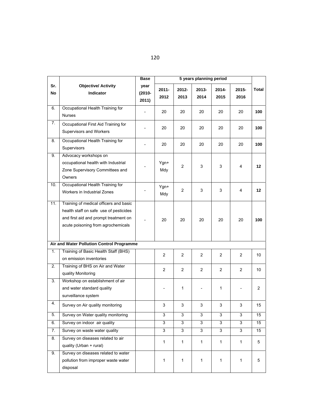|                |                                                                                                                                                                 | <b>Base</b>                |                  |                  | 5 years planning period |                |                  |              |
|----------------|-----------------------------------------------------------------------------------------------------------------------------------------------------------------|----------------------------|------------------|------------------|-------------------------|----------------|------------------|--------------|
| Sr.<br>No      | <b>Objective/ Activity</b><br>Indicator                                                                                                                         | year<br>$(2010 -$<br>2011) | $2011 -$<br>2012 | $2012 -$<br>2013 | 2013-<br>2014           | 2014-<br>2015  | $2015 -$<br>2016 | <b>Total</b> |
| 6.             | Occupational Health Training for<br><b>Nurses</b>                                                                                                               |                            | 20               | 20               | 20                      | 20             | 20               | 100          |
| $\mathbf{7}$ . | Occupational First Aid Training for<br>Supervisors and Workers                                                                                                  |                            | 20               | 20               | 20                      | 20             | 20               | 100          |
| 8.             | Occupational Health Training for<br>Supervisors                                                                                                                 |                            | 20               | 20               | 20                      | 20             | 20               | 100          |
| 9.             | Advocacy workshops on<br>occupational health with Industrial<br>Zone Supervisory Committees and<br>Owners                                                       |                            | Ygn+<br>Mdy      | 2                | 3                       | 3              | 4                | 12           |
| 10.            | Occupational Health Training for<br>Workers in Industrial Zones                                                                                                 |                            | Ygn+<br>Mdy      | $\mathbf{2}$     | 3                       | 3              | 4                | 12           |
| 11.            | Training of medical officers and basic<br>health staff on safe use of pesticides<br>and first aid and prompt treatment on<br>acute poisoning from agrochemicals |                            | 20               | 20               | 20                      | 20             | 20               | 100          |
|                | Air and Water Pollution Control Programme                                                                                                                       |                            |                  |                  |                         |                |                  |              |
| 1.             | Training of Basic Health Staff (BHS)<br>on emission inventories                                                                                                 |                            | $\overline{2}$   | 2                | $\overline{2}$          | 2              | $\overline{2}$   | 10           |
| 2.             | Training of BHS on Air and Water<br>quality Monitoring                                                                                                          |                            | $\overline{2}$   | $\overline{2}$   | $\overline{2}$          | $\overline{c}$ | $\overline{2}$   | 10           |
| 3.             | Workshop on establishment of air<br>and water standard quality<br>surveillance system                                                                           |                            |                  | 1                |                         | 1              |                  | 2            |
| 4.             | Survey on Air quality monitoring                                                                                                                                |                            | 3                | 3                | 3                       | 3              | 3                | 15           |
| 5.             | Survey on Water quality monitoring                                                                                                                              |                            | 3                | 3                | 3                       | 3              | 3                | 15           |
| 6.             | Survey on indoor air quality                                                                                                                                    |                            | 3                | 3                | 3                       | 3              | 3                | 15           |
| 7.             | Survey on waste water quality                                                                                                                                   |                            | 3                | 3                | 3                       | $\overline{3}$ | 3                | 15           |
| 8.             | Survey on diseases related to air<br>quality (Urban + rural)                                                                                                    |                            | 1                | $\mathbf{1}$     | $\mathbf{1}$            | 1              | $\mathbf{1}$     | 5            |
| 9.             | Survey on diseases related to water<br>pollution from improper waste water<br>disposal                                                                          |                            | 1                | 1                | $\mathbf{1}$            | 1              | 1                | 5            |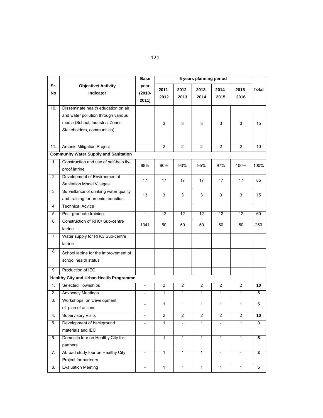|                |                                              | Base                       | 5 years planning period |                         |                |                         |                          |                         |
|----------------|----------------------------------------------|----------------------------|-------------------------|-------------------------|----------------|-------------------------|--------------------------|-------------------------|
| Sr.<br>No      | <b>Objective/ Activity</b><br>Indicator      | year<br>$(2010 -$<br>2011) | $2011 -$<br>2012        | 2012-<br>2013           | 2013-<br>2014  | 2014-<br>2015           | 2015-<br>2016            | Total                   |
| 10.            | Disseminate health education on air          |                            |                         |                         |                |                         |                          |                         |
|                | and water pollution through various          |                            |                         |                         |                |                         |                          |                         |
|                | media (School, Industrial Zones,             |                            | 3                       | 3                       | 3              | 3                       | 3                        | 15                      |
|                | Stakeholders, communities).                  |                            |                         |                         |                |                         |                          |                         |
|                |                                              |                            |                         |                         |                |                         |                          |                         |
| 11.            | Arsenic Mitigation Project                   |                            | $\overline{2}$          | $\overline{2}$          | $\overline{2}$ | $\overline{2}$          | $\overline{2}$           | 10                      |
|                | <b>Community Water Supply and Sanitation</b> |                            |                         |                         |                |                         |                          |                         |
| 1              | Construction and use of self-help fly-       |                            |                         |                         |                |                         |                          |                         |
|                | proof latrine                                | 88%                        | 90%                     | 93%                     | 95%            | 97%                     | 100%                     | 100%                    |
| $\overline{2}$ | Development of Environmental                 | 17                         |                         | 17                      | 17             | 17                      | 17                       | 85                      |
|                | Sanitation Model Villages                    |                            | 17                      |                         |                |                         |                          |                         |
| 3              | Surveillance of drinking water quality       | 13                         | 3                       | 3                       | 3              | 3                       | 3                        | 15                      |
|                | and training for arsenic reduction           |                            |                         |                         |                |                         |                          |                         |
| 4              | <b>Technical Advice</b>                      |                            |                         |                         |                |                         |                          |                         |
| 5              | Post-graduate training                       | $\mathbf{1}$               | $\overline{12}$         | 12                      | 12             | $\overline{12}$         | 12                       | 60                      |
| 6              | Construction of RHC/ Sub-centre              | 1341                       | 50                      | 50                      | 50             | 50                      | 50                       | 250                     |
|                | latrine                                      |                            |                         |                         |                |                         |                          |                         |
| 7              | Water supply for RHC/ Sub-centre             |                            |                         |                         |                |                         |                          |                         |
|                | latrine                                      |                            |                         |                         |                |                         |                          |                         |
| 8              | School latrine for the improvement of        |                            |                         |                         |                |                         |                          |                         |
|                | school health status                         |                            |                         |                         |                |                         |                          |                         |
| 9              | Production of IEC                            |                            |                         |                         |                |                         |                          |                         |
|                | Healthy City and Urban Health Programme      |                            |                         |                         |                |                         |                          |                         |
| 1.             | Selected Townships                           | $\overline{\phantom{a}}$   | $\mathbf{2}$            | $\overline{c}$          | $\overline{2}$ | $\overline{2}$          | $\overline{c}$           | 10                      |
| 2.             | <b>Advocacy Meetings</b>                     |                            | $\mathbf{1}$            | $\mathbf{1}$            | $\mathbf{1}$   | $\mathbf{1}$            | $\mathbf{1}$             | 5                       |
| 3.             | Workshops on Development                     |                            |                         |                         |                |                         |                          |                         |
|                | of plan of actions                           |                            | 1                       | 1                       | 1              | 1                       | 1                        | 5                       |
| 4.             | <b>Supervisory Visits</b>                    | $\overline{\phantom{a}}$   | $\overline{\mathbf{c}}$ | $\overline{\mathbf{c}}$ | $\overline{c}$ | $\overline{\mathbf{c}}$ | $\overline{\mathbf{c}}$  | 10                      |
| 5.             | Development of background                    | $\overline{\phantom{a}}$   | 1                       | $\qquad \qquad -$       | 1              |                         | 1                        | 3                       |
|                | materials and IEC                            |                            |                         |                         |                |                         |                          |                         |
| 6.             | Domestic tour on Healthy City for            | $\overline{\phantom{a}}$   | $\mathbf{1}$            | $\overline{1}$          | $\mathbf{1}$   | $\mathbf{1}$            | $\mathbf{1}$             | $\overline{\mathbf{5}}$ |
|                | partners                                     |                            |                         |                         |                |                         |                          |                         |
| 7.             | Abroad study tour on Healthy City            | $\overline{\phantom{a}}$   | 1                       | $\mathbf{1}$            | $\mathbf{1}$   | $\frac{1}{2}$           | $\overline{\phantom{a}}$ | 3                       |
|                | Project for partners                         |                            |                         |                         |                |                         |                          |                         |
| 8.             | <b>Evaluation Meeting</b>                    | $\blacksquare$             | $\mathbf{1}$            | $\overline{1}$          | $\mathbf{1}$   | $\overline{1}$          | $\overline{1}$           | 5                       |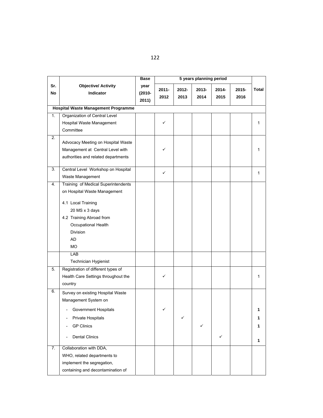|                  |                                                                                                                                                                                                                                            | <b>Base</b>                | 5 years planning period |               |               |                  |               |                  |
|------------------|--------------------------------------------------------------------------------------------------------------------------------------------------------------------------------------------------------------------------------------------|----------------------------|-------------------------|---------------|---------------|------------------|---------------|------------------|
| Sr.<br><b>No</b> | <b>Objective/ Activity</b><br>Indicator                                                                                                                                                                                                    | year<br>$(2010 -$<br>2011) | $2011 -$<br>2012        | 2012-<br>2013 | 2013-<br>2014 | $2014 -$<br>2015 | 2015-<br>2016 | Total            |
|                  | <b>Hospital Waste Management Programme</b>                                                                                                                                                                                                 |                            |                         |               |               |                  |               |                  |
| ī.               | Organization of Central Level<br>Hospital Waste Management<br>Committee                                                                                                                                                                    |                            | ✓                       |               |               |                  |               | 1                |
| $\overline{2}$ . | Advocacy Meeting on Hospital Waste<br>Management at Central Level with<br>authorities and related departments                                                                                                                              |                            |                         |               |               |                  |               | 1                |
| 3.               | Central Level Workshop on Hospital<br>Waste Management                                                                                                                                                                                     |                            | ✓                       |               |               |                  |               | 1                |
| 4.               | Training of Medical Superintendents<br>on Hospital Waste Management<br>4.1 Local Training<br>20 MS x 3 days<br>4.2 Training Abroad from<br>Occupational Health<br><b>Division</b><br><b>AD</b><br><b>MO</b><br>LAB<br>Technician Hygienist |                            |                         |               |               |                  |               |                  |
| 5.               | Registration of different types of<br>Health Care Settings throughout the<br>country                                                                                                                                                       |                            | ✓                       |               |               |                  |               | 1                |
| 6.<br>7.         | Survey on existing Hospital Waste<br>Management System on<br>Government Hospitals<br>Private Hospitals<br><b>GP Clinics</b><br><b>Dental Clinics</b><br>Collaboration with DDA,                                                            |                            |                         | ✓             | ✓             | ✓                |               | 1<br>1<br>1<br>1 |
|                  | WHO, related departments to<br>implement the segregation,<br>containing and decontamination of                                                                                                                                             |                            |                         |               |               |                  |               |                  |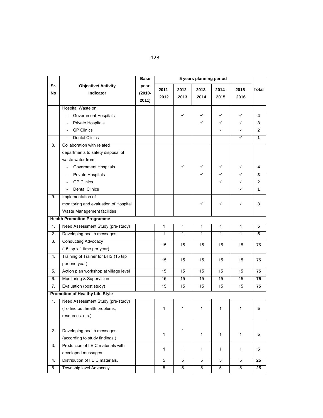|                  |                                                      | <b>Base</b>                | 5 years planning period |                  |                  |                  |               |                 |
|------------------|------------------------------------------------------|----------------------------|-------------------------|------------------|------------------|------------------|---------------|-----------------|
| Sr.<br><b>No</b> | <b>Objective/ Activity</b><br>Indicator              | year<br>$(2010 -$<br>2011) | $2011 -$<br>2012        | $2012 -$<br>2013 | $2013 -$<br>2014 | $2014 -$<br>2015 | 2015-<br>2016 | Total           |
|                  | Hospital Waste on                                    |                            |                         |                  |                  |                  |               |                 |
|                  | Government Hospitals                                 |                            |                         | ✓                | ✓                | ✓                | ✓             | 4               |
|                  | Private Hospitals                                    |                            |                         |                  | $\checkmark$     | ✓                | ✓             | 3               |
|                  | <b>GP Clinics</b>                                    |                            |                         |                  |                  | ✓                | ✓             | $\mathbf{2}$    |
|                  | <b>Dental Clinics</b>                                |                            |                         |                  |                  |                  | ✓             | 1               |
| 8.               | Collaboration with related                           |                            |                         |                  |                  |                  |               |                 |
|                  | departments to safety disposal of                    |                            |                         |                  |                  |                  |               |                 |
|                  | waste water from                                     |                            |                         |                  |                  |                  |               |                 |
|                  | Government Hospitals<br>$\overline{\phantom{0}}$     |                            |                         | $\checkmark$     | ✓                | ✓                | ✓             | 4               |
|                  | Private Hospitals<br>$\overline{\phantom{a}}$        |                            |                         |                  |                  | ✓                | ✓             | 3               |
|                  | <b>GP Clinics</b><br>$\overline{\phantom{0}}$        |                            |                         |                  |                  | ✓                | ✓             | $\mathbf{2}$    |
|                  | <b>Dental Clinics</b><br>$\overline{\phantom{0}}$    |                            |                         |                  |                  |                  | ✓             | 1               |
| 9.               | Implementation of                                    |                            |                         |                  |                  |                  |               |                 |
|                  | monitoring and evaluation of Hospital                |                            |                         |                  | ✓                | ✓                | ✓             | 3               |
|                  | Waste Management facilities                          |                            |                         |                  |                  |                  |               |                 |
|                  | <b>Health Promotion Programme</b>                    |                            |                         |                  |                  |                  |               |                 |
| 1.               | Need Assessment Study (pre-study)                    |                            | 1                       | $\mathbf{1}$     | $\mathbf{1}$     | 1                | 1             | 5               |
| 2.               | Developing health messages                           |                            | 1                       | 1                | 1                | 1                | 1             | 5               |
| 3.               | <b>Conducting Advocacy</b>                           |                            |                         |                  |                  |                  |               |                 |
|                  | (15 tsp x 1 time per year)                           |                            | 15                      | 15               | 15               | 15               | 15            | 75              |
| 4.               | Training of Trainer for BHS (15 tsp<br>per one year) |                            | 15                      | 15               | 15               | 15               | 15            | 75              |
| 5.               | Action plan workshop at village level                |                            | 15                      | 15               | 15               | 15               | 15            | 75              |
| 6.               | Monitoring & Supervision                             |                            | 15                      | 15               | 15               | 15               | 15            | 75              |
| 7.               | Evaluation (post study)                              |                            | 15                      | 15               | 15               | 15               | 15            | 75              |
|                  | <b>Promotion of Healthy Life Style</b>               |                            |                         |                  |                  |                  |               |                 |
| 1.               | Need Assessment Study (pre-study)                    |                            |                         |                  |                  |                  |               |                 |
|                  | (To find out health problems,                        |                            | 1                       | 1                | 1                | 1                | 1             | 5               |
|                  | resources. etc.)                                     |                            |                         |                  |                  |                  |               |                 |
|                  |                                                      |                            |                         |                  |                  |                  |               |                 |
| 2.               | Developing health messages                           |                            | 1                       | $\mathbf{1}$     | $\mathbf{1}$     | $\mathbf{1}$     | $\mathbf{1}$  | 5               |
|                  | (according to study findings.)                       |                            |                         |                  |                  |                  |               |                 |
| 3.               | Production of I.E.C materials with                   |                            | 1                       | $\mathbf{1}$     | $\mathbf{1}$     | 1                | $\mathbf{1}$  | 5               |
|                  | developed messages.                                  |                            |                         |                  |                  |                  |               |                 |
| 4.               | Distribution of I.E.C materials.                     |                            | $\overline{5}$          | 5                | $\overline{5}$   | 5                | 5             | $\overline{25}$ |
| 5.               | Township level Advocacy.                             |                            | 5                       | 5                | 5                | 5                | 5             | 25              |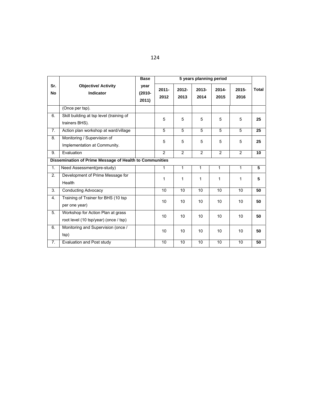|                  |                                                                            | <b>Base</b>                | 5 years planning period |                  |                  |               |                  |              |  |
|------------------|----------------------------------------------------------------------------|----------------------------|-------------------------|------------------|------------------|---------------|------------------|--------------|--|
| Sr.<br><b>No</b> | <b>Objective/ Activity</b><br><b>Indicator</b>                             | year<br>$(2010 -$<br>2011) | $2011 -$<br>2012        | $2012 -$<br>2013 | $2013 -$<br>2014 | 2014-<br>2015 | $2015 -$<br>2016 | <b>Total</b> |  |
|                  | (Once per tsp).                                                            |                            |                         |                  |                  |               |                  |              |  |
| 6.               | Skill building at tsp level (training of<br>trainers BHS).                 |                            | 5                       | 5                | 5                | 5             | 5                | 25           |  |
| $\overline{7}$ . | Action plan workshop at ward/village                                       |                            | $\overline{5}$          | $\overline{5}$   | $\overline{5}$   | 5             | 5                | 25           |  |
| 8.               | Monitoring / Supervision of<br>Implementation at Community.                |                            | 5                       | 5                | 5                | 5             | 5                | 25           |  |
| 9.               | Evaluation                                                                 |                            | $\overline{2}$          | 2                | $\overline{2}$   | 2             | $\overline{2}$   | 10           |  |
|                  | Dissemination of Prime Message of Health to Communities                    |                            |                         |                  |                  |               |                  |              |  |
| 1.               | Need Assessment(pre-study)                                                 |                            | $\mathbf{1}$            | 1                | 1                | 1             | 1                | 5            |  |
| 2.               | Development of Prime Message for<br>Health                                 |                            | 1                       | 1                | 1                | 1             | 1                | 5            |  |
| 3.               | <b>Conducting Advocacy</b>                                                 |                            | 10                      | 10               | 10               | 10            | 10               | 50           |  |
| 4.               | Training of Trainer for BHS (10 tsp<br>per one year)                       |                            | 10                      | 10               | 10               | 10            | 10               | 50           |  |
| 5.               | Workshop for Action Plan at grass<br>root level (10 tsp/year) (once / tsp) |                            | 10                      | 10               | 10               | 10            | 10               | 50           |  |
| 6.               | Monitoring and Supervision (once /<br>tsp)                                 |                            | 10                      | 10               | 10               | 10            | 10               | 50           |  |
| 7.               | Evaluation and Post study                                                  |                            | 10                      | 10               | 10               | 10            | 10               | 50           |  |

|--|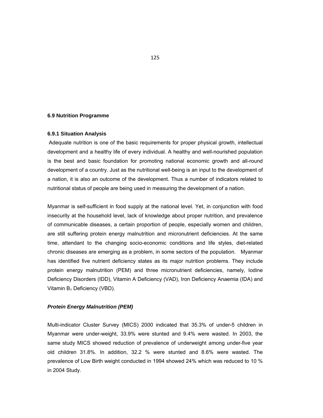#### **6.9 Nutrition Programme**

#### **6.9.1 Situation Analysis**

Adequate nutrition is one of the basic requirements for proper physical growth, intellectual development and a healthy life of every individual. A healthy and well-nourished population is the best and basic foundation for promoting national economic growth and all-round development of a country. Just as the nutritional well-being is an input to the development of a nation, it is also an outcome of the development. Thus a number of indicators related to nutritional status of people are being used in measuring the development of a nation.

Myanmar is self-sufficient in food supply at the national level. Yet, in conjunction with food insecurity at the household level, lack of knowledge about proper nutrition, and prevalence of communicable diseases, a certain proportion of people, especially women and children, are still suffering protein energy malnutrition and micronutrient deficiencies. At the same time, attendant to the changing socio-economic conditions and life styles, diet-related chronic diseases are emerging as a problem, in some sectors of the population. Myanmar has identified five nutrient deficiency states as its major nutrition problems. They include protein energy malnutrition (PEM) and three micronutrient deficiencies, namely, Iodine Deficiency Disorders (IDD), Vitamin A Deficiency (VAD), Iron Deficiency Anaemia (IDA) and Vitamin  $B_1$  Deficiency (VBD).

#### *Protein Energy Malnutrition (PEM)*

Multi-indicator Cluster Survey (MICS) 2000 indicated that 35.3% of under-5 children in Myanmar were under-weight, 33.9% were stunted and 9.4% were wasted. In 2003, the same study MICS showed reduction of prevalence of underweight among under-five year old children 31.8%. In addition, 32.2 % were stunted and 8.6% were wasted. The prevalence of Low Birth weight conducted in 1994 showed 24% which was reduced to 10 % in 2004 Study.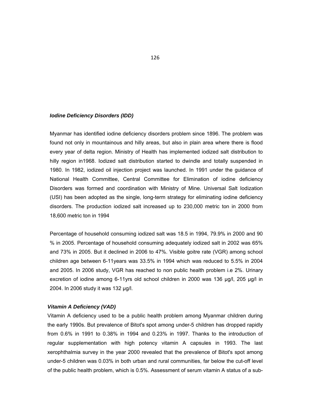#### *Iodine Deficiency Disorders (IDD)*

Myanmar has identified iodine deficiency disorders problem since 1896. The problem was found not only in mountainous and hilly areas, but also in plain area where there is flood every year of delta region. Ministry of Health has implemented iodized salt distribution to hilly region in1968. Iodized salt distribution started to dwindle and totally suspended in 1980. In 1982, iodized oil injection project was launched. In 1991 under the guidance of National Health Committee, Central Committee for Elimination of iodine deficiency Disorders was formed and coordination with Ministry of Mine. Universal Salt Iodization (USI) has been adopted as the single, long-term strategy for eliminating iodine deficiency disorders. The production iodized salt increased up to 230,000 metric ton in 2000 from 18,600 metric ton in 1994

Percentage of household consuming iodized salt was 18.5 in 1994, 79.9% in 2000 and 90 % in 2005. Percentage of household consuming adequately iodized salt in 2002 was 65% and 73% in 2005. But it declined in 2006 to 47%. Visible goitre rate (VGR) among school children age between 6-11years was 33.5% in 1994 which was reduced to 5.5% in 2004 and 2005. In 2006 study, VGR has reached to non public health problem i.e 2%. Urinary excretion of iodine among 6-11yrs old school children in 2000 was 136 µg/l, 205 µg/l in 2004. In 2006 study it was 132 µg/l.

#### *Vitamin A Deficiency (VAD)*

Vitamin A deficiency used to be a public health problem among Myanmar children during the early 1990s. But prevalence of Bitot's spot among under-5 children has dropped rapidly from 0.6% in 1991 to 0.38% in 1994 and 0.23% in 1997. Thanks to the introduction of regular supplementation with high potency vitamin A capsules in 1993. The last xerophthalmia survey in the year 2000 revealed that the prevalence of Bitot's spot among under-5 children was 0.03% in both urban and rural communities, far below the cut-off level of the public health problem, which is 0.5%. Assessment of serum vitamin A status of a sub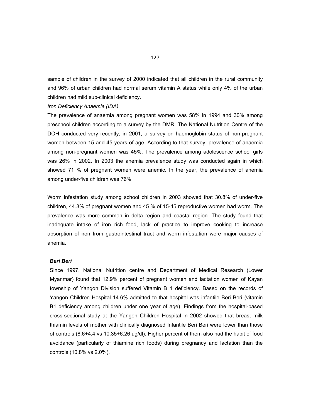sample of children in the survey of 2000 indicated that all children in the rural community and 96% of urban children had normal serum vitamin A status while only 4% of the urban children had mild sub-clinical deficiency.

#### *Iron Deficiency Anaemia (IDA)*

The prevalence of anaemia among pregnant women was 58% in 1994 and 30% among preschool children according to a survey by the DMR. The National Nutrition Centre of the DOH conducted very recently, in 2001, a survey on haemoglobin status of non-pregnant women between 15 and 45 years of age. According to that survey, prevalence of anaemia among non-pregnant women was 45%. The prevalence among adolescence school girls was 26% in 2002. In 2003 the anemia prevalence study was conducted again in which showed 71 % of pregnant women were anemic. In the year, the prevalence of anemia among under-five children was 76%.

Worm infestation study among school children in 2003 showed that 30.8% of under-five children, 44.3% of pregnant women and 45 % of 15-45 reproductive women had worm. The prevalence was more common in delta region and coastal region. The study found that inadequate intake of iron rich food, lack of practice to improve cooking to increase absorption of iron from gastrointestinal tract and worm infestation were major causes of anemia.

#### *Beri Beri*

Since 1997, National Nutrition centre and Department of Medical Research (Lower Myanmar) found that 12.9% percent of pregnant women and lactation women of Kayan township of Yangon Division suffered Vitamin B 1 deficiency. Based on the records of Yangon Children Hospital 14.6% admitted to that hospital was infantile Beri Beri (vitamin B1 deficiency among children under one year of age). Findings from the hospital-based cross-sectional study at the Yangon Children Hospital in 2002 showed that breast milk thiamin levels of mother with clinically diagnosed Infantile Beri Beri were lower than those of controls (8.6+4.4 vs 10.35+6.26 ug/dl). Higher percent of them also had the habit of food avoidance (particularly of thiamine rich foods) during pregnancy and lactation than the controls (10.8% vs 2.0%).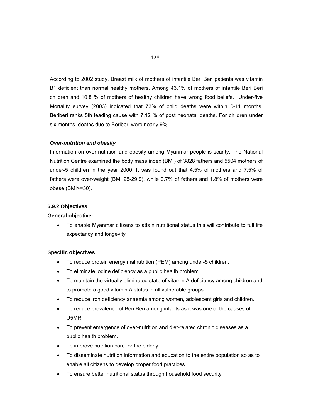According to 2002 study, Breast milk of mothers of infantile Beri Beri patients was vitamin B1 deficient than normal healthy mothers. Among 43.1% of mothers of infantile Beri Beri children and 10.8 % of mothers of healthy children have wrong food beliefs. Under-five Mortality survey (2003) indicated that 73% of child deaths were within 0-11 months. Beriberi ranks 5th leading cause with 7.12 % of post neonatal deaths. For children under six months, deaths due to Beriberi were nearly 9%.

#### *Over-nutrition and obesity*

Information on over-nutrition and obesity among Myanmar people is scanty. The National Nutrition Centre examined the body mass index (BMI) of 3828 fathers and 5504 mothers of under-5 children in the year 2000. It was found out that 4.5% of mothers and 7.5% of fathers were over-weight (BMI 25-29.9), while 0.7% of fathers and 1.8% of mothers were obese (BMI>=30).

#### **6.9.2 Objectives**

#### **General objective:**

 To enable Myanmar citizens to attain nutritional status this will contribute to full life expectancy and longevity

#### **Specific objectives**

- To reduce protein energy malnutrition (PEM) among under-5 children.
- To eliminate iodine deficiency as a public health problem.
- To maintain the virtually eliminated state of vitamin A deficiency among children and to promote a good vitamin A status in all vulnerable groups.
- To reduce iron deficiency anaemia among women, adolescent girls and children.
- To reduce prevalence of Beri Beri among infants as it was one of the causes of U5MR
- To prevent emergence of over-nutrition and diet-related chronic diseases as a public health problem.
- To improve nutrition care for the elderly
- To disseminate nutrition information and education to the entire population so as to enable all citizens to develop proper food practices.
- To ensure better nutritional status through household food security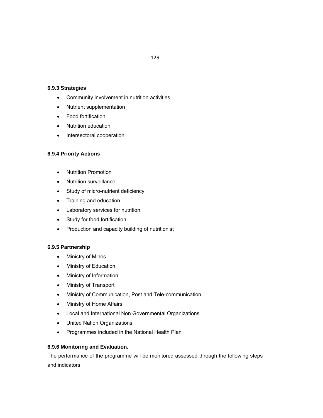#### **6.9.3 Strategies**

- Community involvement in nutrition activities.
- Nutrient supplementation
- Food fortification
- Nutrition education
- Intersectoral cooperation

# **6.9.4 Priority Actions**

- Nutrition Promotion
- Nutrition surveillance
- Study of micro-nutrient deficiency
- Training and education
- Laboratory services for nutrition
- Study for food fortification
- Production and capacity building of nutritionist

# **6.9.5 Partnership**

- Ministry of Mines
- Ministry of Education
- Ministry of Information
- Ministry of Transport
- Ministry of Communication, Post and Tele-communication
- Ministry of Home Affairs
- Local and International Non Governmental Organizations
- United Nation Organizations
- Programmes included in the National Health Plan

# **6.9.6 Monitoring and Evaluation.**

The performance of the programme will be monitored assessed through the following steps and indicators: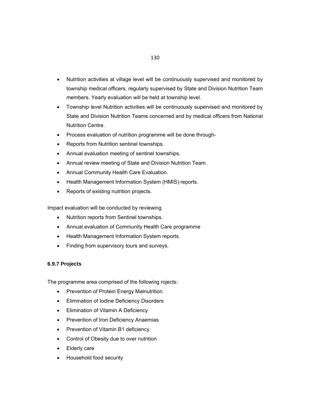- Nutrition activities at village level will be continuously supervised and monitored by township medical officers, regularly supervised by State and Division Nutrition Team members. Yearly evaluation will be held at township level.
- Township level Nutrition activities will be continuously supervised and monitored by State and Division Nutrition Teams concerned and by medical officers from National Nutrition Centre.
- Process evaluation of nutrition programme will be done through-
- Reports from Nutrition sentinel townships.
- Annual evaluation meeting of sentinel townships.
- Annual review meeting of State and Division Nutrition Team.
- Annual Community Health Care Evaluation.
- Health Management Information System (HMIS) reports.
- Reports of existing nutrition projects.

Impact evaluation will be conducted by reviewing

- Nutrition reports from Sentinel townships.
- Annual evaluation of Community Health Care programme
- Health Management Information System reports.
- Finding from supervisory tours and surveys.

#### **6.9.7 Projects**

The programme area comprised of the following rojects:

- Prevention of Protein Energy Malnutrition
- Elimination of Iodine Deficiency Disorders
- **•** Elimination of Vitamin A Deficiency
- Prevention of Iron Deficiency Anaemias
- Prevention of Vitamin B1 deficiency
- Control of Obesity due to over nutrition
- Elderly care
- Household food security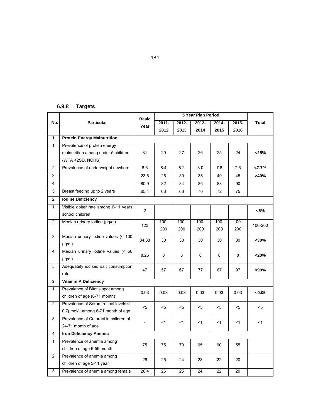# **6.9.8 Targets**

|                |                                       | <b>Basic</b>             |                          |                          |                          |                          |                          |              |
|----------------|---------------------------------------|--------------------------|--------------------------|--------------------------|--------------------------|--------------------------|--------------------------|--------------|
| No.            | <b>Particular</b>                     | Year                     | 2011-                    | 2012-                    | 2013-                    | 2014-                    | 2015-                    | <b>Total</b> |
|                |                                       |                          | 2012                     | 2013                     | 2014                     | 2015                     | 2016                     |              |
| $\mathbf{1}$   | <b>Protein Energy Malnutrition</b>    |                          |                          |                          |                          |                          |                          |              |
| $\mathbf{1}$   | Prevalence of protein energy          |                          |                          |                          |                          |                          |                          |              |
|                | malnutrition among under 5 children   | 31                       | 29                       | 27                       | 26                       | 25                       | 24                       | $<$ 25%      |
|                | (WFA <2SD, NCHS)                      |                          |                          |                          |                          |                          |                          |              |
| $\overline{2}$ | Prevalence of underweight newborn     | 8.6                      | 8.4                      | 8.2                      | 8.0                      | 7.8                      | 7.6                      | 27.7%        |
| 3              |                                       | 23.6                     | 25                       | 30                       | 35                       | 40                       | 45                       | 240%         |
| 4              |                                       | 80.9                     | 82                       | 84                       | 86                       | 88                       | 90                       |              |
| 5              | Breast feeding up to 2 years          | 65.4                     | 66                       | 68                       | 70                       | 72                       | 75                       |              |
| $\mathbf{2}$   | <b>Iodine Deficiency</b>              |                          |                          |                          |                          |                          |                          |              |
| $\mathbf{1}$   | Visible goiter rate among 6-11 years  | $\overline{2}$           |                          |                          |                          |                          |                          |              |
|                | school children                       |                          | $\overline{\phantom{a}}$ | $\overline{\phantom{a}}$ | $\overline{\phantom{a}}$ | $\overline{\phantom{a}}$ | $\overline{\phantom{a}}$ | <5%          |
| $\overline{2}$ | Median urinary lodine (µg/dl)         | 123                      | $100 -$                  | $100 -$                  | $100 -$                  | $100 -$                  | $100 -$                  | 100-200      |
|                |                                       |                          | 200                      | 200                      | 200                      | 200                      | 200                      |              |
| 3              | Median urinary iodine values (< 100   | 34.38                    | 30                       | 30                       | 30                       | 30                       | 30                       | $30%$        |
|                | $\mu$ g/dl)                           |                          |                          |                          |                          |                          |                          |              |
| $\overline{4}$ | Median urinary iodine values (< 50    | 8.26                     | 8                        | 8                        | 8                        | 8                        | 8                        | $<$ 20%      |
|                | $\mu q/dl$                            |                          |                          |                          |                          |                          |                          |              |
| 5              | Adequately iodized salt consumption   | 47                       | 57                       | 67                       | 77                       | 87                       | 97                       | >90%         |
|                | rate                                  |                          |                          |                          |                          |                          |                          |              |
| 3              | <b>Vitamin A Deficiency</b>           |                          |                          |                          |                          |                          |                          |              |
| $\mathbf{1}$   | Prevalence of Bitot's spot among      | 0.03                     | 0.03                     | 0.03                     | 0.03                     | 0.03                     | 0.03                     | < 0.05       |
|                | children of age (6-71 month)          |                          |                          |                          |                          |                          |                          |              |
| $\overline{2}$ | Prevalence of Serum retinol levels ≤  | $5$                      | $<$ 5                    | <5                       | $<$ 5                    | <5                       | <5                       | <5           |
|                | 0.7µmol/L among 6-71 month of age     |                          |                          |                          |                          |                          |                          |              |
| 3              | Prevalence of Cataract in children of | $\overline{\phantom{a}}$ | $<$ 1                    | $<$ 1                    | $<$ 1                    | <1                       | $<$ 1                    | <1           |
|                | 24-71 month of age                    |                          |                          |                          |                          |                          |                          |              |
| 4              | <b>Iron Deficiency Anemia</b>         |                          |                          |                          |                          |                          |                          |              |
| $\mathbf{1}$   | Prevalence of anemia among            | 75                       | 75                       | 70                       | 65                       | 60                       | 55                       |              |
|                | children of age 6-59 month            |                          |                          |                          |                          |                          |                          |              |
| $\overline{2}$ | Prevalence of anemia among            | 26                       | 25                       | 24                       | 23                       | 22                       | 20                       |              |
|                | children of age 5-11 year             |                          |                          |                          |                          |                          |                          |              |
| 3              | Prevalence of anemia among female     | 26.4                     | 26                       | 25                       | 24                       | 22                       | 20                       |              |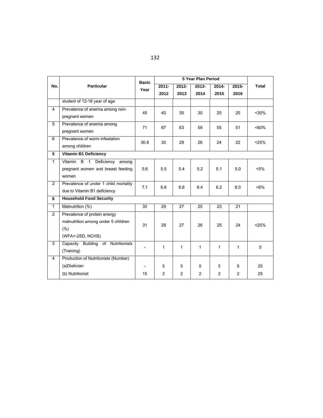|                |                                          | <b>Basic</b>             |          |          | 5 Year Plan Period |                |          |              |
|----------------|------------------------------------------|--------------------------|----------|----------|--------------------|----------------|----------|--------------|
| No.            | <b>Particular</b>                        | Year                     | $2011 -$ | $2012 -$ | 2013-              | $2014 -$       | $2015 -$ | <b>Total</b> |
|                |                                          |                          | 2012     | 2013     | 2014               | 2015           | 2016     |              |
|                | student of 12-16 year of age             |                          |          |          |                    |                |          |              |
| $\overline{4}$ | Prevalence of anemia among non-          | 45                       | 40       | 35       | 30                 | 25             | 20       | $30%$        |
|                | pregnant women                           |                          |          |          |                    |                |          |              |
| 5              | Prevalence of anemia among               | 71                       | 67       | 63       | 59                 | 55             | 51       | $~50\%$      |
|                | pregnant women                           |                          |          |          |                    |                |          |              |
| 6              | Prevalence of worm infestation           | 30.8                     | 30       | 28       | 26                 | 24             | 22       | < 25%        |
|                | among children                           |                          |          |          |                    |                |          |              |
| 5              | <b>Vitamin B1 Deficiency</b>             |                          |          |          |                    |                |          |              |
| $\mathbf{1}$   | Vitamin B 1 Deficiency<br>among          |                          |          |          |                    |                |          |              |
|                | pregnant women and breast feeding        | 5.6                      | 5.5      | 5.4      | 5.2                | 5.1            | 5.0      | $< 5\%$      |
|                | women                                    |                          |          |          |                    |                |          |              |
| $\overline{2}$ | Prevalence of under 1 child mortality    | 7.1                      | 6.8      | 6.6      | 6.4                | 6.2            | 6.0      | $~5\%$       |
|                | due to Vitamin B1 deficiency             |                          |          |          |                    |                |          |              |
| 6              | <b>Household Food Security</b>           |                          |          |          |                    |                |          |              |
| $\mathbf{1}$   | Malnutrition (%)                         | 30                       | 29       | 27       | 25                 | 23             | 21       |              |
| 2              | Prevalence of protein energy             |                          |          |          |                    |                |          |              |
|                | malnutrition among under 5 children      | 31                       | 29       | 27       | 26                 | 25             | 24       | < 25%        |
|                | (% )                                     |                          |          |          |                    |                |          |              |
|                | (WFA<-2SD, NCHS)                         |                          |          |          |                    |                |          |              |
| $\overline{3}$ | Capacity Building<br>Nutritionists<br>of | $\overline{\phantom{a}}$ | 1        | 1        | 1                  | $\mathbf{1}$   | 1        | 5            |
|                | (Training)                               |                          |          |          |                    |                |          |              |
| $\overline{4}$ | Production of Nutritionists (Number)     |                          |          |          |                    |                |          |              |
|                | (a)Dietician                             | $\overline{\phantom{a}}$ | 5        | 5        | 5                  | 5              | 5        | 25           |
|                | (b) Nutritionist                         | 15                       | 2        | 2        | 2                  | $\overline{2}$ | 2        | 25           |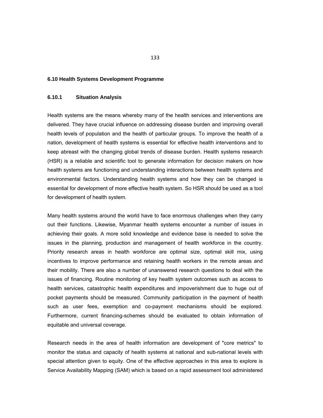#### **6.10 Health Systems Development Programme**

### **6.10.1 Situation Analysis**

Health systems are the means whereby many of the health services and interventions are delivered. They have crucial influence on addressing disease burden and improving overall health levels of population and the health of particular groups. To improve the health of a nation, development of health systems is essential for effective health interventions and to keep abreast with the changing global trends of disease burden. Health systems research (HSR) is a reliable and scientific tool to generate information for decision makers on how health systems are functioning and understanding interactions between health systems and environmental factors. Understanding health systems and how they can be changed is essential for development of more effective health system. So HSR should be used as a tool for development of health system.

Many health systems around the world have to face enormous challenges when they carry out their functions. Likewise, Myanmar health systems encounter a number of issues in achieving their goals. A more solid knowledge and evidence base is needed to solve the issues in the planning, production and management of health workforce in the country. Priority research areas in health workforce are optimal size, optimal skill mix, using incentives to improve performance and retaining health workers in the remote areas and their mobility. There are also a number of unanswered research questions to deal with the issues of financing. Routine monitoring of key health system outcomes such as access to health services, catastrophic health expenditures and impoverishment due to huge out of pocket payments should be measured. Community participation in the payment of health such as user fees, exemption and co-payment mechanisms should be explored. Furthermore, current financing-schemes should be evaluated to obtain information of equitable and universal coverage.

Research needs in the area of health information are development of "core metrics" to monitor the status and capacity of health systems at national and sub-national levels with special attention given to equity. One of the effective approaches in this area to explore is Service Availability Mapping (SAM) which is based on a rapid assessment tool administered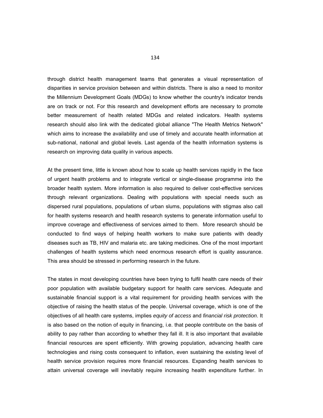through district health management teams that generates a visual representation of disparities in service provision between and within districts. There is also a need to monitor the Millennium Development Goals (MDGs) to know whether the country's indicator trends are on track or not. For this research and development efforts are necessary to promote better measurement of health related MDGs and related indicators. Health systems research should also link with the dedicated global alliance "The Health Metrics Network" which aims to increase the availability and use of timely and accurate health information at sub-national, national and global levels. Last agenda of the health information systems is research on improving data quality in various aspects.

At the present time, little is known about how to scale up health services rapidly in the face of urgent health problems and to integrate vertical or single-disease programme into the broader health system. More information is also required to deliver cost-effective services through relevant organizations. Dealing with populations with special needs such as dispersed rural populations, populations of urban slums, populations with stigmas also call for health systems research and health research systems to generate information useful to improve coverage and effectiveness of services aimed to them. More research should be conducted to find ways of helping health workers to make sure patients with deadly diseases such as TB, HIV and malaria etc. are taking medicines. One of the most important challenges of health systems which need enormous research effort is quality assurance. This area should be stressed in performing research in the future.

The states in most developing countries have been trying to fulfil health care needs of their poor population with available budgetary support for health care services. Adequate and sustainable financial support is a vital requirement for providing health services with the objective of raising the health status of the people. Universal coverage, which is one of the objectives of all health care systems, implies *equity of access* and *financial risk protection*. It is also based on the notion of equity in financing, i.e. that people contribute on the basis of ability to pay rather than according to whether they fall ill. It is also important that available financial resources are spent efficiently. With growing population, advancing health care technologies and rising costs consequent to inflation, even sustaining the existing level of health service provision requires more financial resources. Expanding health services to attain universal coverage will inevitably require increasing health expenditure further. In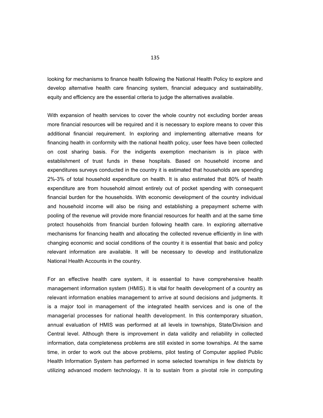looking for mechanisms to finance health following the National Health Policy to explore and develop alternative health care financing system, financial adequacy and sustainability, equity and efficiency are the essential criteria to judge the alternatives available.

With expansion of health services to cover the whole country not excluding border areas more financial resources will be required and it is necessary to explore means to cover this additional financial requirement. In exploring and implementing alternative means for financing health in conformity with the national health policy, user fees have been collected on cost sharing basis. For the indigents exemption mechanism is in place with establishment of trust funds in these hospitals. Based on household income and expenditures surveys conducted in the country it is estimated that households are spending 2%-3% of total household expenditure on health. It is also estimated that 80% of health expenditure are from household almost entirely out of pocket spending with consequent financial burden for the households. With economic development of the country individual and household income will also be rising and establishing a prepayment scheme with pooling of the revenue will provide more financial resources for health and at the same time protect households from financial burden following health care. In exploring alternative mechanisms for financing health and allocating the collected revenue efficiently in line with changing economic and social conditions of the country it is essential that basic and policy relevant information are available. It will be necessary to develop and institutionalize National Health Accounts in the country.

For an effective health care system, it is essential to have comprehensive health management information system (HMIS). It is vital for health development of a country as relevant information enables management to arrive at sound decisions and judgments. It is a major tool in management of the integrated health services and is one of the managerial processes for national health development. In this contemporary situation, annual evaluation of HMIS was performed at all levels in townships, State/Division and Central level. Although there is improvement in data validity and reliability in collected information, data completeness problems are still existed in some townships. At the same time, in order to work out the above problems, pilot testing of Computer applied Public Health Information System has performed in some selected townships in few districts by utilizing advanced modern technology. It is to sustain from a pivotal role in computing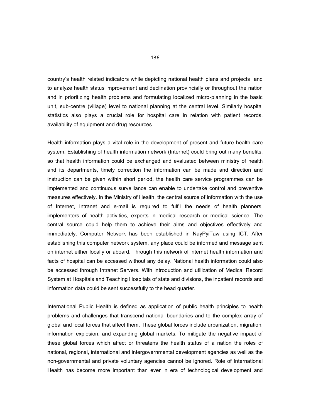country's health related indicators while depicting national health plans and projects and to analyze health status improvement and declination provincially or throughout the nation and in prioritizing health problems and formulating localized micro-planning in the basic unit, sub-centre (village) level to national planning at the central level. Similarly hospital statistics also plays a crucial role for hospital care in relation with patient records, availability of equipment and drug resources.

Health information plays a vital role in the development of present and future health care system. Establishing of health information network (Internet) could bring out many benefits, so that health information could be exchanged and evaluated between ministry of health and its departments, timely correction the information can be made and direction and instruction can be given within short period, the health care service programmes can be implemented and continuous surveillance can enable to undertake control and preventive measures effectively. In the Ministry of Health, the central source of information with the use of Internet, Intranet and e-mail is required to fulfil the needs of health planners, implementers of health activities, experts in medical research or medical science. The central source could help them to achieve their aims and objectives effectively and immediately. Computer Network has been established in NayPyiTaw using ICT. After establishing this computer network system, any place could be informed and message sent on internet either locally or aboard. Through this network of internet health information and facts of hospital can be accessed without any delay. National health information could also be accessed through Intranet Servers. With introduction and utilization of Medical Record System at Hospitals and Teaching Hospitals of state and divisions, the inpatient records and information data could be sent successfully to the head quarter.

International Public Health is defined as application of public health principles to health problems and challenges that transcend national boundaries and to the complex array of global and local forces that affect them. These global forces include urbanization, migration, information explosion, and expanding global markets. To mitigate the negative impact of these global forces which affect or threatens the health status of a nation the roles of national, regional, international and intergovernmental development agencies as well as the non-governmental and private voluntary agencies cannot be ignored. Role of International Health has become more important than ever in era of technological development and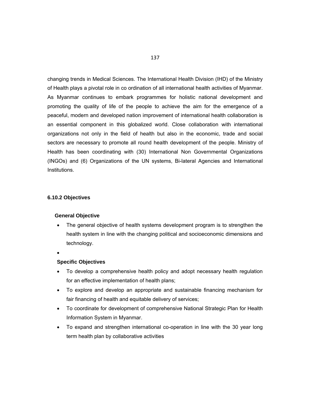changing trends in Medical Sciences. The International Health Division (IHD) of the Ministry of Health plays a pivotal role in co ordination of all international health activities of Myanmar. As Myanmar continues to embark programmes for holistic national development and promoting the quality of life of the people to achieve the aim for the emergence of a peaceful, modern and developed nation improvement of international health collaboration is an essential component in this globalized world. Close collaboration with international organizations not only in the field of health but also in the economic, trade and social sectors are necessary to promote all round health development of the people. Ministry of Health has been coordinating with (30) International Non Governmental Organizations (INGOs) and (6) Organizations of the UN systems, Bi-lateral Agencies and International Institutions.

#### **6.10.2 Objectives**

#### **General Objective**

- The general objective of health systems development program is to strengthen the health system in line with the changing political and socioeconomic dimensions and technology.
- $\bullet$

#### **Specific Objectives**

- To develop a comprehensive health policy and adopt necessary health regulation for an effective implementation of health plans;
- To explore and develop an appropriate and sustainable financing mechanism for fair financing of health and equitable delivery of services;
- To coordinate for development of comprehensive National Strategic Plan for Health Information System in Myanmar.
- To expand and strengthen international co-operation in line with the 30 year long term health plan by collaborative activities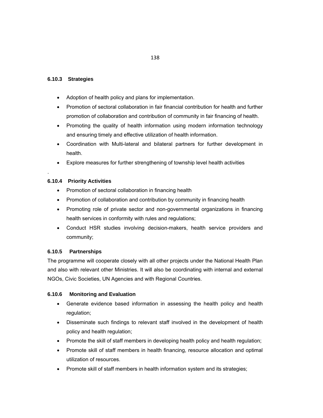# **6.10.3 Strategies**

- Adoption of health policy and plans for implementation.
- Promotion of sectoral collaboration in fair financial contribution for health and further promotion of collaboration and contribution of community in fair financing of health.
- Promoting the quality of health information using modern information technology and ensuring timely and effective utilization of health information.
- Coordination with Multi-lateral and bilateral partners for further development in health.
- Explore measures for further strengthening of township level health activities

# **6.10.4 Priority Activities**

.

- Promotion of sectoral collaboration in financing health
- Promotion of collaboration and contribution by community in financing health
- Promoting role of private sector and non-governmental organizations in financing health services in conformity with rules and regulations;
- Conduct HSR studies involving decision-makers, health service providers and community;

# **6.10.5 Partnerships**

The programme will cooperate closely with all other projects under the National Health Plan and also with relevant other Ministries. It will also be coordinating with internal and external NGOs, Civic Societies, UN Agencies and with Regional Countries.

# **6.10.6 Monitoring and Evaluation**

- Generate evidence based information in assessing the health policy and health regulation;
- Disseminate such findings to relevant staff involved in the development of health policy and health regulation;
- Promote the skill of staff members in developing health policy and health regulation;
- Promote skill of staff members in health financing, resource allocation and optimal utilization of resources.
- Promote skill of staff members in health information system and its strategies;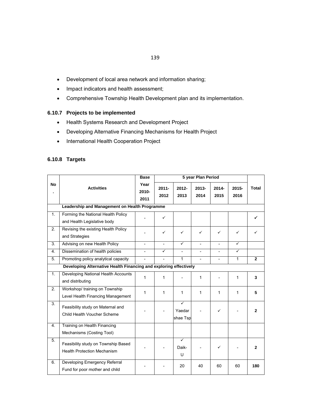- Development of local area network and information sharing;
- Impact indicators and health assessment;
- Comprehensive Township Health Development plan and its implementation.

# **6.10.7 Projects to be implemented**

- Health Systems Research and Development Project
- Developing Alternative Financing Mechanisms for Health Project
- International Health Cooperation Project

# **6.10.8 Targets**

|                  |                                                                           | <b>Base</b>           |                  |                         |                  |                |                  |                |
|------------------|---------------------------------------------------------------------------|-----------------------|------------------|-------------------------|------------------|----------------|------------------|----------------|
| <b>No</b>        | <b>Activities</b>                                                         | Year<br>2010-<br>2011 | $2011 -$<br>2012 | $2012 -$<br>2013        | $2013 -$<br>2014 | 2014-<br>2015  | $2015 -$<br>2016 | <b>Total</b>   |
|                  | Leadership and Management on Health Programme                             |                       |                  |                         |                  |                |                  |                |
| 1.               | Forming the National Health Policy<br>and Health Legislative body         |                       | ✓                |                         |                  |                |                  |                |
| 2.               | Revising the existing Health Policy<br>and Strategies                     |                       | ✓                | ✓                       | ✓                | ✓              | $\checkmark$     | ✓              |
| 3.               | Advising on new Health Policy                                             |                       |                  | ✓                       |                  | $\overline{a}$ | $\checkmark$     |                |
| 4.               | Dissemination of health policies                                          |                       | ✓                |                         |                  |                | ✓                |                |
| 5.               | Promoting policy analytical capacity                                      |                       |                  | $\mathbf{1}$            | $\overline{a}$   | $\overline{a}$ | 1                | $\overline{2}$ |
|                  | Developing Alternative Health Financing and exploring effectively         |                       |                  |                         |                  |                |                  |                |
| 1.               | Developing National Health Accounts<br>and distributing                   | 1                     | 1                |                         | 1                |                | 1                | 3              |
| 2.               | Workshop/ training on Township<br>Level Health Financing Management       | $\mathbf{1}$          | 1                | $\mathbf{1}$            | $\mathbf{1}$     | 1              | 1                | 5              |
| 3.               | Feasibility study on Maternal and<br>Child Health Voucher Scheme          |                       |                  | ✓<br>Yaedar<br>shae Tsp |                  | ✓              |                  | $\overline{2}$ |
| $\overline{4}$ . | Training on Health Financing<br>Mechanisms (Costing Tool)                 |                       |                  |                         |                  |                |                  |                |
| 5.               | Feasibility study on Township Based<br><b>Health Protection Mechanism</b> |                       |                  | ✓<br>Daik-<br>U         |                  | ✓              |                  | $\mathbf{2}$   |
| 6.               | Developing Emergency Referral<br>Fund for poor mother and child           |                       |                  | 20                      | 40               | 60             | 60               | 180            |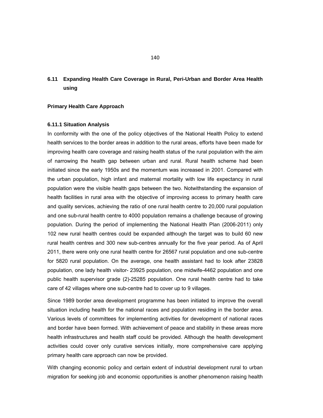## **6.11 Expanding Health Care Coverage in Rural, Peri-Urban and Border Area Health using**

#### **Primary Health Care Approach**

#### **6.11.1 Situation Analysis**

In conformity with the one of the policy objectives of the National Health Policy to extend health services to the border areas in addition to the rural areas, efforts have been made for improving health care coverage and raising health status of the rural population with the aim of narrowing the health gap between urban and rural. Rural health scheme had been initiated since the early 1950s and the momentum was increased in 2001. Compared with the urban population, high infant and maternal mortality with low life expectancy in rural population were the visible health gaps between the two. Notwithstanding the expansion of health facilities in rural area with the objective of improving access to primary health care and quality services, achieving the ratio of one rural health centre to 20,000 rural population and one sub-rural health centre to 4000 population remains a challenge because of growing population. During the period of implementing the National Health Plan (2006-2011) only 102 new rural health centres could be expanded although the target was to build 60 new rural health centres and 300 new sub-centres annually for the five year period. As of April 2011, there were only one rural health centre for 26567 rural population and one sub-centre for 5820 rural population. On the average, one health assistant had to look after 23828 population, one lady health visitor- 23925 population, one midwife-4462 population and one public health supervisor grade (2)-25285 population. One rural health centre had to take care of 42 villages where one sub-centre had to cover up to 9 villages.

Since 1989 border area development programme has been initiated to improve the overall situation including health for the national races and population residing in the border area. Various levels of committees for implementing activities for development of national races and border have been formed. With achievement of peace and stability in these areas more health infrastructures and health staff could be provided. Although the health development activities could cover only curative services initially, more comprehensive care applying primary health care approach can now be provided.

With changing economic policy and certain extent of industrial development rural to urban migration for seeking job and economic opportunities is another phenomenon raising health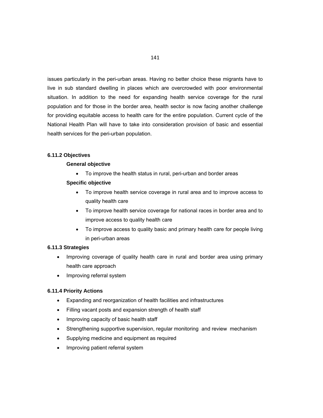issues particularly in the peri-urban areas. Having no better choice these migrants have to live in sub standard dwelling in places which are overcrowded with poor environmental situation. In addition to the need for expanding health service coverage for the rural population and for those in the border area, health sector is now facing another challenge for providing equitable access to health care for the entire population. Current cycle of the National Health Plan will have to take into consideration provision of basic and essential health services for the peri-urban population.

## **6.11.2 Objectives**

#### **General objective**

To improve the health status in rural, peri-urban and border areas

#### **Specific objective**

- To improve health service coverage in rural area and to improve access to quality health care
- To improve health service coverage for national races in border area and to improve access to quality health care
- To improve access to quality basic and primary health care for people living in peri-urban areas

#### **6.11.3 Strategies**

- Improving coverage of quality health care in rural and border area using primary health care approach
- Improving referral system

#### **6.11.4 Priority Actions**

- Expanding and reorganization of health facilities and infrastructures
- Filling vacant posts and expansion strength of health staff
- Improving capacity of basic health staff
- Strengthening supportive supervision, regular monitoring and review mechanism
- Supplying medicine and equipment as required
- Improving patient referral system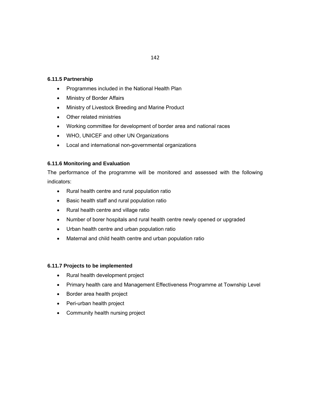# **6.11.5 Partnership**

- Programmes included in the National Health Plan
- Ministry of Border Affairs
- Ministry of Livestock Breeding and Marine Product
- Other related ministries
- Working committee for development of border area and national races
- WHO, UNICEF and other UN Organizations
- Local and international non-governmental organizations

## **6.11.6 Monitoring and Evaluation**

The performance of the programme will be monitored and assessed with the following indicators:

- Rural health centre and rural population ratio
- Basic health staff and rural population ratio
- Rural health centre and village ratio
- Number of borer hospitals and rural health centre newly opened or upgraded
- Urban health centre and urban population ratio
- Maternal and child health centre and urban population ratio

## **6.11.7 Projects to be implemented**

- Rural health development project
- Primary health care and Management Effectiveness Programme at Township Level
- Border area health project
- Peri-urban health project
- Community health nursing project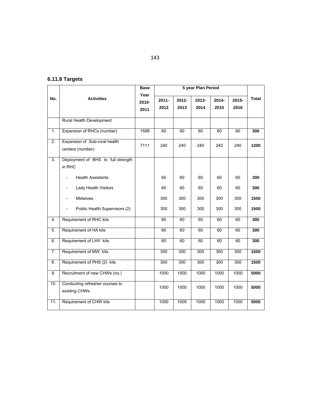# **6.11.8 Targets**

|                  |                                                   | <b>Base</b><br>Year | 5 year Plan Period |       |       |          |          |              |
|------------------|---------------------------------------------------|---------------------|--------------------|-------|-------|----------|----------|--------------|
| No.              | <b>Activities</b>                                 | 2010-               | $2011 -$           | 2012- | 2013- | $2014 -$ | $2015 -$ | <b>Total</b> |
|                  |                                                   | 2011                | 2012               | 2013  | 2014  | 2015     | 2016     |              |
|                  | Rural Health Development                          |                     |                    |       |       |          |          |              |
| 1.               | Expansion of RHCs (number)                        | 1588                | 60                 | 60    | 60    | 60       | 60       | 300          |
| $\overline{2}$ . | Expansion of Sub-rural health<br>centers (number) | 7111                | 240                | 240   | 240   | 240      | 240      | 1200         |
| $\overline{3}$ . | Deployment of BHS to full strength<br>in RHC      |                     |                    |       |       |          |          |              |
|                  | <b>Health Assistants</b>                          |                     | 60                 | 60    | 60    | 60       | 60       | 300          |
|                  | Lady Health Visitors<br>$\overline{\phantom{a}}$  |                     | 60                 | 60    | 60    | 60       | 60       | 300          |
|                  | <b>Midwives</b><br>$\overline{\phantom{a}}$       |                     | 300                | 300   | 300   | 300      | 300      | 1500         |
|                  | Public Health Supervisors (2)                     |                     | 300                | 300   | 300   | 300      | 300      | 1500         |
| 4.               | Requirement of RHC kits                           |                     | 60                 | 60    | 60    | 60       | 60       | 300          |
| 5.               | Requirement of HA kits                            |                     | 60                 | 60    | 60    | 60       | 60       | 300          |
| 6.               | Requirement of LHV kits                           |                     | 60                 | 60    | 60    | 60       | 60       | 300          |
| 7.               | Requirement of MW kits                            |                     | 300                | 300   | 300   | 300      | 300      | 1500         |
| 8.               | Requirement of PHS (2) kits                       |                     | 300                | 300   | 300   | 300      | 300      | 1500         |
| 9.               | Recruitment of new CHWs (no.)                     |                     | 1000               | 1000  | 1000  | 1000     | 1000     | 5000         |
| 10.              | Conducting refresher courses to<br>existing CHWs  |                     | 1000               | 1000  | 1000  | 1000     | 1000     | 5000         |
| 11.              | Requirement of CHW kits                           |                     | 1000               | 1000  | 1000  | 1000     | 1000     | 5000         |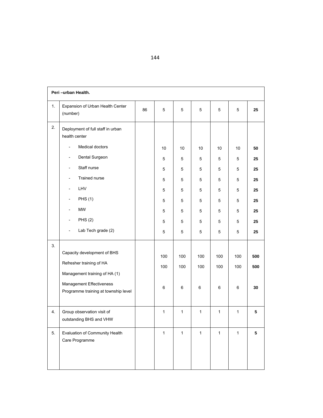| Peri-urban Health. |                                                                  |    |              |              |              |              |              |     |
|--------------------|------------------------------------------------------------------|----|--------------|--------------|--------------|--------------|--------------|-----|
|                    |                                                                  |    |              |              |              |              |              |     |
| 1.                 | Expansion of Urban Health Center<br>(number)                     | 86 | 5            | $\mathbf 5$  | 5            | 5            | 5            | 25  |
| 2.                 | Deployment of full staff in urban<br>health center               |    |              |              |              |              |              |     |
|                    | Medical doctors<br>$\overline{\phantom{a}}$                      |    | 10           | 10           | 10           | 10           | 10           | 50  |
|                    | Dental Surgeon<br>$\overline{\phantom{a}}$                       |    | 5            | 5            | 5            | 5            | 5            | 25  |
|                    | Staff nurse<br>$\blacksquare$                                    |    | 5            | 5            | 5            | 5            | 5            | 25  |
|                    | Trained nurse<br>$\overline{\phantom{a}}$                        |    | 5            | 5            | 5            | 5            | 5            | 25  |
|                    | LHV<br>$\overline{\phantom{a}}$                                  |    | 5            | 5            | 5            | 5            | 5            | 25  |
|                    | <b>PHS (1)</b><br>$\overline{\phantom{a}}$                       |    | 5            | 5            | 5            | 5            | 5            | 25  |
|                    | MW                                                               |    | 5            | 5            | 5            | 5            | 5            | 25  |
|                    | <b>PHS (2)</b><br>$\overline{\phantom{a}}$                       |    | 5            | 5            | 5            | 5            | 5            | 25  |
|                    | Lab Tech grade (2)<br>$\overline{\phantom{a}}$                   |    | 5            | 5            | 5            | 5            | 5            | 25  |
| 3.                 | Capacity development of BHS                                      |    | 100          | 100          | 100          | 100          | 100          | 500 |
|                    | Refresher training of HA                                         |    | 100          | 100          | 100          | 100          | 100          | 500 |
|                    | Management training of HA (1)                                    |    |              |              |              |              |              |     |
|                    | Management Effectiveness<br>Programme training at township level |    | 6            | 6            | 6            | $\,6\,$      | 6            | 30  |
| 4.                 | Group observation visit of<br>outstanding BHS and VHW            |    | 1            | 1            | $\mathbf{1}$ | $\mathbf{1}$ | 1            | 5   |
| 5.                 | Evaluation of Community Health<br>Care Programme                 |    | $\mathbf{1}$ | $\mathbf{1}$ | $\mathbf{1}$ | $\mathbf{1}$ | $\mathbf{1}$ | 5   |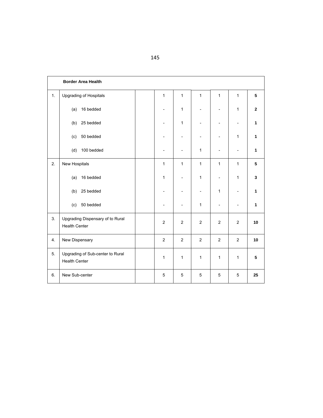|    | <b>Border Area Health</b>                                |  |                |                          |                |                          |                          |                |
|----|----------------------------------------------------------|--|----------------|--------------------------|----------------|--------------------------|--------------------------|----------------|
| 1. | Upgrading of Hospitals                                   |  | $\mathbf{1}$   | $\mathbf{1}$             | 1              | $\mathbf{1}$             | 1                        | 5              |
|    | 16 bedded<br>(a)                                         |  |                | $\mathbf{1}$             |                |                          | $\mathbf{1}$             | $\overline{2}$ |
|    | 25 bedded<br>(b)                                         |  |                | $\mathbf{1}$             |                |                          |                          | 1              |
|    | 50 bedded<br>(c)                                         |  |                |                          |                |                          | 1                        | 1              |
|    | 100 bedded<br>(d)                                        |  |                | $\overline{\phantom{0}}$ | 1              |                          | $\overline{\phantom{a}}$ | 1              |
| 2. | New Hospitals                                            |  | $\mathbf{1}$   | 1                        | 1              | $\mathbf{1}$             | $\mathbf{1}$             | 5              |
|    | 16 bedded<br>(a)                                         |  | 1              | $\overline{a}$           | 1              | $\overline{\phantom{a}}$ | 1                        | 3              |
|    | 25 bedded<br>(b)                                         |  |                |                          | $\overline{a}$ | $\mathbf{1}$             |                          | 1              |
|    | 50 bedded<br>(c)                                         |  |                |                          | $\mathbf{1}$   |                          |                          | 1              |
| 3. | Upgrading Dispensary of to Rural<br><b>Health Center</b> |  | $\overline{2}$ | 2                        | 2              | $\overline{2}$           | 2                        | 10             |
| 4. | New Dispensary                                           |  | $\overline{2}$ | 2                        | $\overline{2}$ | $\overline{2}$           | 2                        | 10             |
| 5. | Upgrading of Sub-center to Rural<br><b>Health Center</b> |  | 1              | 1                        | 1              | 1                        | 1                        | 5              |
| 6. | New Sub-center                                           |  | 5              | 5                        | 5              | 5                        | 5                        | 25             |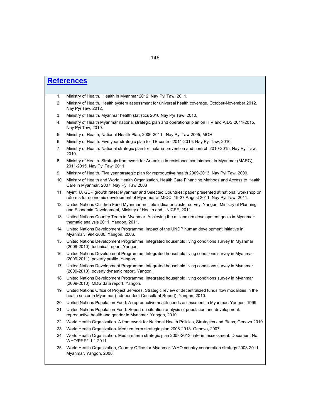|     | <b>References</b>                                                                                                                                                                                 |
|-----|---------------------------------------------------------------------------------------------------------------------------------------------------------------------------------------------------|
|     |                                                                                                                                                                                                   |
| 1.  | Ministry of Health. Health in Myanmar 2012. Nay Pyi Taw, 2011.                                                                                                                                    |
| 2.  | Ministry of Health. Health system assessment for universal health coverage, October-November 2012.<br>Nay Pyi Taw, 2012.                                                                          |
| 3.  | Ministry of Health. Myanmar health statistics 2010. Nay Pyi Taw, 2010.                                                                                                                            |
| 4.  | Ministry of Health Myanmar national strategic plan and operational plan on HIV and AIDS 2011-2015.<br>Nay Pyi Taw, 2010.                                                                          |
| 5.  | Ministry of Health, National Health Plan, 2006-2011, Nay Pyi Taw 2005, MOH                                                                                                                        |
| 6.  | Ministry of Health. Five year strategic plan for TB control 2011-2015. Nay Pyi Taw, 2010.                                                                                                         |
| 7.  | Ministry of Health. National strategic plan for malaria prevention and control 2010-2015. Nay Pyi Taw,<br>2010.                                                                                   |
| 8.  | Ministry of Health. Strategic framework for Artemisin in resistance containment in Myanmar (MARC),<br>2011-2015. Nay Pyi Taw, 2011.                                                               |
| 9.  | Ministry of Health. Five year strategic plan for reproductive health 2009-2013. Nay Pyi Taw, 2009.                                                                                                |
| 10. | Ministry of Health and World Health Organization, Health Care Financing Methods and Access to Health<br>Care in Myanmar, 2007. Nay Pyi Taw 2008                                                   |
| 11. | Myint, U. GDP growth rates: Myanmar and Selected Countries: paper presented at national workshop on<br>reforms for economic development of Myanmar at MICC, 19-27 August 2011. Nay Pyi Taw, 2011. |
|     | 12. United Nations Children Fund Myanmar multiple indicator cluster survey. Yangon: Ministry of Planning<br>and Economic Development, Ministry of Health and UNICEF, 2011.                        |
|     | 13. United Nations Country Team in Myanmar. Achieving the millennium development goals in Myanmar:<br>thematic analysis 2011. Yangon, 2011.                                                       |
|     | 14. United Nations Development Programme. Impact of the UNDP human development initiative in<br>Myanmar, !994-2006. Yangon, 2006.                                                                 |
|     | 15. United Nations Development Programme. Integrated household living conditions survey In Myanmar<br>(2009-2010): technical report. Yangon,                                                      |
|     | 16. United Nations Development Programme. Integrated household living conditions survey in Myanmar<br>(2009-2011): poverty profile. Yangon,                                                       |
|     | 17. United Nations Development Programme. Integrated household living conditions survey in Myanmar<br>(2009-2010): poverty dynamic report. Yangon,                                                |
|     | 18. United Nations Development Programme. Integrated household living conditions survey in Myanmar<br>(2009-2010): MDG data report. Yangon,                                                       |
|     | 19. United Nations Office of Project Services. Strategic review of decentralized funds flow modalities in the<br>health sector in Myanmar (Independent Consultant Report). Yangon, 2010.          |
|     | 20. United Nations Population Fund. A reproductive health needs assessment in Myanmar. Yangon, 1999.                                                                                              |
|     | 21. United Nations Population Fund. Report on situation analysis of population and development:<br>reproductive health and gender in Myanmar. Yangon, 2010.                                       |
|     | 22. World Health Organization. A framework for National Health Policies, Strategies and Plans, Geneva 2010                                                                                        |
|     | 23. World Health Organization. Medium-term strategic plan 2008-2013. Geneva, 2007.                                                                                                                |

- 24. World Health Organization. Medium term strategic plan 2008-2013: interim assessment. Document No. WHO/PRP/11.1 2011.
- 25. World Health Organization, Country Office for Myanmar. WHO country cooperation strategy 2008-2011- Myanmar. Yangon, 2008.